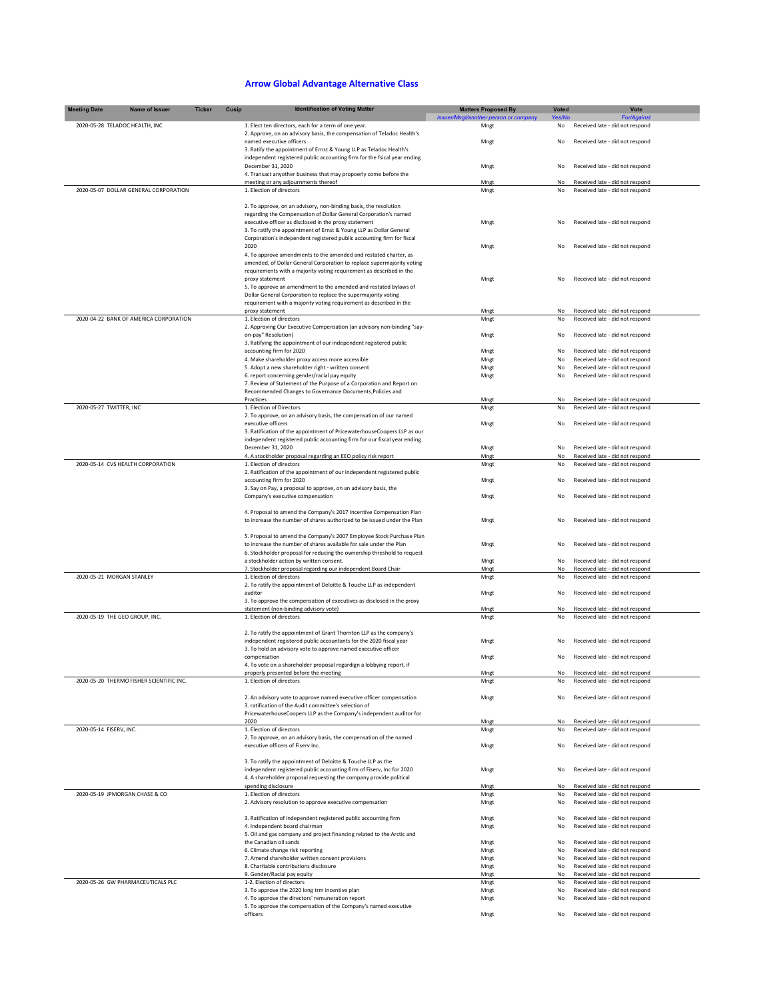## **Arrow Global Advantage Alternative Class**

| <b>Meeting Date</b>            | Name of Issuer                           | <b>Ticker</b> | Cusip | <b>Identification of Voting Matter</b>                                                                                                              | <b>Matters Proposed By</b>            | Voted    | Vote                                                               |  |
|--------------------------------|------------------------------------------|---------------|-------|-----------------------------------------------------------------------------------------------------------------------------------------------------|---------------------------------------|----------|--------------------------------------------------------------------|--|
|                                |                                          |               |       |                                                                                                                                                     | Issuer/Mngt/another person or company | Yes/No   | <b>For/Agains</b>                                                  |  |
| 2020-05-28 TELADOC HEALTH, INC |                                          |               |       | 1. Elect ten directors, each for a term of one year.<br>2. Approve, on an advisory basis, the compensation of Teladoc Health's                      | Mngt                                  | No       | Received late - did not respond                                    |  |
|                                |                                          |               |       | named executive officers                                                                                                                            | Mngt                                  | No       | Received late - did not respond                                    |  |
|                                |                                          |               |       | 3. Ratify the appointment of Ernst & Young LLP as Teladoc Health's                                                                                  |                                       |          |                                                                    |  |
|                                |                                          |               |       | independent registered public accounting firm for the fsical year ending                                                                            |                                       |          |                                                                    |  |
|                                |                                          |               |       | December 31, 2020<br>4. Transact anyother business that may propoerly come before the                                                               | Mngt                                  | No       | Received late - did not respond                                    |  |
|                                |                                          |               |       | meeting or any adjournments thereof                                                                                                                 | Mngt                                  | No       | Received late - did not respond                                    |  |
|                                | 2020-05-07 DOLLAR GENERAL CORPORATION    |               |       | 1. Election of directors                                                                                                                            | Mngt                                  | No       | Received late - did not respond                                    |  |
|                                |                                          |               |       |                                                                                                                                                     |                                       |          |                                                                    |  |
|                                |                                          |               |       | 2. To approve, on an advisory, non-binding basis, the resolution                                                                                    |                                       |          |                                                                    |  |
|                                |                                          |               |       | regarding the Compensation of Dollar General Corporation's named<br>executive officer as disclosed in the proxy statement                           | Mngt                                  | No       | Received late - did not respond                                    |  |
|                                |                                          |               |       | 3. To ratify the appointment of Ernst & Young LLP as Dollar General                                                                                 |                                       |          |                                                                    |  |
|                                |                                          |               |       | Corporation's independent registered public accounting firm for fiscal                                                                              |                                       |          |                                                                    |  |
|                                |                                          |               |       | 2020                                                                                                                                                | Mngt                                  | No       | Received late - did not respond                                    |  |
|                                |                                          |               |       | 4. To approve amendments to the amended and restated charter, as<br>amended, of Dollar General Corporation to replace supermajority voting          |                                       |          |                                                                    |  |
|                                |                                          |               |       | requirements with a majority voting requirement as described in the                                                                                 |                                       |          |                                                                    |  |
|                                |                                          |               |       | proxy statement                                                                                                                                     | Mngt                                  | No       | Received late - did not respond                                    |  |
|                                |                                          |               |       | 5. To approve an amendment to the amended and restated bylaws of                                                                                    |                                       |          |                                                                    |  |
|                                |                                          |               |       | Dollar General Corporation to replace the supermajority voting                                                                                      |                                       |          |                                                                    |  |
|                                |                                          |               |       | requirement with a majority voting requirement as described in the<br>proxy statement                                                               | Mngt                                  | No       | Received late - did not respond                                    |  |
|                                | 2020-04-22 BANK OF AMERICA CORPORATION   |               |       | 1. Election of directors                                                                                                                            | Mngt                                  | No       | Received late - did not respond                                    |  |
|                                |                                          |               |       | 2. Approving Our Executive Compensation (an advisory non-binding "say-                                                                              |                                       |          |                                                                    |  |
|                                |                                          |               |       | on-pay" Resolution)                                                                                                                                 | Mngt                                  | No       | Received late - did not respond                                    |  |
|                                |                                          |               |       | 3. Ratifying the appointment of our independent registered public<br>accounting firm for 2020                                                       | Mngt                                  | No       | Received late - did not respond                                    |  |
|                                |                                          |               |       | 4. Make shareholder proxy access more accessible                                                                                                    | Mngt                                  | No       | Received late - did not respond                                    |  |
|                                |                                          |               |       | 5. Adopt a new shareholder right - written consent                                                                                                  | Mngt                                  | No       | Received late - did not respond                                    |  |
|                                |                                          |               |       | 6. report concerning gender/racial pay equity                                                                                                       | Mngt                                  | No       | Received late - did not respond                                    |  |
|                                |                                          |               |       | 7. Review of Statement of the Purpose of a Corporation and Report on<br>Recommended Changes to Governance Documents, Policies and                   |                                       |          |                                                                    |  |
|                                |                                          |               |       | Practices                                                                                                                                           | Mngt                                  | No       | Received late - did not respond                                    |  |
| 2020-05-27 TWITTER, INC        |                                          |               |       | 1. Election of Directors                                                                                                                            | Mngt                                  | No       | Received late - did not respond                                    |  |
|                                |                                          |               |       | 2. To approve, on an advisory basis, the compensation of our named                                                                                  |                                       |          |                                                                    |  |
|                                |                                          |               |       | executive officers                                                                                                                                  | Mngt                                  | No       | Received late - did not respond                                    |  |
|                                |                                          |               |       | 3. Ratification of the appointment of PricewaterhouseCoopers LLP as our<br>independent registered public accounting firm for our fiscal year ending |                                       |          |                                                                    |  |
|                                |                                          |               |       | December 31, 2020                                                                                                                                   | Mngt                                  | No       | Received late - did not respond                                    |  |
|                                |                                          |               |       | 4. A stockholder proposal regarding an EEO policy risk report                                                                                       | Mnet                                  | No       | Received late - did not respond                                    |  |
|                                | 2020-05-14 CVS HEALTH CORPORATION        |               |       | 1. Election of directors                                                                                                                            | Mngt                                  | No       | Received late - did not respond                                    |  |
|                                |                                          |               |       | 2. Ratification of the appointment of our independent registered public                                                                             | Mngt                                  |          | Received late - did not respond                                    |  |
|                                |                                          |               |       | accounting firm for 2020<br>3. Say on Pay, a proposal to approve, on an advisory basis, the                                                         |                                       | No       |                                                                    |  |
|                                |                                          |               |       | Company's executive compensation                                                                                                                    | Mngt                                  | No       | Received late - did not respond                                    |  |
|                                |                                          |               |       |                                                                                                                                                     |                                       |          |                                                                    |  |
|                                |                                          |               |       | 4. Proposal to amend the Company's 2017 Incentive Compensation Plan                                                                                 |                                       |          |                                                                    |  |
|                                |                                          |               |       | to increase the number of shares authorized to be issued under the Plan                                                                             | Mngt                                  | No       | Received late - did not respond                                    |  |
|                                |                                          |               |       | 5. Proposal to amend the Company's 2007 Employee Stock Purchase Plan                                                                                |                                       |          |                                                                    |  |
|                                |                                          |               |       | to increase the number of shares available for sale under the Plan                                                                                  | Mngt                                  | No       | Received late - did not respond                                    |  |
|                                |                                          |               |       | 6. Stockholder proposal for reducing the ownership threshold to request                                                                             |                                       |          |                                                                    |  |
|                                |                                          |               |       | a stockholder action by written consent.<br>7. Stockholder proposal regarding our independent Board Chair                                           | Mngt<br>Mngt                          | No<br>No | Received late - did not respond<br>Received late - did not respond |  |
| 2020-05-21 MORGAN STANLEY      |                                          |               |       | 1. Election of directors                                                                                                                            | Mngt                                  | No       | Received late - did not respond                                    |  |
|                                |                                          |               |       | 2. To ratify the appointment of Deloitte & Touche LLP as independent                                                                                |                                       |          |                                                                    |  |
|                                |                                          |               |       | auditor                                                                                                                                             | Mngt                                  | No       | Received late - did not respond                                    |  |
|                                |                                          |               |       | 3. To approve the compensation of executives as disclosed in the proxy<br>statement (non-binding advisory vote)                                     |                                       | No       | Received late - did not respond                                    |  |
| 2020-05-19 THE GEO GROUP, INC. |                                          |               |       | 1. Election of directors                                                                                                                            | Mngt<br>Mngt                          | No       | Received late - did not respond                                    |  |
|                                |                                          |               |       |                                                                                                                                                     |                                       |          |                                                                    |  |
|                                |                                          |               |       | 2. To ratify the appointment of Grant Thornton LLP as the company's                                                                                 |                                       |          |                                                                    |  |
|                                |                                          |               |       | independent registered public accountants for the 2020 fiscal year                                                                                  | Mngt                                  | No       | Received late - did not respond                                    |  |
|                                |                                          |               |       | 3. To hold an advisory vote to approve named executive officer<br>compensation                                                                      | Mngt                                  | No       | Received late - did not respond                                    |  |
|                                |                                          |               |       | 4. To vote on a shareholder proposal regardign a lobbying report, if                                                                                |                                       |          |                                                                    |  |
|                                |                                          |               |       | properly presented before the meeting                                                                                                               | Mngt                                  | No       | Received late - did not respond                                    |  |
|                                | 2020-05-20 THERMO FISHER SCIENTIFIC INC. |               |       | 1. Election of directors                                                                                                                            | Mngt                                  | No       | Received late - did not respond                                    |  |
|                                |                                          |               |       | 2. An advisory vote to approve named executive officer compensation                                                                                 | Mngt                                  | No       | Received late - did not respond                                    |  |
|                                |                                          |               |       | 3. ratification of the Audit committee's selection of                                                                                               |                                       |          |                                                                    |  |
|                                |                                          |               |       | PricewaterhouseCoopers LLP as the Company's independent auditor for                                                                                 |                                       |          |                                                                    |  |
|                                |                                          |               |       | 2020                                                                                                                                                | Mngt                                  | No       | Received late - did not respond                                    |  |
| 2020-05-14 FISERV, INC.        |                                          |               |       | 1. Election of directors<br>2. To approve, on an advisory basis, the compensation of the named                                                      | Mngt                                  | No       | Received late - did not respond                                    |  |
|                                |                                          |               |       | executive officers of Fiserv Inc.                                                                                                                   | Mngt                                  | No       | Received late - did not respond                                    |  |
|                                |                                          |               |       |                                                                                                                                                     |                                       |          |                                                                    |  |
|                                |                                          |               |       | 3. To ratify the appointment of Deloitte & Touche LLP as the                                                                                        |                                       |          |                                                                    |  |
|                                |                                          |               |       | independent registered public accounting firm of Fiserv, Inc for 2020                                                                               | Mngt                                  | No       | Received late - did not respond                                    |  |
|                                |                                          |               |       | 4. A shareholder proposal requesting the company provide political<br>spending disclosure                                                           | Mngt                                  | No       | Received late - did not respond                                    |  |
|                                | 2020-05-19 JPMORGAN CHASE & CO           |               |       | 1. Election of directors                                                                                                                            | Mngt                                  | No       | Received late - did not respond                                    |  |
|                                |                                          |               |       | 2. Advisory resolution to approve executive compensation                                                                                            | Mngt                                  | No       | Received late - did not respond                                    |  |
|                                |                                          |               |       |                                                                                                                                                     |                                       |          |                                                                    |  |
|                                |                                          |               |       | 3. Ratification of independent registered public accounting firm<br>4. Independent board chairman                                                   | Mngt<br>Mngt                          | No<br>No | Received late - did not respond<br>Received late - did not respond |  |
|                                |                                          |               |       | 5. Oil and gas company and project financing related to the Arctic and                                                                              |                                       |          |                                                                    |  |
|                                |                                          |               |       | the Canadian oil sands                                                                                                                              | Mngt                                  | No       | Received late - did not respond                                    |  |
|                                |                                          |               |       | 6. Climate change risk reporting                                                                                                                    | Mngt                                  | No       | Received late - did not respond                                    |  |
|                                |                                          |               |       | 7. Amend shareholder written consent provisions<br>8. Charitable contributions disclosure                                                           | Mngt                                  | No<br>No | Received late - did not respond                                    |  |
|                                |                                          |               |       | 9. Gender/Racial pay equity                                                                                                                         | Mngt<br>Mngt                          | No       | Received late - did not respond<br>Received late - did not respond |  |
|                                | 2020-05-26 GW PHARMACEUTICALS PLC        |               |       | 1-2. Election of directors                                                                                                                          | Mngt                                  | No       | Received late - did not respond                                    |  |
|                                |                                          |               |       |                                                                                                                                                     |                                       | No       |                                                                    |  |
|                                |                                          |               |       | 3. To approve the 2020 long trm incentive plan                                                                                                      | Mngt                                  |          | Received late - did not respond                                    |  |
|                                |                                          |               |       | 4. To approve the directors' remuneration report<br>5. To approve the compensation of the Company's named executive                                 | Mngt                                  | No       | Received late - did not respond                                    |  |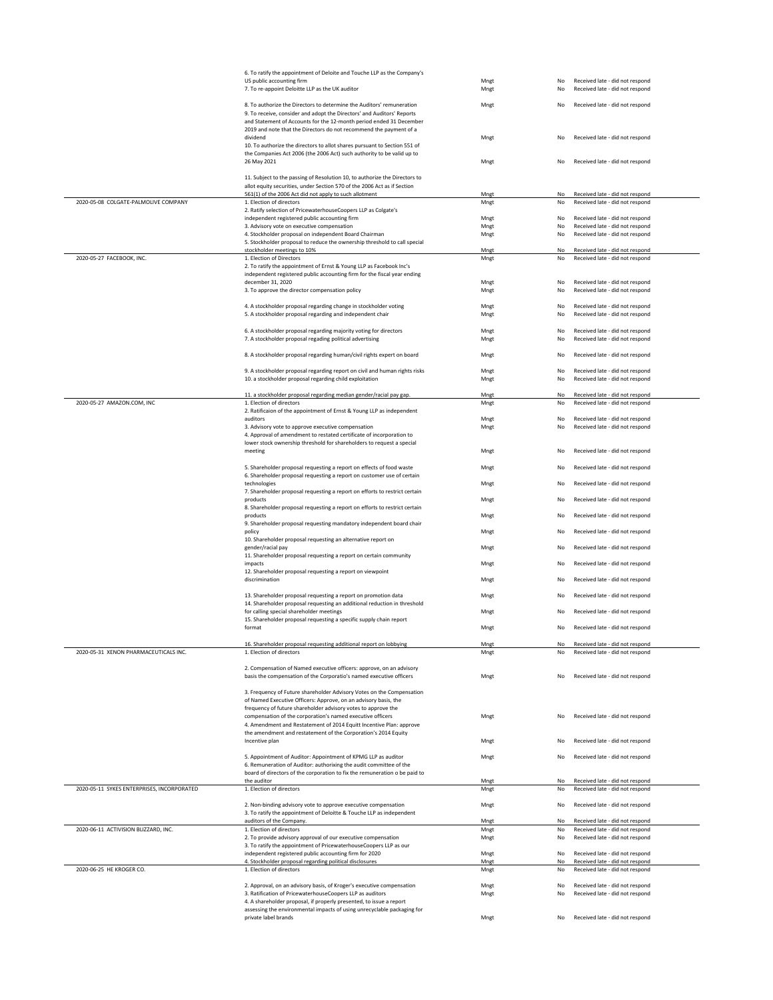|                                            | 6. To ratify the appointment of Deloite and Touche LLP as the Company's<br>US public accounting firm                                                                                                                                                                                         | Mngt         | No       | Received late - did not respond                                    |
|--------------------------------------------|----------------------------------------------------------------------------------------------------------------------------------------------------------------------------------------------------------------------------------------------------------------------------------------------|--------------|----------|--------------------------------------------------------------------|
|                                            | 7. To re-appoint Deloitte LLP as the UK auditor                                                                                                                                                                                                                                              | Mngt         | No       | Received late - did not respond                                    |
|                                            | 8. To authorize the Directors to determine the Auditors' remuneration<br>9. To receive, consider and adopt the Directors' and Auditors' Reports<br>and Statement of Accounts for the 12-month period ended 31 December<br>2019 and note that the Directors do not recommend the payment of a | Mngt         | No       | Received late - did not respond                                    |
|                                            | dividend<br>10. To authorize the directors to allot shares pursuant to Section 551 of                                                                                                                                                                                                        | Mngt         | No       | Received late - did not respond                                    |
|                                            | the Companies Act 2006 (the 2006 Act) such authority to be valid up to<br>26 May 2021                                                                                                                                                                                                        | Mngt         | No       | Received late - did not respond                                    |
|                                            | 11. Subject to the passing of Resolution 10, to authorize the Directors to<br>allot equity securities, under Section 570 of the 2006 Act as if Section                                                                                                                                       |              |          |                                                                    |
|                                            | 561(1) of the 2006 Act did not apply to such allotment                                                                                                                                                                                                                                       | Mngt         | No       | Received late - did not respond                                    |
| 2020-05-08 COLGATE-PALMOLIVE COMPANY       | 1. Election of directors<br>2. Ratify selection of PricewaterhouseCoopers LLP as Colgate's                                                                                                                                                                                                   | Mngt         | No       | Received late - did not respond                                    |
|                                            | independent registered public accounting firm                                                                                                                                                                                                                                                | Mngt         | No       | Received late - did not respond                                    |
|                                            | 3. Advisory vote on executive compensation<br>4. Stockholder proposal on independent Board Chairman                                                                                                                                                                                          | Mngt<br>Mngt | No<br>No | Received late - did not respond<br>Received late - did not respond |
|                                            | 5. Stockholder proposal to reduce the ownership threshold to call special                                                                                                                                                                                                                    |              |          |                                                                    |
| 2020-05-27 FACEBOOK, INC.                  | stockholder meetings to 10%<br>1. Election of Directors                                                                                                                                                                                                                                      | Mngt<br>Mngt | No<br>No | Received late - did not respond<br>Received late - did not respond |
|                                            | 2. To ratify the appointment of Ernst & Young LLP as Facebook Inc's<br>independent registered public accounting firm for the fiscal year ending                                                                                                                                              |              |          |                                                                    |
|                                            | december 31, 2020                                                                                                                                                                                                                                                                            | Mnet         | No       | Received late - did not respond                                    |
|                                            | 3. To approve the director compensation policy                                                                                                                                                                                                                                               | Mngt         | No       | Received late - did not respond                                    |
|                                            | 4. A stockholder proposal regarding change in stockholder voting<br>5. A stockholder proposal regarding and independent chair                                                                                                                                                                | Mngt<br>Mngt | No<br>No | Received late - did not respond<br>Received late - did not respond |
|                                            | 6. A stockholder proposal regarding majority voting for directors<br>7. A stockholder proposal regading political advertising                                                                                                                                                                | Mngt<br>Mngt | No<br>No | Received late - did not respond<br>Received late - did not respond |
|                                            | 8. A stockholder proposal regarding human/civil rights expert on board                                                                                                                                                                                                                       | Mngt         | No       | Received late - did not respond                                    |
|                                            | 9. A stockholder proposal regarding report on civil and human rights risks                                                                                                                                                                                                                   | Mngt         | No       | Received late - did not respond                                    |
|                                            | 10. a stockholder proposal regarding child exploitation                                                                                                                                                                                                                                      | Mngt         | No       | Received late - did not respond                                    |
|                                            | 11. a stockholder proposal regarding median gender/racial pay gap.                                                                                                                                                                                                                           | Mngt         | No       | Received late - did not respond                                    |
| 2020-05-27 AMAZON.COM, INC                 | 1. Election of directors<br>2. Ratificaion of the appointment of Ernst & Young LLP as independent                                                                                                                                                                                            | Mngt         | No       | Received late - did not respond                                    |
|                                            | auditors                                                                                                                                                                                                                                                                                     | Mngt         | No       | Received late - did not respond                                    |
|                                            | 3. Advisory vote to approve executive compensation<br>4. Approval of amendment to restated certificate of incorporation to<br>lower stock ownership threshold for shareholders to request a special                                                                                          | Mngt         | No       | Received late - did not respond                                    |
|                                            | meeting                                                                                                                                                                                                                                                                                      | Mngt         | No       | Received late - did not respond                                    |
|                                            | 5. Shareholder proposal requesting a report on effects of food waste<br>6. Shareholder proposal requesting a report on customer use of certain                                                                                                                                               | Mngt         | No       | Received late - did not respond                                    |
|                                            | technologies                                                                                                                                                                                                                                                                                 | Mngt         | No       | Received late - did not respond                                    |
|                                            | 7. Shareholder proposal requesting a report on efforts to restrict certain<br>products                                                                                                                                                                                                       | Mngt         | No       | Received late - did not respond                                    |
|                                            | 8. Shareholder proposal requesting a report on efforts to restrict certain<br>products                                                                                                                                                                                                       | Mngt         | No       | Received late - did not respond                                    |
|                                            | 9. Shareholder proposal requesting mandatory independent board chair<br>policy<br>10. Shareholder proposal requesting an alternative report on                                                                                                                                               | Mngt         | No       | Received late - did not respond                                    |
|                                            | gender/racial pay<br>11. Shareholder proposal requesting a report on certain community                                                                                                                                                                                                       | Mngt         | No       | Received late - did not respond                                    |
|                                            | impacts<br>12. Shareholder proposal requesting a report on viewpoint                                                                                                                                                                                                                         | Mngt         | No       | Received late - did not respond                                    |
|                                            | discrimination                                                                                                                                                                                                                                                                               | Mnet         | No       | Received late - did not respond                                    |
|                                            | 13. Shareholder proposal requesting a report on promotion data<br>14. Shareholder proposal requesting an additional reduction in threshold                                                                                                                                                   | Mngt         | No       | Received late - did not respond                                    |
|                                            | for calling special shareholder meetings<br>15. Shareholder proposal requesting a specific supply chain report                                                                                                                                                                               | Mngt         | No       | Received late - did not respond                                    |
|                                            | format                                                                                                                                                                                                                                                                                       | Mngt         | No       | Received late - did not respond                                    |
| 2020-05-31 XENON PHARMACEUTICALS INC.      | 16. Shareholder proposal requesting additional report on lobbying<br>1. Election of directors                                                                                                                                                                                                | Mngt<br>Mngt | No<br>No | Received late - did not respond<br>Received late - did not respond |
|                                            |                                                                                                                                                                                                                                                                                              |              |          |                                                                    |
|                                            | 2. Compensation of Named executive officers: approve, on an advisory<br>basis the compensation of the Corporatio's named executive officers                                                                                                                                                  | Mngt         | No       | Received late - did not respond                                    |
|                                            | 3. Frequency of Future shareholder Advisory Votes on the Compensation<br>of Named Executive Officers: Approve, on an advisory basis, the                                                                                                                                                     |              |          |                                                                    |
|                                            | frequency of future shareholder advisory votes to approve the                                                                                                                                                                                                                                |              |          |                                                                    |
|                                            | compensation of the corporation's named executive officers<br>4. Amendment and Restatement of 2014 Equitt Incentive Plan: approve                                                                                                                                                            | Mngt         | No       | Received late - did not respond                                    |
|                                            | the amendment and restatement of the Corporation's 2014 Equity<br>Incentive plan                                                                                                                                                                                                             | Mngt         | No       | Received late - did not respond                                    |
|                                            | 5. Appointment of Auditor: Appointment of KPMG LLP as auditor                                                                                                                                                                                                                                | Mngt         | No       | Received late - did not respond                                    |
|                                            | 6. Remuneration of Auditor: authorixing the audit committee of the<br>board of directors of the corporation to fix the remuneration o be paid to                                                                                                                                             |              |          |                                                                    |
| 2020-05-11 SYKES ENTERPRISES. INCORPORATED | the auditor<br>1. Election of directors                                                                                                                                                                                                                                                      | Mngt         | No       | Received late - did not respond                                    |
|                                            |                                                                                                                                                                                                                                                                                              | Mngt         | No       | Received late - did not respond                                    |
|                                            | 2. Non-binding advisory vote to approve executive compensation<br>3. To ratify the appointment of Deloitte & Touche LLP as independent<br>auditors of the Company.                                                                                                                           | Mngt         | No<br>No | Received late - did not respond<br>Received late - did not respond |
| 2020-06-11 ACTIVISION BLIZZARD, INC.       | 1. Election of directors                                                                                                                                                                                                                                                                     | Mngt<br>Mngt | No       | Received late - did not respond                                    |
|                                            | 2. To provide advisory approval of our executive compensation<br>3. To ratify the appointment of PricewaterhouseCoopers LLP as our                                                                                                                                                           | Mngt         | No       | Received late - did not respond                                    |
|                                            | independent registered public accounting firm for 2020<br>4. Stockholder proposal regarding political disclosures                                                                                                                                                                            | Mngt<br>Mnet | No<br>No | Received late - did not respond<br>Received late - did not respond |
| 2020-06-25 HE KROGER CO.                   | 1. Election of directors                                                                                                                                                                                                                                                                     | Mngt         | No       | Received late - did not respond                                    |
|                                            | 2. Approval, on an advisory basis, of Kroger's executive compensation                                                                                                                                                                                                                        | Mngt         | No       | Received late - did not respond                                    |
|                                            | 3. Ratification of PricewaterhouseCoopers LLP as auditors<br>4. A shareholder proposal, if properly presented, to issue a report                                                                                                                                                             | Mngt         | No       | Received late - did not respond                                    |
|                                            | assessing the environmental impacts of using unrecyclable packaging for<br>private label brands                                                                                                                                                                                              | Mngt         | No       | Received late - did not respond                                    |
|                                            |                                                                                                                                                                                                                                                                                              |              |          |                                                                    |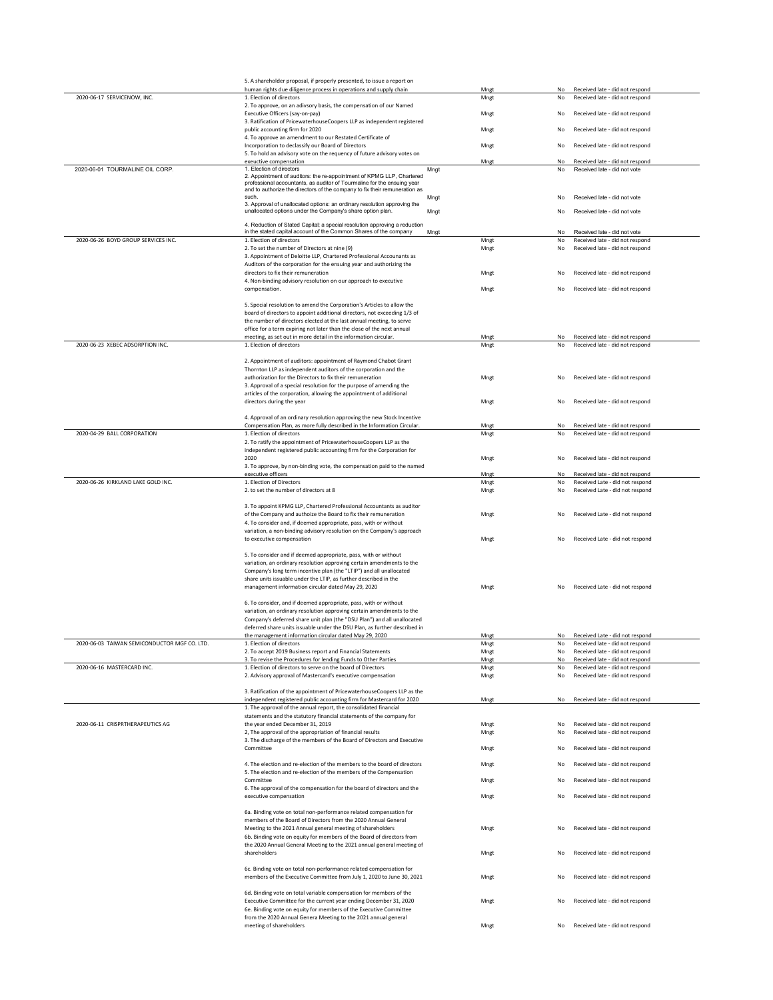|                                              | 5. A shareholder proposal, if properly presented, to issue a report on                                                                               |      |              |          |                                                                    |
|----------------------------------------------|------------------------------------------------------------------------------------------------------------------------------------------------------|------|--------------|----------|--------------------------------------------------------------------|
|                                              | human rights due diligence process in operations and supply chain                                                                                    |      | Mngt         | No       | Received late - did not respond                                    |
| 2020-06-17 SERVICENOW, INC.                  | 1. Election of directors                                                                                                                             |      | Mngt         | No       | Received late - did not respond                                    |
|                                              | 2. To approve, on an adivsory basis, the compensation of our Named<br>Executive Officers (say-on-pay)                                                |      | Mngt         | No       | Received late - did not respond                                    |
|                                              | 3. Ratification of PricewaterhouseCoopers LLP as independent registered<br>public accounting firm for 2020                                           |      | Mngt         | No       | Received late - did not respond                                    |
|                                              | 4. To approve an amendment to our Restated Certificate of<br>Incorporation to declassify our Board of Directors                                      |      | Mngt         | No       | Received late - did not respond                                    |
|                                              | 5. To hold an advisory vote on the requency of future advisory votes on                                                                              |      |              |          |                                                                    |
| 2020-06-01 TOURMALINE OIL CORP.              | exeuctive compensation<br>1. Election of directors                                                                                                   | Mngt | Mngt         | No       | Received late - did not respond                                    |
|                                              | 2. Appointment of auditors: the re-appointment of KPMG LLP, Chartered<br>professional accountants, as auditor of Tourmaline for the ensuing year     |      |              | No       | Received late - did not vote                                       |
|                                              | and to authorize the directors of the company to fix their remuneration as<br>such.                                                                  | Mngt |              | No       | Received late - did not vote                                       |
|                                              | 3. Approval of unallocated options: an ordinary resolution approving the<br>unallocated options under the Company's share option plan.               | Mngt |              | No       | Received late - did not vote                                       |
|                                              | 4. Reduction of Stated Capital; a special resolution approving a reduction                                                                           |      |              |          |                                                                    |
| 2020-06-26 BOYD GROUP SERVICES INC.          | in the stated capital account of the Common Shares of the company<br>1. Election of directors                                                        | Mngt | Mngt         | No<br>No | Received late - did not vote<br>Received late - did not respond    |
|                                              | 2. To set the number of Directors at nine (9)                                                                                                        |      | Mngt         | No       | Received late - did not respond                                    |
|                                              | 3. Appointment of Deloitte LLP, Chartered Professional Accounants as<br>Auditors of the corporation for the ensuing year and authorizing the         |      |              |          |                                                                    |
|                                              | directors to fix their remuneration<br>4. Non-binding advisory resolution on our approach to executive                                               |      | Mngt         | No       | Received late - did not respond                                    |
|                                              | compensation.                                                                                                                                        |      | Mngt         | No       | Received late - did not respond                                    |
|                                              | 5. Special resolution to amend the Corporation's Articles to allow the                                                                               |      |              |          |                                                                    |
|                                              | board of directors to appoint additional directors, not exceeding 1/3 of<br>the number of directors elected at the last annual meeting, to serve     |      |              |          |                                                                    |
|                                              | office for a term expiring not later than the close of the next annual                                                                               |      |              |          |                                                                    |
|                                              | meeting, as set out in more detail in the information circular.                                                                                      |      | Mngt         | No       | Received late - did not respond                                    |
| 2020-06-23 XEBEC ADSORPTION INC.             | 1. Election of directors                                                                                                                             |      | Mngt         | No       | Received late - did not respond                                    |
|                                              | 2. Appointment of auditors: appointment of Raymond Chabot Grant                                                                                      |      |              |          |                                                                    |
|                                              | Thornton LLP as independent auditors of the corporation and the<br>authorization for the Directors to fix their remuneration                         |      | Mngt         | No       | Received late - did not respond                                    |
|                                              | 3. Approval of a special resolution for the purpose of amending the                                                                                  |      |              |          |                                                                    |
|                                              | articles of the corporation, allowing the appointment of additional<br>directors during the year                                                     |      | Mngt         | No       | Received late - did not respond                                    |
|                                              | 4. Approval of an ordinary resolution approving the new Stock Incentive                                                                              |      |              |          |                                                                    |
|                                              | Compensation Plan, as more fully described in the Information Circular.                                                                              |      | Mngt         | No       | Received late - did not respond                                    |
| 2020-04-29 BALL CORPORATION                  | 1. Election of directors<br>2. To ratify the appointment of PricewaterhouseCoopers LLP as the                                                        |      | Mngt         | No       | Received late - did not respond                                    |
|                                              | independent registered public accounting firm for the Corporation for                                                                                |      |              |          |                                                                    |
|                                              | 2020<br>3. To approve, by non-binding vote, the compensation paid to the named                                                                       |      | Mngt         | No       | Received late - did not respond                                    |
|                                              | executive officers                                                                                                                                   |      | Mngt         | No       | Received late - did not respond                                    |
| 2020-06-26 KIRKLAND LAKE GOLD INC.           | 1. Election of Directors<br>2. to set the number of directors at 8                                                                                   |      | Mngt<br>Mngt | No<br>No | Received Late - did not respond<br>Received Late - did not respond |
|                                              |                                                                                                                                                      |      |              |          |                                                                    |
|                                              | 3. To appoint KPMG LLP, Chartered Professional Accountants as auditor                                                                                |      |              |          |                                                                    |
|                                              | of the Company and authoize the Board to fix their remuneration<br>4. To consider and, if deemed appropriate, pass, with or without                  |      | Mngt         | No       | Received Late - did not respond                                    |
|                                              | variation, a non-binding advisory resolution on the Company's approach                                                                               |      |              |          |                                                                    |
|                                              | to executive compensation                                                                                                                            |      | Mngt         | No       | Received Late - did not respond                                    |
|                                              | 5. To consider and if deemed appropriate, pass, with or without<br>variation, an ordinary resolution approving certain amendments to the             |      |              |          |                                                                    |
|                                              | Company's long term incentive plan (the "LTIP") and all unallocated                                                                                  |      |              |          |                                                                    |
|                                              | share units issuable under the LTIP, as further described in the<br>management information circular dated May 29, 2020                               |      | Mngt         | No       | Received Late - did not respond                                    |
|                                              | 6. To consider, and if deemed appropriate, pass, with or without                                                                                     |      |              |          |                                                                    |
|                                              | variation, an ordinary resolution approving certain amendments to the                                                                                |      |              |          |                                                                    |
|                                              | Company's deferred share unit plan (the "DSU Plan") and all unallocated<br>deferred share units issuable under the DSU Plan, as further described in |      |              |          |                                                                    |
|                                              | nanagament information circular dated May 20, 2020                                                                                                   |      |              |          | Received Late - did not reconnd                                    |
| 2020-06-03 TAIWAN SEMICONDUCTOR MGF CO. LTD. | 1. Election of directors                                                                                                                             |      | Mngt         | No       | Received late - did not respond<br>Received late - did not respond |
|                                              | 2. To accept 2019 Business report and Financial Statements<br>3. To revise the Procedures for lending Funds to Other Parties                         |      | Mngt<br>Mngt | No<br>No | Received late - did not respond                                    |
| 2020-06-16 MASTERCARD INC.                   | 1. Election of directors to serve on the board of Directors                                                                                          |      | Mngt         | No       | Received late - did not respond                                    |
|                                              | 2. Advisory approval of Mastercard's executive compensation                                                                                          |      | Mngt         | No       | Received late - did not respond                                    |
|                                              | 3. Ratification of the appointment of PricewaterhouseCoopers LLP as the                                                                              |      |              |          |                                                                    |
|                                              | independent registered public accounting firm for Mastercard for 2020<br>1. The approval of the annual report, the consolidated financial            |      | Mngt         | No       | Received late - did not respond                                    |
|                                              | statements and the statutory financial statements of the company for                                                                                 |      |              |          |                                                                    |
| 2020-06-11 CRISPRTHERAPEUTICS AG             | the year ended December 31, 2019<br>2, The approval of the appropriation of financial results                                                        |      | Mngt<br>Mngt | No<br>No | Received late - did not respond<br>Received late - did not respond |
|                                              | 3. The discharge of the members of the Board of Directors and Executive<br>Committee                                                                 |      | Mngt         | No       | Received late - did not respond                                    |
|                                              |                                                                                                                                                      |      |              |          |                                                                    |
|                                              | 4. The election and re-election of the members to the board of directors<br>5. The election and re-election of the members of the Compensation       |      | Mngt         | No       | Received late - did not respond                                    |
|                                              | Committee<br>6. The approval of the compensation for the board of directors and the                                                                  |      | Mngt         | No       | Received late - did not respond                                    |
|                                              | executive compensation                                                                                                                               |      | Mngt         | No       | Received late - did not respond                                    |
|                                              | 6a. Binding vote on total non-performance related compensation for                                                                                   |      |              |          |                                                                    |
|                                              | members of the Board of Directors from the 2020 Annual General<br>Meeting to the 2021 Annual general meeting of shareholders                         |      | Mngt         | No       | Received late - did not respond                                    |
|                                              | 6b. Binding vote on equity for members of the Board of directors from                                                                                |      |              |          |                                                                    |
|                                              | the 2020 Annual General Meeting to the 2021 annual general meeting of<br>shareholders                                                                |      | Mngt         | No       | Received late - did not respond                                    |
|                                              | 6c. Binding vote on total non-performance related compensation for                                                                                   |      |              |          |                                                                    |
|                                              | members of the Executive Committee from July 1, 2020 to June 30, 2021                                                                                |      | Mngt         | No       | Received late - did not respond                                    |
|                                              | 6d. Binding vote on total variable compensation for members of the                                                                                   |      |              |          |                                                                    |
|                                              | Executive Committee for the current year ending December 31, 2020<br>6e. Binding vote on equity for members of the Executive Committee               |      | Mngt         | No       | Received late - did not respond                                    |
|                                              | from the 2020 Annual Genera Meeting to the 2021 annual general<br>meeting of shareholders                                                            |      | Mngt         | No       | Received late - did not respond                                    |
|                                              |                                                                                                                                                      |      |              |          |                                                                    |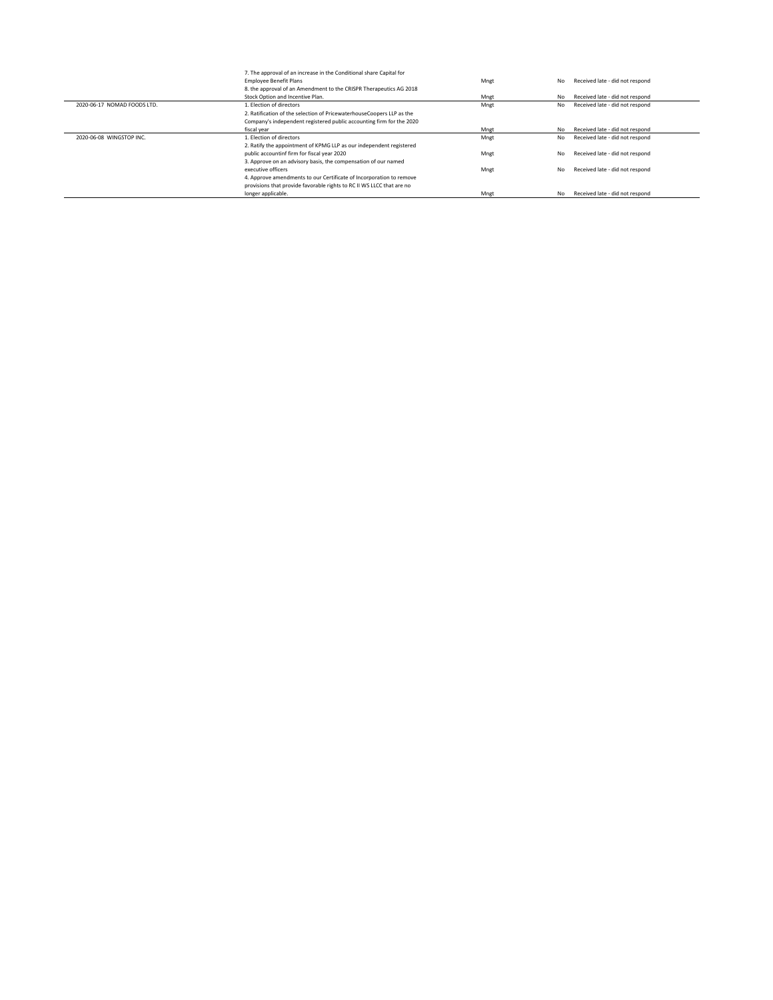|                             | 7. The approval of an increase in the Conditional share Capital for   |      |    |                                 |
|-----------------------------|-----------------------------------------------------------------------|------|----|---------------------------------|
|                             | <b>Employee Benefit Plans</b>                                         | Mngt | No | Received late - did not respond |
|                             | 8. the approval of an Amendment to the CRISPR Therapeutics AG 2018    |      |    |                                 |
|                             | Stock Option and Incentive Plan.                                      | Mnet | No | Received late - did not respond |
| 2020-06-17 NOMAD FOODS LTD. | 1. Election of directors                                              | Mngt | No | Received late - did not respond |
|                             | 2. Ratification of the selection of PricewaterhouseCoopers LLP as the |      |    |                                 |
|                             | Company's independent registered public accounting firm for the 2020  |      |    |                                 |
|                             | fiscal year                                                           | Mnet | No | Received late - did not respond |
| 2020-06-08 WINGSTOP INC.    | 1. Election of directors                                              | Mngt | No | Received late - did not respond |
|                             | 2. Ratify the appointment of KPMG LLP as our independent registered   |      |    |                                 |
|                             | public accountinf firm for fiscal year 2020                           | Mngt | No | Received late - did not respond |
|                             | 3. Approve on an advisory basis, the compensation of our named        |      |    |                                 |
|                             | executive officers                                                    | Mngt | No | Received late - did not respond |
|                             | 4. Approve amendments to our Certificate of Incorporation to remove   |      |    |                                 |
|                             | provisions that provide favorable rights to RC II WS LLCC that are no |      |    |                                 |
|                             | longer applicable.                                                    | Mngt | No | Received late - did not respond |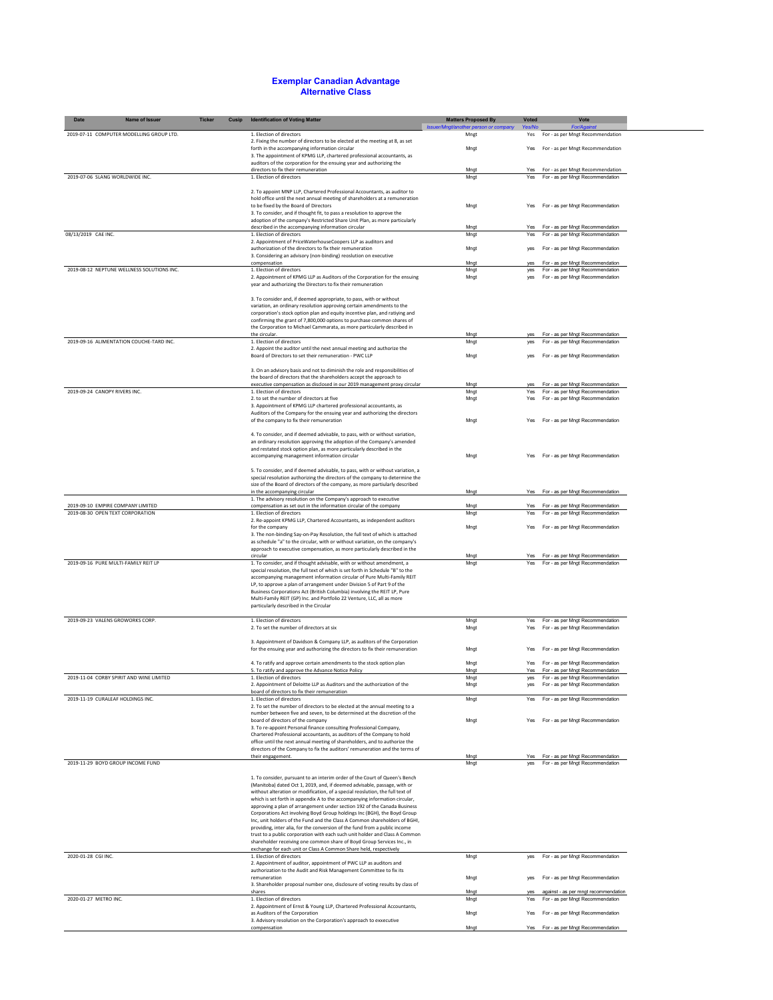## **Exemplar Canadian Advantage Alternative Class**

| Date<br>Name of Issuer                     | <b>Ticker</b><br>Cusip | <b>Identification of Voting Matter</b>                                                                                                                       | <b>Matters Proposed By</b>                    | <b>Voted</b> | Vote                                                                     |
|--------------------------------------------|------------------------|--------------------------------------------------------------------------------------------------------------------------------------------------------------|-----------------------------------------------|--------------|--------------------------------------------------------------------------|
| 2019-07-11 COMPUTER MODELLING GROUP LTD.   |                        | 1. Election of directors                                                                                                                                     | Issuer/Mngt/another person or company<br>Mngt | Yes/No       | <b>For/Against</b><br>Yes For - as per Mngt Recommendation               |
|                                            |                        | 2. Fixing the number of directors to be elected at the meeting at 8, as set<br>forth in the accompanying information circular                                | Mngt                                          | Yes          | For - as per Mngt Recommendation                                         |
|                                            |                        | 3. The appointment of KPMG LLP, chartered professional accountants, as<br>auditors of the corporation for the ensuing year and authorizing the               |                                               |              |                                                                          |
| 2019-07-06 SLANG WORLDWIDE INC.            |                        | directors to fix their remuneration<br>1. Election of directors                                                                                              | Mngt                                          | Yes          | For - as per Mngt Recommendation<br>Yes For - as per Mngt Recommendation |
|                                            |                        |                                                                                                                                                              | Mngt                                          |              |                                                                          |
|                                            |                        | 2. To appoint MNP LLP, Chartered Professional Accountants, as auditor to<br>hold office until the next annual meeting of shareholders at a remuneration      |                                               |              |                                                                          |
|                                            |                        | to be fixed by the Board of Directors                                                                                                                        | Mngt                                          |              | For - as per Mngt Recommendation                                         |
|                                            |                        | 3. To consider, and if thought fit, to pass a resolution to approve the<br>adoption of the company's Restricted Share Unit Plan, as more particularly        |                                               |              |                                                                          |
| 08/13/2019 CAE INC.                        |                        | described in the accompanying information circular<br>1. Election of directors                                                                               | Mngt<br>Mngt                                  | Yes<br>Yes   | For - as per Mngt Recommendation<br>For - as per Mngt Recommendation     |
|                                            |                        | 2. Appointment of PriceWaterhouseCoopers LLP as auditors and                                                                                                 |                                               |              |                                                                          |
|                                            |                        | authorization of the directors to fix their remuneration<br>3. Considering an advisory (non-binding) reoslution on executive                                 | Mngt                                          | yes          | For - as per Mngt Recommendation                                         |
|                                            |                        | compensation                                                                                                                                                 | Mngt                                          | yes          | For - as per Mngt Recommendation                                         |
| 2019-08-12 NEPTUNE WELLNESS SOLUTIONS INC. |                        | 1. Election of directors<br>2. Appointment of KPMG LLP as Auditors of the Corporation for the ensuing                                                        | Mngt<br>Mngt                                  | yes<br>yes   | For - as per Mngt Recommendation<br>For - as per Mngt Recommendation     |
|                                            |                        | year and authorizing the Directors to fix their remuneration                                                                                                 |                                               |              |                                                                          |
|                                            |                        | 3. To consider and, if deemed appropriate, to pass, with or without                                                                                          |                                               |              |                                                                          |
|                                            |                        | variation, an ordinary resolution approving certain amendments to the<br>corporation's stock option plan and equity incentive plan, and ratiying and         |                                               |              |                                                                          |
|                                            |                        | confirming the grant of 7,800,000 options to purchase common shares of                                                                                       |                                               |              |                                                                          |
|                                            |                        | the Corporation to Michael Cammarata, as more particularly described in<br>the circular.                                                                     | Mngt                                          | yes          | For - as per Mngt Recommendation                                         |
| 2019-09-16 ALIMENTATION COUCHE-TARD INC.   |                        | 1. Election of directors<br>2. Appoint the auditor until the next annual meeting and authorize the                                                           | Mngt                                          | yes          | For - as per Mngt Recommendation                                         |
|                                            |                        | Board of Directors to set their remuneration - PWC LLP                                                                                                       | Mngt                                          | yes          | For - as per Mngt Recommendation                                         |
|                                            |                        | 3. On an advisory basis and not to diminish the role and responsibilities of                                                                                 |                                               |              |                                                                          |
|                                            |                        | the board of directors that the shareholders accept the approach to                                                                                          |                                               |              |                                                                          |
| 2019-09-24 CANOPY RIVERS INC.              |                        | executive compensation as disclosed in our 2019 management proxy circular<br>1. Election of directors                                                        | Mngt<br>Mngt                                  | yes<br>Yes   | For - as per Mngt Recommendation<br>For - as per Mngt Recommendation     |
|                                            |                        | 2. to set the number of directors at five                                                                                                                    | Mngt                                          | Yes          | For - as per Mngt Recommendation                                         |
|                                            |                        | 3. Appointment of KPMG LLP chartered professional accountants, as<br>Auditors of the Company for the ensuing year and authorizing the directors              |                                               |              |                                                                          |
|                                            |                        | of the company to fix their remuneration                                                                                                                     | Mngt                                          | Yes          | For - as per Mngt Recommendation                                         |
|                                            |                        | 4. To consider, and if deemed advisable, to pass, with or without variation,                                                                                 |                                               |              |                                                                          |
|                                            |                        | an ordinary resolution approving the adoption of the Company's amended<br>and restated stock option plan, as more particularly described in the              |                                               |              |                                                                          |
|                                            |                        | accompanying management information circular                                                                                                                 | Mngt                                          | Yes          | For - as per Mngt Recommendation                                         |
|                                            |                        | 5. To consider, and if deemed advisable, to pass, with or without variation, a                                                                               |                                               |              |                                                                          |
|                                            |                        | special resolution authorizing the directors of the company to determine the<br>size of the Board of directors of the company, as more partiularly described |                                               |              |                                                                          |
|                                            |                        | in the accompanying circular                                                                                                                                 | Mngt                                          | Yes          | For - as per Mngt Recommendation                                         |
| 2019-09-10 EMPIRE COMPANY LIMITED          |                        | 1. The advisory resolution on the Company's approach to executive<br>compensation as set out in the information circular of the company                      | Mngt                                          | Yes          | For - as per Mngt Recommendation                                         |
| 2019-08-30 OPEN TEXT CORPORATION           |                        | 1. Election of directors                                                                                                                                     | Mngt                                          | Yes          | For - as per Mngt Recommendation                                         |
|                                            |                        | 2. Re-appoint KPMG LLP, Chartered Accountants, as independent auditors<br>for the company                                                                    | Mngt                                          | Yes          | For - as per Mngt Recommendation                                         |
|                                            |                        | 3. The non-binding Say-on-Pay Resolution, the full text of which is attached<br>as schedule "a" to the circular, with or without variation, on the company's |                                               |              |                                                                          |
|                                            |                        | approach to executive compensation, as more particularly described in the                                                                                    |                                               |              |                                                                          |
| 2019-09-16 PURE MULTI-FAMILY REIT LP       |                        | circular<br>1. To consider, and if thought advisable, with or without amendment, a                                                                           | Mngt<br>Mngt                                  | Yes<br>Yes   | For - as per Mngt Recommendation<br>For - as per Mngt Recommendation     |
|                                            |                        | special resolution, the full text of which is set forth in Schedule "B" to the<br>accompanying management information circular of Pure Multi-Family REIT     |                                               |              |                                                                          |
|                                            |                        | LP, to approve a plan of arrangement under Division 5 of Part 9 of the                                                                                       |                                               |              |                                                                          |
|                                            |                        | Business Corporations Act (British Columbia) involving the REIT LP, Pure<br>Multi-Family REIT (GP) Inc. and Portfolio 22 Venture, LLC, all as more           |                                               |              |                                                                          |
|                                            |                        | particularly described in the Circular                                                                                                                       |                                               |              |                                                                          |
| 2019-09-23 VALENS GROWORKS CORP.           |                        | 1. Election of directors                                                                                                                                     | Mngt                                          | Yes          | For - as per Mngt Recommendation                                         |
|                                            |                        | 2. To set the number of directors at six                                                                                                                     | Mngt                                          | Yes          | For - as per Mngt Recommendation                                         |
|                                            |                        | 3. Appointment of Davidson & Company LLP, as auditors of the Corporation                                                                                     |                                               |              |                                                                          |
|                                            |                        | for the ensuing year and authorizing the directors to fix their remuneration                                                                                 | Mngt                                          | Yes          | For - as per Mngt Recommendation                                         |
|                                            |                        | 4. To ratify and approve certain amendments to the stock option plan                                                                                         | Mnat                                          | Yes          | For - as per Mngt Recommendation                                         |
| 2019-11-04 CORBY SPIRIT AND WINE LIMITED   |                        | 5. To ratify and approve the Advance Notice Policy<br>1. Election of directors                                                                               | Mngt<br>Mngt                                  | Yes<br>yes   | For - as per Mngt Recommendation<br>For - as per Mngt Recommendation     |
|                                            |                        | 2. Appointment of Deloitte LLP as Auditors and the authorization of the                                                                                      | Mngt                                          |              | For - as per Mngt Recommendation                                         |
| 2019-11-19 CURALEAF HOLDINGS INC.          |                        | board of directors to fix their remuneration<br>1. Election of directors                                                                                     | Mngt                                          | Yes          | For - as per Mngt Recommendation                                         |
|                                            |                        | 2. To set the number of directors to be elected at the annual meeting to a<br>number between five and seven, to be determined at the discretion of the       |                                               |              |                                                                          |
|                                            |                        | board of directors of the company                                                                                                                            | Mngt                                          | Yes          | For - as per Mngt Recommendation                                         |
|                                            |                        | 3. To re-appoint Personal finance consulting Professional Company,<br>Chartered Professional accountants, as auditors of the Company to hold                 |                                               |              |                                                                          |
|                                            |                        | office until the next annual meeting of shareholders, and to authorize the<br>directors of the Company to fix the auditors' remuneration and the terms of    |                                               |              |                                                                          |
|                                            |                        | their engagement.                                                                                                                                            | Mngt                                          | Yes          | For - as per Mngt Recommendation                                         |
| 2019-11-29 BOYD GROUP INCOME FUND          |                        |                                                                                                                                                              | Mngt                                          | yes          | For - as per Mngt Recommendation                                         |
|                                            |                        | 1. To consider, pursuant to an interim order of the Court of Queen's Bench                                                                                   |                                               |              |                                                                          |
|                                            |                        | (Manitoba) dated Oct 1, 2019, and, if deemed advisable, passage, with or<br>without alteration or modification, of a special reoslution, the full text of    |                                               |              |                                                                          |
|                                            |                        | which is set forth in appendix A to the accompanying information circular,<br>approving a plan of arrangement under section 192 of the Canada Business       |                                               |              |                                                                          |
|                                            |                        | Corporations Act involving Boyd Group holdings Inc (BGH), the Boyd Group                                                                                     |                                               |              |                                                                          |
|                                            |                        | Inc, unit holders of the Fund and the Class A Common shareholders of BGHI,<br>providing, inter alia, for the conversion of the fund from a public income     |                                               |              |                                                                          |
|                                            |                        | trust to a public corporation with each such unit holder and Class A Common                                                                                  |                                               |              |                                                                          |
|                                            |                        | shareholder receiving one common share of Boyd Group Services Inc., in<br>exchange for each unit or Class A Common Share held, respectively                  |                                               |              |                                                                          |
| 2020-01-28 CGI INC.                        |                        | 1. Election of directors                                                                                                                                     | Mngt                                          | yes          | For - as per Mngt Recommendation                                         |
|                                            |                        | 2. Appointment of auditor, appointment of PWC LLP as auditors and<br>authorization to the Audit and Risk Management Committee to fix its                     |                                               |              |                                                                          |
|                                            |                        | remuneration<br>3. Shareholder proposal number one, disclosure of voting results by class of                                                                 | Mngt                                          | yes          | For - as per Mngt Recommendation                                         |
|                                            |                        | shares                                                                                                                                                       | Mnat                                          | ves          | against - as per mngt recommendation                                     |
| 2020-01-27 METRO INC.                      |                        | 1. Election of directors<br>2. Appointment of Ernst & Young LLP, Chartered Professional Accountants,                                                         | Mngt                                          | Yes          | For - as per Mngt Recommendation                                         |
|                                            |                        | as Auditors of the Corporation<br>3. Advisory resolution on the Corporation's approach to exxecutive                                                         | Mngt                                          | Yes          | For - as per Mngt Recommendation                                         |
|                                            |                        | compensation                                                                                                                                                 | Mngt                                          |              | Yes For - as per Mngt Recommendation                                     |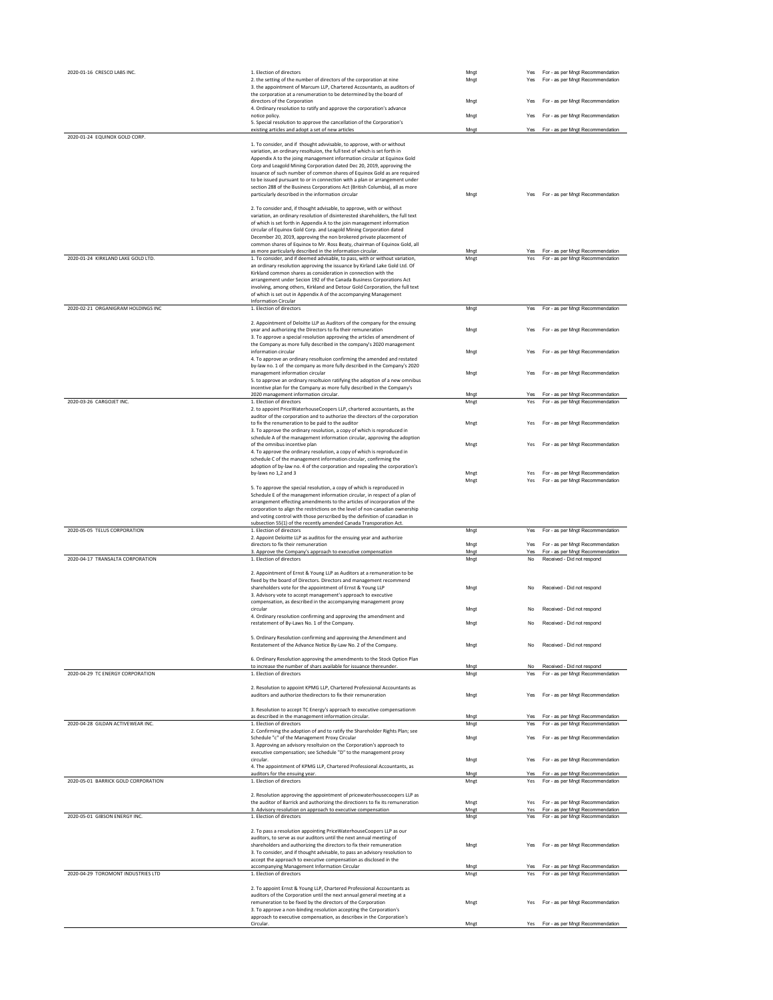| 2020-01-16 CRESCO LABS INC.         | 1. Election of directors                                                                                                                                   | Mngt         | Yes        | For - as per Mngt Recommendation                                     |
|-------------------------------------|------------------------------------------------------------------------------------------------------------------------------------------------------------|--------------|------------|----------------------------------------------------------------------|
|                                     | 2. the setting of the number of directors of the corporation at nine<br>3. the appointment of Marcum LLP, Chartered Accountants, as auditors of            | Mngt         | Yes        | For - as per Mngt Recommendation                                     |
|                                     | the corporation at a renumeration to be determined by the board of                                                                                         |              |            |                                                                      |
|                                     | directors of the Corporation                                                                                                                               | Mnat         | Yes        | For - as per Mngt Recommendation                                     |
|                                     | 4. Ordinary resolution to ratify and approve the corporation's advance<br>notice policy.                                                                   | Mngt         | Yes        | For - as per Mngt Recommendation                                     |
|                                     | 5. Special resolution to approve the cancellation of the Corporation's<br>existing articles and adopt a set of new articles                                | Mngt         | Yes        | For - as per Mngt Recommendation                                     |
| 2020-01-24 EQUINOX GOLD CORP.       |                                                                                                                                                            |              |            |                                                                      |
|                                     | 1. To consider, and if thought advvisable, to approve, with or without                                                                                     |              |            |                                                                      |
|                                     | variation, an ordinary resoltuion, the full text of which is set forth in<br>Appendix A to the joing management information circular at Equinox Gold       |              |            |                                                                      |
|                                     | Corp and Leagold Mining Corporation dated Dec 20, 2019, approving the                                                                                      |              |            |                                                                      |
|                                     | issuance of such number of common shares of Equinox Gold as are required<br>to be issued pursuant to or in connection with a plan or arrangement under     |              |            |                                                                      |
|                                     | section 288 of the Business Corporations Act (British Columbia), all as more                                                                               |              |            |                                                                      |
|                                     | particularly described in the information circular                                                                                                         | Mnat         |            | Yes For - as per Mngt Recommendation                                 |
|                                     | 2. To consider and, if thought advisable, to approve, with or without                                                                                      |              |            |                                                                      |
|                                     | variation, an ordinary resolution of disinterested shareholders, the full text                                                                             |              |            |                                                                      |
|                                     | of which is set forth in Appendix A to the join management information                                                                                     |              |            |                                                                      |
|                                     | circular of Equinox Gold Corp. and Leagold Mining Corporation dated<br>December 20, 2019, approving the non brokered private placement of                  |              |            |                                                                      |
|                                     | common shares of Equinox to Mr. Ross Beaty, chairman of Equinox Gold, all                                                                                  |              |            |                                                                      |
|                                     | as more particularly described in the information circular.                                                                                                | Mngt         | Yes        | For - as per Mngt Recommendation                                     |
| 2020-01-24 KIRKLAND LAKE GOLD LTD.  | 1. To consider, and if deemed advisable, to pass, with or without variation,<br>an ordinary resolution approving the issuance by Kirland Lake Gold Ltd. Of | Mngt         | Yes        | For - as per Mngt Recommendation                                     |
|                                     | Kirkland common shares as consideration in connection with the                                                                                             |              |            |                                                                      |
|                                     | arrangement under Secion 192 of the Canada Business Corporations Act                                                                                       |              |            |                                                                      |
|                                     | involving, among others, Kirkland and Detour Gold Corporation, the full text<br>of which is set out in Appendix A of the accompanying Management           |              |            |                                                                      |
|                                     | <b>Information Circular</b>                                                                                                                                |              |            |                                                                      |
| 2020-02-21 ORGANIGRAM HOLDINGS INC  | 1. Election of directors                                                                                                                                   | Mngt         | Yes        | For - as per Mngt Recommendation                                     |
|                                     | 2. Appointment of Deloitte LLP as Auditors of the company for the ensuing                                                                                  |              |            |                                                                      |
|                                     | year and authorizing the Directors to fix their remuneration                                                                                               | Mngt         | Yes        | For - as per Mngt Recommendation                                     |
|                                     | 3. To approve a special resolution approving the articles of amendment of                                                                                  |              |            |                                                                      |
|                                     | the Company as more fully described in the company's 2020 management<br>information circular                                                               | Mng          | Yes        | For - as per Mngt Recommendation                                     |
|                                     | 4. To approve an ordinary resoltuion confirming the amended and restated                                                                                   |              |            |                                                                      |
|                                     | by-law no. 1 of the company as more fully described in the Company's 2020                                                                                  |              |            |                                                                      |
|                                     | management information circular                                                                                                                            | Mngt         | Yes        | For - as per Mngt Recommendation                                     |
|                                     | 5. to approve an ordinary resoltuion ratifying the adoption of a new omnibus<br>incentive plan for the Company as more fully described in the Company's    |              |            |                                                                      |
|                                     | 2020 management information circular.                                                                                                                      | Mngt         | Yes        | For - as per Mngt Recommendation                                     |
| 2020-03-26 CARGOJET INC.            | 1. Election of directors                                                                                                                                   | Mngt         | Yes        | For - as per Mngt Recommendation                                     |
|                                     | 2. to appoint PriceWaterhouseCoopers LLP, chartered accountants, as the<br>auditor of the corporation and to authorize the directors of the corporation    |              |            |                                                                      |
|                                     | to fix the renumeration to be paid to the auditor                                                                                                          | Mngt         | Yes        | For - as per Mngt Recommendation                                     |
|                                     | 3. To approve the ordinary resolution, a copy of which is reproduced in                                                                                    |              |            |                                                                      |
|                                     | schedule A of the management information circular, approving the adoption<br>of the omnibus incentive plan                                                 | Mngt         | Yes        | For - as per Mngt Recommendation                                     |
|                                     | 4. To approve the ordinary resolution, a copy of which is reproduced in                                                                                    |              |            |                                                                      |
|                                     | schedule C of the management information circular, confirming the                                                                                          |              |            |                                                                      |
|                                     | adoption of by-law no. 4 of the corporation and repealing the corporation's<br>by-laws no 1,2 and 3                                                        | Mngt         | Yes        | For - as per Mngt Recommendation                                     |
|                                     |                                                                                                                                                            | Mngt         | Yes        | For - as per Mngt Recommendation                                     |
|                                     | 5. To approve the special resolution, a copy of which is reproduced in                                                                                     |              |            |                                                                      |
|                                     |                                                                                                                                                            |              |            |                                                                      |
|                                     | Schedule E of the management information circular, in respect of a plan of                                                                                 |              |            |                                                                      |
|                                     | arrangement effecting amendments to the articles of incorporation of the<br>corporation to align the restrictions on the level of non-canadian ownership   |              |            |                                                                      |
|                                     | and voting control with those perscribed by the definition of ccanadian in                                                                                 |              |            |                                                                      |
| 2020-05-05 TELUS CORPORATION        | subsection 55(1) of the recently amended Canada Transporation Act.                                                                                         |              |            |                                                                      |
|                                     | 1. Election of directors<br>2. Appoint Deloitte LLP as auditos for the ensuing year and authorize                                                          | Mngt         | Yes        | For - as per Mngt Recommendation                                     |
|                                     | directors to fix their remuneration                                                                                                                        | Mngt         | Yes        | For - as per Mngt Recommendation                                     |
| 2020-04-17 TRANSALTA CORPORATION    | 3. Approve the Company's approach to executive compensation                                                                                                | Mngt         | Yes<br>No  | For - as per Mngt Recommendation                                     |
|                                     | 1. Election of directors                                                                                                                                   | Mngt         |            | Received - Did not respond                                           |
|                                     | 2. Appointment of Ernst & Young LLP as Auditors at a remuneration to be                                                                                    |              |            |                                                                      |
|                                     | fixed by the board of Directors. Directors and management recommend<br>shareholders vote for the appointment of Ernst & Young LLP                          | Mnat         | No         | Received - Did not respond                                           |
|                                     | 3. Advisory vote to accept management's approach to executive                                                                                              |              |            |                                                                      |
|                                     | compensation, as described in the accompanying management proxy                                                                                            |              |            |                                                                      |
|                                     | circular<br>4. Ordinary resolution confirming and approving the amendment and                                                                              | Mng          | No         | Received - Did not respond                                           |
|                                     | restatement of By-Laws No. 1 of the Company.                                                                                                               | Mnat         | <b>No</b>  | Received - Did not respond                                           |
|                                     |                                                                                                                                                            |              |            |                                                                      |
|                                     | 5. Ordinary Resolution confirming and approving the Amendment and<br>Restatement of the Advance Notice By-Law No. 2 of the Company.                        | Mng          | No         | Received - Did not respond                                           |
|                                     |                                                                                                                                                            |              |            |                                                                      |
|                                     | 6. Ordinary Resolution approving the amendments to the Stock Option Plan                                                                                   |              |            |                                                                      |
| 2020-04-29 TC ENERGY CORPORATION    | to increase the number of shars available for issuance thereunder.<br>1. Election of directors                                                             | Mngt<br>Mngt | No<br>Yes  | Received - Did not respond<br>For - as per Mngt Recommendation       |
|                                     |                                                                                                                                                            |              |            |                                                                      |
|                                     | 2. Resolution to appoint KPMG LLP, Chartered Professional Accountants as                                                                                   |              | Yes        |                                                                      |
|                                     | auditors and authorize thedirectors to fix their remuneration                                                                                              | Mngt         |            | For - as per Mngt Recommendation                                     |
|                                     | 3. Resolution to accept TC Energy's approach to executive compensationm                                                                                    |              |            |                                                                      |
|                                     | as described in the management information circular.                                                                                                       | Mnat         | Yes        | For - as per Mngt Recommendation                                     |
| 2020-04-28 GILDAN ACTIVEWEAR INC.   | 1. Election of directors<br>2. Confirming the adoption of and to ratify the Shareholder Rights Plan; see                                                   | Mngt         | Yes        | For - as per Mngt Recommendation                                     |
|                                     | Schedule "c" of the Management Proxy Circular                                                                                                              | Mngt         | Yes        | For - as per Mngt Recommendation                                     |
|                                     | 3. Approving an advisory resoltuion on the Corporation's approach to                                                                                       |              |            |                                                                      |
|                                     | executive compensation; see Schedule "D" to the management proxy<br>circular.                                                                              | Mngt         | Yes        | For - as per Mngt Recommendation                                     |
|                                     | 4. The appointment of KPMG LLP, Chartered Professional Accountants, as                                                                                     |              |            |                                                                      |
|                                     | auditors for the ensuing year.<br>1. Election of directors                                                                                                 | Mngt         | Yes<br>Yes | For - as per Mngt Recommendation                                     |
| 2020-05-01 BARRICK GOLD CORPORATION |                                                                                                                                                            | Mngt         |            | For - as per Mngt Recommendation                                     |
|                                     | 2. Resolution approving the appointment of pricewaterhousecoopers LLP as                                                                                   |              |            |                                                                      |
|                                     | the auditor of Barrick and authorizing the directionrs to fix its remuneration                                                                             | Mngt         | Yes        | Yes For - as per Mngt Recommendation                                 |
| 2020-05-01 GIBSON ENERGY INC.       | 3. Advisory resolution on approach to executive compensation<br>1. Election of directors                                                                   | Mngt<br>Mngt | Yes        | For - as per Mngt Recommendation<br>For - as per Mngt Recommendation |
|                                     |                                                                                                                                                            |              |            |                                                                      |
|                                     | 2. To pass a resolution appointing PriceWaterhouseCoopers LLP as our                                                                                       |              |            |                                                                      |
|                                     | auditors, to serve as our auditors until the next annual meeting of<br>shareholders and authorizing the directors to fix their remuneration                | Mnat         | Yes        | For - as per Mngt Recommendation                                     |
|                                     | 3. To consider, and if thought advisable, to pass an advisory resolution to                                                                                |              |            |                                                                      |
|                                     | accept the approach to executive compensation as disclosed in the                                                                                          |              | Yes        |                                                                      |
| 2020-04-29 TOROMONT INDUSTRIES LTD  | accompanying Management Information Circular<br>1. Election of directors                                                                                   | Mngt<br>Mnet | Yes        | For - as per Mngt Recommendation<br>For - as per Mngt Recommendation |
|                                     |                                                                                                                                                            |              |            |                                                                      |
|                                     | 2. To appoint Ernst & Young LLP, Chartered Professional Accountants as                                                                                     |              |            |                                                                      |
|                                     | auditors of the Corporation until the next annual general meeting at a<br>remuneration to be fixed by the directors of the Corporation                     | Mngt         | Yes        | For - as per Mngt Recommendation                                     |
|                                     | 3. To approve a non-binding resolution accepting the Corporation's<br>approach to executive compensation, as describex in the Corporation's                |              |            |                                                                      |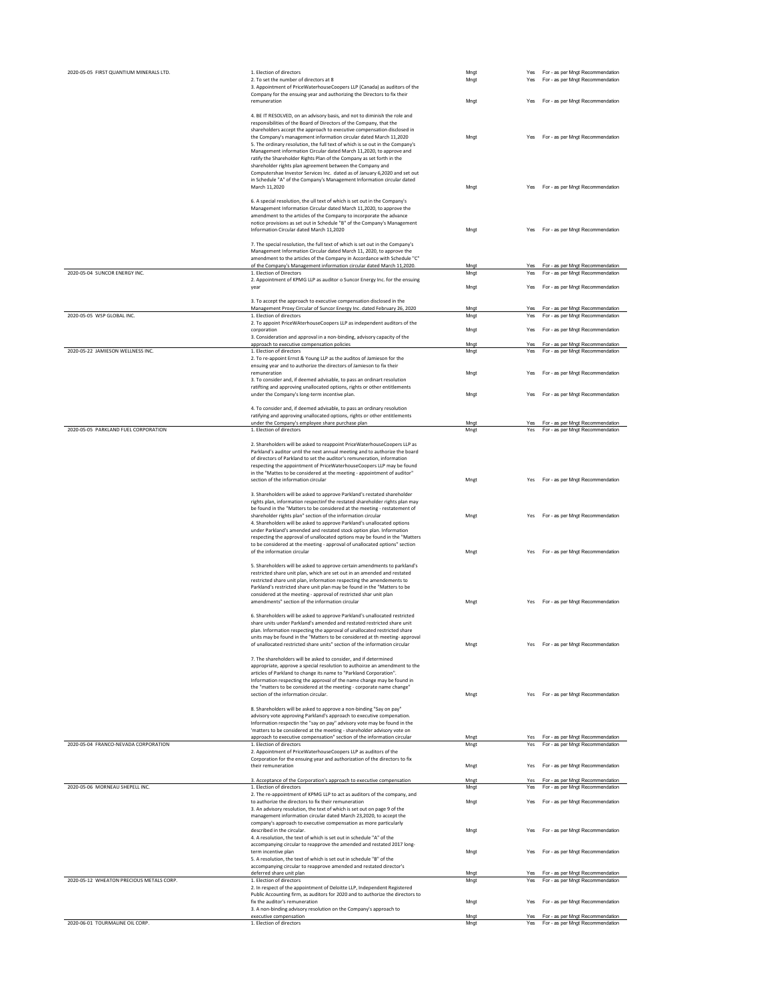| 2020-05-05 FIRST QUANTIUM MINERALS LTD.  | 1. Election of directors<br>2. To set the number of directors at 8<br>3. Appointment of PriceWaterhouseCoopers LLP (Canada) as auditors of the<br>Company for the ensuing year and authorizing the Directors to fix their                                                                                                                                                                                                                                                                                                                                                                          | Mngt<br>Mngt | For - as per Mngt Recommendation<br>Yes<br>For - as per Mngt Recommendation<br>Yes |
|------------------------------------------|----------------------------------------------------------------------------------------------------------------------------------------------------------------------------------------------------------------------------------------------------------------------------------------------------------------------------------------------------------------------------------------------------------------------------------------------------------------------------------------------------------------------------------------------------------------------------------------------------|--------------|------------------------------------------------------------------------------------|
|                                          | remuneration<br>4. BE IT RESOLVED, on an advisory basis, and not to diminish the role and<br>responsibilities of the Board of Directors of the Company, that the                                                                                                                                                                                                                                                                                                                                                                                                                                   | Mngt         | For - as per Mngt Recommendation<br>Yes                                            |
|                                          | shareholders accept the approach to executive compensation disclosed in<br>the Company's management information circular dated March 11,2020<br>5. The ordinary resolution, the full text of which is se out in the Company's<br>Management information Circular dated March 11,2020, to approve and<br>ratify the Shareholder Rights Plan of the Company as set forth in the<br>shareholder rights plan agreement between the Company and<br>Computershae Investor Services Inc. dated as of January 6,2020 and set out<br>in Schedule "A" of the Company's Management Information circular dated | Mngt         | For - as per Mngt Recommendation<br>Yes                                            |
|                                          | March 11.2020<br>6. A special resolution, the ull text of which is set out in the Company's<br>Management Information Circular dated March 11,2020, to approve the<br>amendment to the articles of the Company to incorporate the advance                                                                                                                                                                                                                                                                                                                                                          | Mngt         | For - as per Mngt Recommendation<br>Yes                                            |
|                                          | notice provisions as set out in Schedule "B" of the Company's Management<br>Information Circular dated March 11,2020<br>7. The special resolution, the full text of which is set out in the Company's                                                                                                                                                                                                                                                                                                                                                                                              | Mngt         | For - as per Mngt Recommendation<br>Yes                                            |
|                                          | Management Information Circular dated March 11, 2020, to approve the<br>amendment to the articles of the Company in Accordance with Schedule "C"<br>of the Company's Management information circular dated March 11,2020.                                                                                                                                                                                                                                                                                                                                                                          | Mngt         | For - as per Mngt Recommendation<br>Yes                                            |
| 2020-05-04 SUNCOR ENERGY INC.            | 1. Election of Directors<br>2. Appointment of KPMG LLP as auditor o Suncor Energy Inc. for the ensuing<br>year                                                                                                                                                                                                                                                                                                                                                                                                                                                                                     | Mngt<br>Mngt | For - as per Mngt Recommendation<br>Yes<br>For - as per Mngt Recommendation<br>Yes |
|                                          | 3. To accept the approach to executive compensation disclosed in the<br>Management Proxy Circular of Suncor Energy Inc. dated February 26, 2020                                                                                                                                                                                                                                                                                                                                                                                                                                                    | Mngt         | For - as per Mngt Recommendation<br>Yes                                            |
| 2020-05-05 WSP GLOBAL INC.               | 1. Election of directors<br>2. To appoint PriceWAterhouseCoopers LLP as independent auditors of the                                                                                                                                                                                                                                                                                                                                                                                                                                                                                                | Mnat         | For - as per Mngt Recommendation<br>Yes                                            |
|                                          | corporation                                                                                                                                                                                                                                                                                                                                                                                                                                                                                                                                                                                        | Mngt         | For - as per Mngt Recommendation<br>Yes                                            |
|                                          | 3. Consideration and approval in a non-binding, advisory capacity of the<br>approach to executive compensation policies                                                                                                                                                                                                                                                                                                                                                                                                                                                                            | Mngt         | For - as per Mngt Recommendation<br>Yes                                            |
| 2020-05-22 JAMIESON WELLNESS INC.        | 1. Election of directors<br>2. To re-appoint Ernst & Young LLP as the auditos of Jamieson for the<br>ensuing year and to authorize the directors of Jamieson to fix their                                                                                                                                                                                                                                                                                                                                                                                                                          | Mngt         | For - as per Mngt Recommendation<br>Yes                                            |
|                                          | remuneration<br>3. To consider and, if deemed advisable, to pass an ordinart resolution                                                                                                                                                                                                                                                                                                                                                                                                                                                                                                            | Mngt         | For - as per Mngt Recommendation<br>Yes                                            |
|                                          | ratifting and approving unallocated options, rights or other entitlements<br>under the Company's long-term incentive plan.                                                                                                                                                                                                                                                                                                                                                                                                                                                                         | Mngt         | For - as per Mngt Recommendation<br>Yes                                            |
|                                          | 4. To consider and, if deemed advisable, to pass an ordinary resolution                                                                                                                                                                                                                                                                                                                                                                                                                                                                                                                            |              |                                                                                    |
|                                          | ratifying and approving unallocated options, rights or other entitlements<br>under the Company's employee share purchase plan                                                                                                                                                                                                                                                                                                                                                                                                                                                                      | Mngt         | Yes For - as per Mngt Recommendation                                               |
| 2020-05-05 PARKLAND FUEL CORPORATION     | 1. Election of directors                                                                                                                                                                                                                                                                                                                                                                                                                                                                                                                                                                           | Mngt         | Yes For - as per Mngt Recommendation                                               |
|                                          | 2. Shareholders will be asked to reappoint PriceWaterhouseCoopers LLP as<br>Parkland's auditor until the next annual meeting and to authorize the board<br>of directors of Parkland to set the auditor's remuneration, information<br>respecting the appointment of PriceWaterhouseCoopers LLP may be found<br>in the "Mattes to be considered at the meeting - appointment of auditor"                                                                                                                                                                                                            |              |                                                                                    |
|                                          | section of the information circular                                                                                                                                                                                                                                                                                                                                                                                                                                                                                                                                                                | Mngt         | For - as per Mngt Recommendation<br>Yes                                            |
|                                          | 3. Shareholders will be asked to approve Parkland's restated shareholder<br>rights plan, information respectinf the restated shareholder rights plan may<br>be found in the "Matters to be considered at the meeting - restatement of<br>shareholder rights plan" section of the information circular<br>4. Shareholders will be asked to approve Parkland's unallocated options<br>under Parkland's amended and restated stock option plan. Information                                                                                                                                           | Mngt         | For - as per Mngt Recommendation<br>Yes                                            |
|                                          | respecting the approval of unallocated options may be found in the "Matters<br>to be considered at the meeting - approval of unallocated options" section<br>of the information circular                                                                                                                                                                                                                                                                                                                                                                                                           | Mngt         | For - as per Mngt Recommendation                                                   |
|                                          | 5. Shareholders will be asked to approve certain amendments to parkland's<br>restricted share unit plan, which are set out in an amended and restated<br>restricted share unit plan, information respecting the amendements to<br>Parkland's restricted share unit plan may be found in the "Matters to be<br>considered at the meeting - approval of restricted shar unit plan<br>amendments" section of the information circular                                                                                                                                                                 | Mngt         | For - as per Mngt Recommendation<br>Yes                                            |
|                                          | 6. Shareholders will be asked to approve Parkland's unallocated restricted<br>share units under Parkland's amended and restated restricted share unit<br>plan. Information respecting the approval of unallocated restricted share<br>units may be found in the "Matters to be considered at th meeting- approval                                                                                                                                                                                                                                                                                  |              |                                                                                    |
|                                          | of unallocated restricted share units" section of the information circular<br>7. The shareholders will be asked to consider, and if determined                                                                                                                                                                                                                                                                                                                                                                                                                                                     | Mngt         | Yes For - as per Mngt Recommendation                                               |
|                                          | appropriate, approve a special resolution to authoirze an amendment to the<br>articles of Parkland to change its name to "Parkland Corporation".<br>Information respecting the approval of the name change may be found in<br>the "matters to be considered at the meeting - corporate name change"                                                                                                                                                                                                                                                                                                |              |                                                                                    |
|                                          | section of the information circular.<br>8. Shareholders will be asked to approve a non-binding "Say on pay"<br>advisory vote approving Parkland's approach to executive compenation.<br>Information respectin the "say on pay" advisory vote may be found in the                                                                                                                                                                                                                                                                                                                                   | Mnet         | Yes For - as per Mngt Recommendation                                               |
|                                          | 'matters to be considered at the meeting - shareholder advisory vote on<br>approach to executive compensation" section of the information circular                                                                                                                                                                                                                                                                                                                                                                                                                                                 | Mngt         | For - as per Mngt Recommendation<br>Yes                                            |
| 2020-05-04 FRANCO-NEVADA CORPORATION     | 1. Election of directors<br>2. Appointment of PriceWaterhouseCoopers LLP as auditors of the                                                                                                                                                                                                                                                                                                                                                                                                                                                                                                        | Mngt         | Yes For - as per Mngt Recommendation                                               |
|                                          | Corporation for the ensuing year and authorization of the directors to fix<br>their remuneration                                                                                                                                                                                                                                                                                                                                                                                                                                                                                                   | Mngt         | For - as per Mngt Recommendation<br>Yes                                            |
|                                          | 3. Acceptance of the Corporation's approach to executive compensation                                                                                                                                                                                                                                                                                                                                                                                                                                                                                                                              | Mngt         | For - as per Mngt Recommendation<br>Yes                                            |
| 2020-05-06 MORNEAU SHEPELL INC.          | 1. Election of directors<br>2. The re-appointment of KPMG LLP to act as auditors of the company, and                                                                                                                                                                                                                                                                                                                                                                                                                                                                                               | Mngt         | For - as per Mngt Recommendation<br>Yes                                            |
|                                          | to authorize the directors to fix their remuneration<br>3. An advisory resolution, the text of which is set out on page 9 of the<br>management information circular dated March 23,2020, to accept the<br>company's approach to executive compensation as more particularly                                                                                                                                                                                                                                                                                                                        | Mngt         | For - as per Mngt Recommendation<br>Yes                                            |
|                                          | described in the circular.<br>4. A resolution, the text of which is set out in schedule "A" of the<br>accompanying circular to reapprove the amended and restated 2017 long-                                                                                                                                                                                                                                                                                                                                                                                                                       | Mngt         | For - as per Mngt Recommendation<br>Yes                                            |
|                                          | term incentive plan<br>5. A resolution, the text of which is set out in schedule "B" of the<br>accompanying circular to reapprove amended and restated director's                                                                                                                                                                                                                                                                                                                                                                                                                                  | Mngt         | For - as per Mngt Recommendation<br>Yes                                            |
| 2020-05-12 WHEATON PRECIOUS METALS CORP. | deferred share unit plan<br>1. Election of directors<br>2. In respect of the appointment of Deloitte LLP, Independent Registered                                                                                                                                                                                                                                                                                                                                                                                                                                                                   | Mngt<br>Mngt | For - as per Mngt Recommendation<br>Yes<br>Yes For - as per Mngt Recommendation    |
|                                          | Public Accounting firm, as auditors for 2020 and to authorize the directors to<br>fix the auditor's remuneration                                                                                                                                                                                                                                                                                                                                                                                                                                                                                   | Mngt         | Yes For - as per Mngt Recommendation                                               |
|                                          | 3. A non-binding advisory resolution on the Company's approach to<br>executive compensation                                                                                                                                                                                                                                                                                                                                                                                                                                                                                                        | Mngt         | For - as per Mngt Recommendation<br>Yes                                            |
| 2020-06-01 TOURMALINE OIL CORP.          | 1. Election of directors                                                                                                                                                                                                                                                                                                                                                                                                                                                                                                                                                                           | Mngt         | Yes For - as per Mngt Recommendation                                               |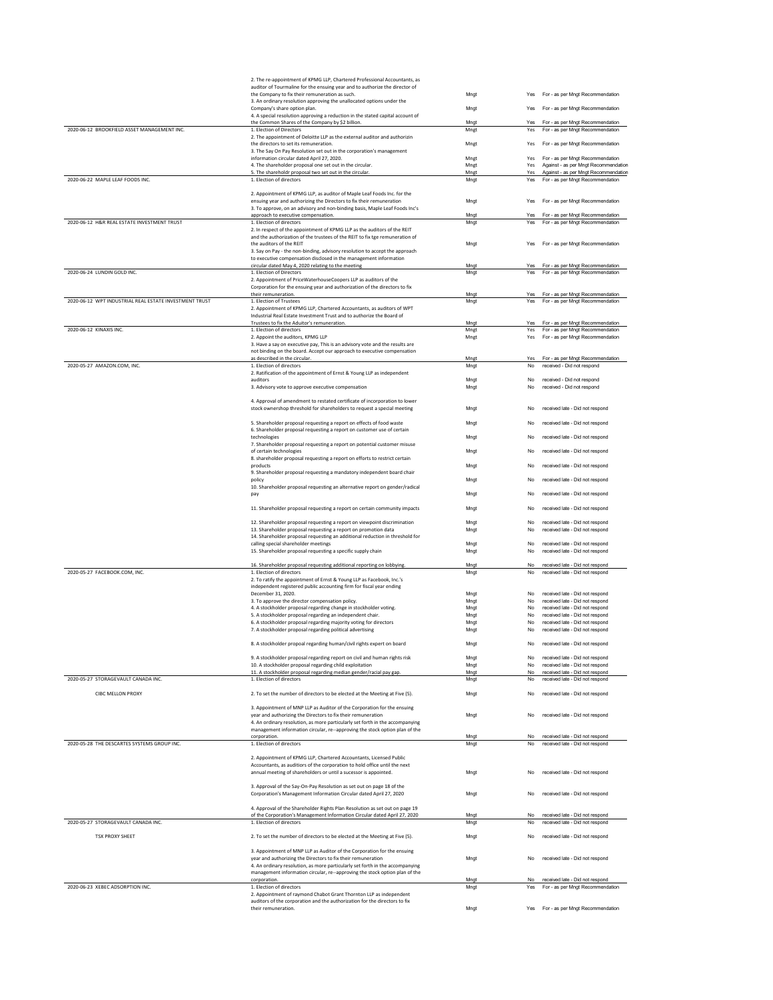| auditor of Tourmaline for the ensuing year and to authorize the director of<br>For - as per Mngt Recommendation<br>the Company to fix their remuneration as such.<br>Mngt<br>Yes<br>3. An ordinary resolution approving the unallocated options under the<br>Company's share option plan.<br>Mngt<br>For - as per Mngt Recommendation<br>Yes<br>4. A special resolution approving a reduction in the stated capital account of<br>the Common Shares of the Company by \$2 billion.<br>For - as per Mngt Recommendation<br>Mngt<br>Yes<br>2020-06-12 BROOKFIELD ASSET MANAGEMENT INC.<br>For - as per Mngt Recommendation<br>1. Election of Directors<br>Mngt<br>Yes<br>2. The appointment of Deloitte LLP as the external auditor and authorizin<br>the directors to set its remuneration.<br>For - as per Mngt Recommendation<br>Mngt<br>Yes<br>3. The Say On Pay Resolution set out in the corporation's management<br>For - as per Mngt Recommendation<br>information circular dated April 27, 2020.<br>Mngt<br>Yes<br>4. The shareholder proposal one set out in the circular.<br>Mngt<br>Yes<br>Against - as per Mngt Recommendation |  |
|-------------------------------------------------------------------------------------------------------------------------------------------------------------------------------------------------------------------------------------------------------------------------------------------------------------------------------------------------------------------------------------------------------------------------------------------------------------------------------------------------------------------------------------------------------------------------------------------------------------------------------------------------------------------------------------------------------------------------------------------------------------------------------------------------------------------------------------------------------------------------------------------------------------------------------------------------------------------------------------------------------------------------------------------------------------------------------------------------------------------------------------------|--|
|                                                                                                                                                                                                                                                                                                                                                                                                                                                                                                                                                                                                                                                                                                                                                                                                                                                                                                                                                                                                                                                                                                                                           |  |
|                                                                                                                                                                                                                                                                                                                                                                                                                                                                                                                                                                                                                                                                                                                                                                                                                                                                                                                                                                                                                                                                                                                                           |  |
|                                                                                                                                                                                                                                                                                                                                                                                                                                                                                                                                                                                                                                                                                                                                                                                                                                                                                                                                                                                                                                                                                                                                           |  |
|                                                                                                                                                                                                                                                                                                                                                                                                                                                                                                                                                                                                                                                                                                                                                                                                                                                                                                                                                                                                                                                                                                                                           |  |
|                                                                                                                                                                                                                                                                                                                                                                                                                                                                                                                                                                                                                                                                                                                                                                                                                                                                                                                                                                                                                                                                                                                                           |  |
|                                                                                                                                                                                                                                                                                                                                                                                                                                                                                                                                                                                                                                                                                                                                                                                                                                                                                                                                                                                                                                                                                                                                           |  |
|                                                                                                                                                                                                                                                                                                                                                                                                                                                                                                                                                                                                                                                                                                                                                                                                                                                                                                                                                                                                                                                                                                                                           |  |
|                                                                                                                                                                                                                                                                                                                                                                                                                                                                                                                                                                                                                                                                                                                                                                                                                                                                                                                                                                                                                                                                                                                                           |  |
|                                                                                                                                                                                                                                                                                                                                                                                                                                                                                                                                                                                                                                                                                                                                                                                                                                                                                                                                                                                                                                                                                                                                           |  |
| 5. The shareholdr proposal two set out in the circular.<br>Against - as per Mngt Recommendation<br>Mngt<br>Yes                                                                                                                                                                                                                                                                                                                                                                                                                                                                                                                                                                                                                                                                                                                                                                                                                                                                                                                                                                                                                            |  |
| 2020-06-22 MAPLE LEAF FOODS INC.<br>1. Election of directors<br>For - as per Mngt Recommendation<br>Mngt<br>Yes                                                                                                                                                                                                                                                                                                                                                                                                                                                                                                                                                                                                                                                                                                                                                                                                                                                                                                                                                                                                                           |  |
| 2. Appointment of KPMG LLP, as auditor of Maple Leaf Foods Inc. for the                                                                                                                                                                                                                                                                                                                                                                                                                                                                                                                                                                                                                                                                                                                                                                                                                                                                                                                                                                                                                                                                   |  |
| ensuing year and authorizing the Directors to fix their remuneration<br>Mngt<br>For - as per Mngt Recommendation<br>Yes                                                                                                                                                                                                                                                                                                                                                                                                                                                                                                                                                                                                                                                                                                                                                                                                                                                                                                                                                                                                                   |  |
| 3. To approve, on an advisory and non-binding basis, Maple Leaf Foods Inc's                                                                                                                                                                                                                                                                                                                                                                                                                                                                                                                                                                                                                                                                                                                                                                                                                                                                                                                                                                                                                                                               |  |
| Yes For - as per Mngt Recommendation<br>approach to executive compensation.<br>Mngt<br>2020-06-12 H&R REAL ESTATE INVESTMENT TRUST<br>For - as per Mngt Recommendation<br>1. Election of directors<br>Mngt<br>Yes                                                                                                                                                                                                                                                                                                                                                                                                                                                                                                                                                                                                                                                                                                                                                                                                                                                                                                                         |  |
| 2. In respect of the appointment of KPMG LLP as the auditors of the REIT                                                                                                                                                                                                                                                                                                                                                                                                                                                                                                                                                                                                                                                                                                                                                                                                                                                                                                                                                                                                                                                                  |  |
| and the authorization of the trustees of the REIT to fix tge remuneration of                                                                                                                                                                                                                                                                                                                                                                                                                                                                                                                                                                                                                                                                                                                                                                                                                                                                                                                                                                                                                                                              |  |
| Mngt<br>For - as per Mngt Recommendation<br>the auditors of the REIT<br>Yes                                                                                                                                                                                                                                                                                                                                                                                                                                                                                                                                                                                                                                                                                                                                                                                                                                                                                                                                                                                                                                                               |  |
| 3. Say on Pay - the non-binding, advisory resolution to accept the approach<br>to executive compensation disclosed in the management information                                                                                                                                                                                                                                                                                                                                                                                                                                                                                                                                                                                                                                                                                                                                                                                                                                                                                                                                                                                          |  |
| circular dated May 4, 2020 relating to the meeting<br>Mngt<br>For - as per Mngt Recommendation<br>Yes                                                                                                                                                                                                                                                                                                                                                                                                                                                                                                                                                                                                                                                                                                                                                                                                                                                                                                                                                                                                                                     |  |
| 2020-06-24 LUNDIN GOLD INC.<br>1. Election of Directors<br>Mngt<br>Yes For - as per Mngt Recommendation                                                                                                                                                                                                                                                                                                                                                                                                                                                                                                                                                                                                                                                                                                                                                                                                                                                                                                                                                                                                                                   |  |
| 2. Appointment of PriceWaterhouseCoopers LLP as auditors of the                                                                                                                                                                                                                                                                                                                                                                                                                                                                                                                                                                                                                                                                                                                                                                                                                                                                                                                                                                                                                                                                           |  |
| Corporation for the ensuing year and authorization of the directors to fix<br>their remuneration.<br>Yes For - as per Mngt Recommendation<br>Mngt                                                                                                                                                                                                                                                                                                                                                                                                                                                                                                                                                                                                                                                                                                                                                                                                                                                                                                                                                                                         |  |
| 2020-06-12 WPT INDUSTRIAL REAL ESTATE INVESTMENT TRUST<br>For - as per Mngt Recommendation<br>1. Election of Trustees<br>Mngt<br>Yes                                                                                                                                                                                                                                                                                                                                                                                                                                                                                                                                                                                                                                                                                                                                                                                                                                                                                                                                                                                                      |  |
| 2. Appointment of KPMG LLP, Chartered Accountants, as auditors of WPT                                                                                                                                                                                                                                                                                                                                                                                                                                                                                                                                                                                                                                                                                                                                                                                                                                                                                                                                                                                                                                                                     |  |
| Industrial Real Estate Investment Trust and to authorize the Board of                                                                                                                                                                                                                                                                                                                                                                                                                                                                                                                                                                                                                                                                                                                                                                                                                                                                                                                                                                                                                                                                     |  |
| Yes For - as per Mngt Recommendation<br>Trustees to fix the Aduitor's remuneration.<br>Mngt<br>2020-06-12 KINAXIS INC.<br>For - as per Mngt Recommendation<br>1. Election of directors<br>Mngt<br>Yes                                                                                                                                                                                                                                                                                                                                                                                                                                                                                                                                                                                                                                                                                                                                                                                                                                                                                                                                     |  |
| 2. Appoint the auditors, KPMG LLP<br>Yes For - as per Mngt Recommendation<br>Mngt                                                                                                                                                                                                                                                                                                                                                                                                                                                                                                                                                                                                                                                                                                                                                                                                                                                                                                                                                                                                                                                         |  |
| 3. Have a say on executive pay, This is an advisory vote and the results are                                                                                                                                                                                                                                                                                                                                                                                                                                                                                                                                                                                                                                                                                                                                                                                                                                                                                                                                                                                                                                                              |  |
| not binding on the board. Accept our approach to executive compensation                                                                                                                                                                                                                                                                                                                                                                                                                                                                                                                                                                                                                                                                                                                                                                                                                                                                                                                                                                                                                                                                   |  |
| as described in the circular.<br>For - as per Mngt Recommendation<br>Mngt<br>Yes<br>2020-05-27 AMAZON.COM, INC.<br>No<br>received - Did not respond                                                                                                                                                                                                                                                                                                                                                                                                                                                                                                                                                                                                                                                                                                                                                                                                                                                                                                                                                                                       |  |
| 1. Election of directors<br>Mngt<br>2. Ratification of the appointment of Ernst & Young LLP as independent                                                                                                                                                                                                                                                                                                                                                                                                                                                                                                                                                                                                                                                                                                                                                                                                                                                                                                                                                                                                                                |  |
| received - Did not respond<br>auditors<br>Mngt<br>No                                                                                                                                                                                                                                                                                                                                                                                                                                                                                                                                                                                                                                                                                                                                                                                                                                                                                                                                                                                                                                                                                      |  |
| 3. Advisory vote to approve executive compensation<br>received - Did not respond<br>Mngt<br>No                                                                                                                                                                                                                                                                                                                                                                                                                                                                                                                                                                                                                                                                                                                                                                                                                                                                                                                                                                                                                                            |  |
|                                                                                                                                                                                                                                                                                                                                                                                                                                                                                                                                                                                                                                                                                                                                                                                                                                                                                                                                                                                                                                                                                                                                           |  |
| 4. Approval of amendment to restated certificate of incorporation to lower<br>stock ownershop threshold for shareholders to request a special meeting<br>received late - Did not respond<br>Mngt<br>No                                                                                                                                                                                                                                                                                                                                                                                                                                                                                                                                                                                                                                                                                                                                                                                                                                                                                                                                    |  |
|                                                                                                                                                                                                                                                                                                                                                                                                                                                                                                                                                                                                                                                                                                                                                                                                                                                                                                                                                                                                                                                                                                                                           |  |
| 5. Shareholder proposal requesting a report on effects of food waste<br>Mngt<br>received late - Did not respond<br>No                                                                                                                                                                                                                                                                                                                                                                                                                                                                                                                                                                                                                                                                                                                                                                                                                                                                                                                                                                                                                     |  |
| 6. Shareholder proposal requesting a report on customer use of certain                                                                                                                                                                                                                                                                                                                                                                                                                                                                                                                                                                                                                                                                                                                                                                                                                                                                                                                                                                                                                                                                    |  |
|                                                                                                                                                                                                                                                                                                                                                                                                                                                                                                                                                                                                                                                                                                                                                                                                                                                                                                                                                                                                                                                                                                                                           |  |
| technologies<br>Mngt<br>No<br>received late - Did not respond<br>7. Shareholder proposal requesting a report on potential customer misuse                                                                                                                                                                                                                                                                                                                                                                                                                                                                                                                                                                                                                                                                                                                                                                                                                                                                                                                                                                                                 |  |
| of certain technologies<br>received late - Did not respond<br>Mngt<br>No                                                                                                                                                                                                                                                                                                                                                                                                                                                                                                                                                                                                                                                                                                                                                                                                                                                                                                                                                                                                                                                                  |  |
| 8. shareholder proposal requesting a report on efforts to restrict certain                                                                                                                                                                                                                                                                                                                                                                                                                                                                                                                                                                                                                                                                                                                                                                                                                                                                                                                                                                                                                                                                |  |
| received late - Did not respond<br>products<br>Mngt<br>No                                                                                                                                                                                                                                                                                                                                                                                                                                                                                                                                                                                                                                                                                                                                                                                                                                                                                                                                                                                                                                                                                 |  |
| 9. Shareholder proposal requesting a mandatory independent board chair<br>received late - Did not respond<br>Mnat<br>No<br>policy                                                                                                                                                                                                                                                                                                                                                                                                                                                                                                                                                                                                                                                                                                                                                                                                                                                                                                                                                                                                         |  |
| 10. Shareholder proposal requesting an alternative report on gender/radical                                                                                                                                                                                                                                                                                                                                                                                                                                                                                                                                                                                                                                                                                                                                                                                                                                                                                                                                                                                                                                                               |  |
| Mngt<br>received late - Did not respond<br>No<br>pay                                                                                                                                                                                                                                                                                                                                                                                                                                                                                                                                                                                                                                                                                                                                                                                                                                                                                                                                                                                                                                                                                      |  |
| received late - Did not respond<br>Mngt<br>No                                                                                                                                                                                                                                                                                                                                                                                                                                                                                                                                                                                                                                                                                                                                                                                                                                                                                                                                                                                                                                                                                             |  |
| 11. Shareholder proposal requesting a report on certain community impacts                                                                                                                                                                                                                                                                                                                                                                                                                                                                                                                                                                                                                                                                                                                                                                                                                                                                                                                                                                                                                                                                 |  |
| 12. Shareholder proposal requesting a report on viewpoint discrimination<br>Mngt<br>received late - Did not respond<br>No                                                                                                                                                                                                                                                                                                                                                                                                                                                                                                                                                                                                                                                                                                                                                                                                                                                                                                                                                                                                                 |  |
| received late - Did not respond<br>13. Shareholder proposal requesting a report on promotion data<br>Mngt<br>No                                                                                                                                                                                                                                                                                                                                                                                                                                                                                                                                                                                                                                                                                                                                                                                                                                                                                                                                                                                                                           |  |
| 14. Shareholder proposal requesting an additional reduction in threshold for<br>calling special shareholder meetings<br>Mngt<br>No<br>received late - Did not respond                                                                                                                                                                                                                                                                                                                                                                                                                                                                                                                                                                                                                                                                                                                                                                                                                                                                                                                                                                     |  |
| 15. Shareholder proposal requesting a specific supply chain<br>No<br>received late - Did not respond<br>Mngt                                                                                                                                                                                                                                                                                                                                                                                                                                                                                                                                                                                                                                                                                                                                                                                                                                                                                                                                                                                                                              |  |
|                                                                                                                                                                                                                                                                                                                                                                                                                                                                                                                                                                                                                                                                                                                                                                                                                                                                                                                                                                                                                                                                                                                                           |  |
| 16. Shareholder proposal requesting additional reporting on lobbying.<br>Mnat<br>received late - Did not respond<br>No                                                                                                                                                                                                                                                                                                                                                                                                                                                                                                                                                                                                                                                                                                                                                                                                                                                                                                                                                                                                                    |  |
| 1. Election of directors<br>Mngt<br>No<br>received late - Did not respond                                                                                                                                                                                                                                                                                                                                                                                                                                                                                                                                                                                                                                                                                                                                                                                                                                                                                                                                                                                                                                                                 |  |
| 2. To ratify the appointment of Ernst & Young LLP as Facebook, Inc.'s<br>independent registered public accounting firm for fiscal year ending                                                                                                                                                                                                                                                                                                                                                                                                                                                                                                                                                                                                                                                                                                                                                                                                                                                                                                                                                                                             |  |
| December 31, 2020.<br>Mngt<br>No<br>received late - Did not respond                                                                                                                                                                                                                                                                                                                                                                                                                                                                                                                                                                                                                                                                                                                                                                                                                                                                                                                                                                                                                                                                       |  |
| 3. To approve the director compensation policy.<br>No<br>received late - Did not respond<br>Mnat                                                                                                                                                                                                                                                                                                                                                                                                                                                                                                                                                                                                                                                                                                                                                                                                                                                                                                                                                                                                                                          |  |
| 4. A stockholder proposal regarding change in stockholder voting.<br>Mngt<br>No<br>received late - Did not respond                                                                                                                                                                                                                                                                                                                                                                                                                                                                                                                                                                                                                                                                                                                                                                                                                                                                                                                                                                                                                        |  |
| 5. A stockholder proposal regarding an independent chair.<br>received late - Did not respond<br>Mngt<br>No<br>6. A stockholder proposal regarding majority voting for directors<br>Mngt<br>No<br>received late - Did not respond                                                                                                                                                                                                                                                                                                                                                                                                                                                                                                                                                                                                                                                                                                                                                                                                                                                                                                          |  |
| 7. A stockholder proposal regarding political advertising<br>received late - Did not respond<br>Mngt<br>No                                                                                                                                                                                                                                                                                                                                                                                                                                                                                                                                                                                                                                                                                                                                                                                                                                                                                                                                                                                                                                |  |
|                                                                                                                                                                                                                                                                                                                                                                                                                                                                                                                                                                                                                                                                                                                                                                                                                                                                                                                                                                                                                                                                                                                                           |  |
| 8. A stockholder propoal regarding human/civil rights expert on board<br>No received late - Did not respond<br>Mngt                                                                                                                                                                                                                                                                                                                                                                                                                                                                                                                                                                                                                                                                                                                                                                                                                                                                                                                                                                                                                       |  |
| 9. A stockholder proposal regarding report on civil and human rights risk<br>received late - Did not respond<br>Mngt<br><b>No</b>                                                                                                                                                                                                                                                                                                                                                                                                                                                                                                                                                                                                                                                                                                                                                                                                                                                                                                                                                                                                         |  |
| 10. A stockholder proposal regarding child exploitation<br>Mngt<br>No<br>received late - Did not respond                                                                                                                                                                                                                                                                                                                                                                                                                                                                                                                                                                                                                                                                                                                                                                                                                                                                                                                                                                                                                                  |  |
| 11. A stockholder proposal regarding median gender/racial pay gap.<br>received late - Did not respond<br>Mngt<br>No                                                                                                                                                                                                                                                                                                                                                                                                                                                                                                                                                                                                                                                                                                                                                                                                                                                                                                                                                                                                                       |  |
| 1. Election of directors<br>Mngt<br>No<br>received late - Did not respond                                                                                                                                                                                                                                                                                                                                                                                                                                                                                                                                                                                                                                                                                                                                                                                                                                                                                                                                                                                                                                                                 |  |
| <b>CIBC MELLON PROXY</b><br>2. To set the number of directors to be elected at the Meeting at Five (5).<br>Mngt<br>No<br>received late - Did not respond                                                                                                                                                                                                                                                                                                                                                                                                                                                                                                                                                                                                                                                                                                                                                                                                                                                                                                                                                                                  |  |
|                                                                                                                                                                                                                                                                                                                                                                                                                                                                                                                                                                                                                                                                                                                                                                                                                                                                                                                                                                                                                                                                                                                                           |  |
| 3. Appointment of MNP LLP as Auditor of the Corporation for the ensuing                                                                                                                                                                                                                                                                                                                                                                                                                                                                                                                                                                                                                                                                                                                                                                                                                                                                                                                                                                                                                                                                   |  |
| year and authorizing the Directors to fix their remuneration<br>Mngt<br>No<br>received late - Did not respond                                                                                                                                                                                                                                                                                                                                                                                                                                                                                                                                                                                                                                                                                                                                                                                                                                                                                                                                                                                                                             |  |
| 4. An ordinary resolution, as more particularly set forth in the accompanying<br>management information circular, re--approving the stock option plan of the                                                                                                                                                                                                                                                                                                                                                                                                                                                                                                                                                                                                                                                                                                                                                                                                                                                                                                                                                                              |  |
| received late - Did not respond<br>corporation.<br>Mngt<br>No                                                                                                                                                                                                                                                                                                                                                                                                                                                                                                                                                                                                                                                                                                                                                                                                                                                                                                                                                                                                                                                                             |  |
| 1. Election of directors<br>Mngt<br>No<br>received late - Did not respond                                                                                                                                                                                                                                                                                                                                                                                                                                                                                                                                                                                                                                                                                                                                                                                                                                                                                                                                                                                                                                                                 |  |
| 2. Appointment of KPMG LLP, Chartered Accountants, Licensed Public                                                                                                                                                                                                                                                                                                                                                                                                                                                                                                                                                                                                                                                                                                                                                                                                                                                                                                                                                                                                                                                                        |  |
| Accountants, as auditiors of the corporation to hold office until the next                                                                                                                                                                                                                                                                                                                                                                                                                                                                                                                                                                                                                                                                                                                                                                                                                                                                                                                                                                                                                                                                |  |
| annual meeting of shareholders or until a sucessor is appointed.<br>received late - Did not respond<br>Mngt<br>No                                                                                                                                                                                                                                                                                                                                                                                                                                                                                                                                                                                                                                                                                                                                                                                                                                                                                                                                                                                                                         |  |
|                                                                                                                                                                                                                                                                                                                                                                                                                                                                                                                                                                                                                                                                                                                                                                                                                                                                                                                                                                                                                                                                                                                                           |  |
| 3. Approval of the Say-On-Pay Resolution as set out on page 18 of the<br>Corporation's Management Information Circular dated April 27, 2020<br>Mngt<br>received late - Did not respond<br>No                                                                                                                                                                                                                                                                                                                                                                                                                                                                                                                                                                                                                                                                                                                                                                                                                                                                                                                                              |  |
|                                                                                                                                                                                                                                                                                                                                                                                                                                                                                                                                                                                                                                                                                                                                                                                                                                                                                                                                                                                                                                                                                                                                           |  |
| 4. Approval of the Shareholder Rights Plan Resolution as set out on page 19                                                                                                                                                                                                                                                                                                                                                                                                                                                                                                                                                                                                                                                                                                                                                                                                                                                                                                                                                                                                                                                               |  |
| of the Corporation's Management Information Circular dated April 27, 2020<br>Mngt<br>No<br>received late - Did not respond                                                                                                                                                                                                                                                                                                                                                                                                                                                                                                                                                                                                                                                                                                                                                                                                                                                                                                                                                                                                                |  |
| 1. Election of directors<br>Mngt<br>received late - Did not respond<br>No                                                                                                                                                                                                                                                                                                                                                                                                                                                                                                                                                                                                                                                                                                                                                                                                                                                                                                                                                                                                                                                                 |  |
| <b>TSX PROXY SHEET</b><br>2. To set the number of directors to be elected at the Meeting at Five (5).<br>received late - Did not respond<br>Mngt<br>No                                                                                                                                                                                                                                                                                                                                                                                                                                                                                                                                                                                                                                                                                                                                                                                                                                                                                                                                                                                    |  |
| 2020-05-27 FACEBOOK.COM, INC.<br>2020-05-27 STORAGEVAULT CANADA INC.<br>2020-05-28 THE DESCARTES SYSTEMS GROUP INC.<br>2020-05-27 STORAGEVAULT CANADA INC.                                                                                                                                                                                                                                                                                                                                                                                                                                                                                                                                                                                                                                                                                                                                                                                                                                                                                                                                                                                |  |
| 3. Appointment of MNP LLP as Auditor of the Corporation for the ensuing                                                                                                                                                                                                                                                                                                                                                                                                                                                                                                                                                                                                                                                                                                                                                                                                                                                                                                                                                                                                                                                                   |  |
| year and authorizing the Directors to fix their remuneration<br>Mngt<br>received late - Did not respond<br>No                                                                                                                                                                                                                                                                                                                                                                                                                                                                                                                                                                                                                                                                                                                                                                                                                                                                                                                                                                                                                             |  |
| 4. An ordinary resolution, as more particularly set forth in the accompanying                                                                                                                                                                                                                                                                                                                                                                                                                                                                                                                                                                                                                                                                                                                                                                                                                                                                                                                                                                                                                                                             |  |
| management information circular, re--approving the stock option plan of the<br>received late - Did not respond<br>corporation.<br>Mngt<br>No                                                                                                                                                                                                                                                                                                                                                                                                                                                                                                                                                                                                                                                                                                                                                                                                                                                                                                                                                                                              |  |
| 2020-06-23 XEBEC ADSORPTION INC.<br>Mngt<br>For - as per Mngt Recommendation<br>1. Election of directors<br>Yes                                                                                                                                                                                                                                                                                                                                                                                                                                                                                                                                                                                                                                                                                                                                                                                                                                                                                                                                                                                                                           |  |
| 2. Appointment of raymond Chabot Grant Thornton LLP as independent<br>auditors of the corporation and the authorization for the directors to fix                                                                                                                                                                                                                                                                                                                                                                                                                                                                                                                                                                                                                                                                                                                                                                                                                                                                                                                                                                                          |  |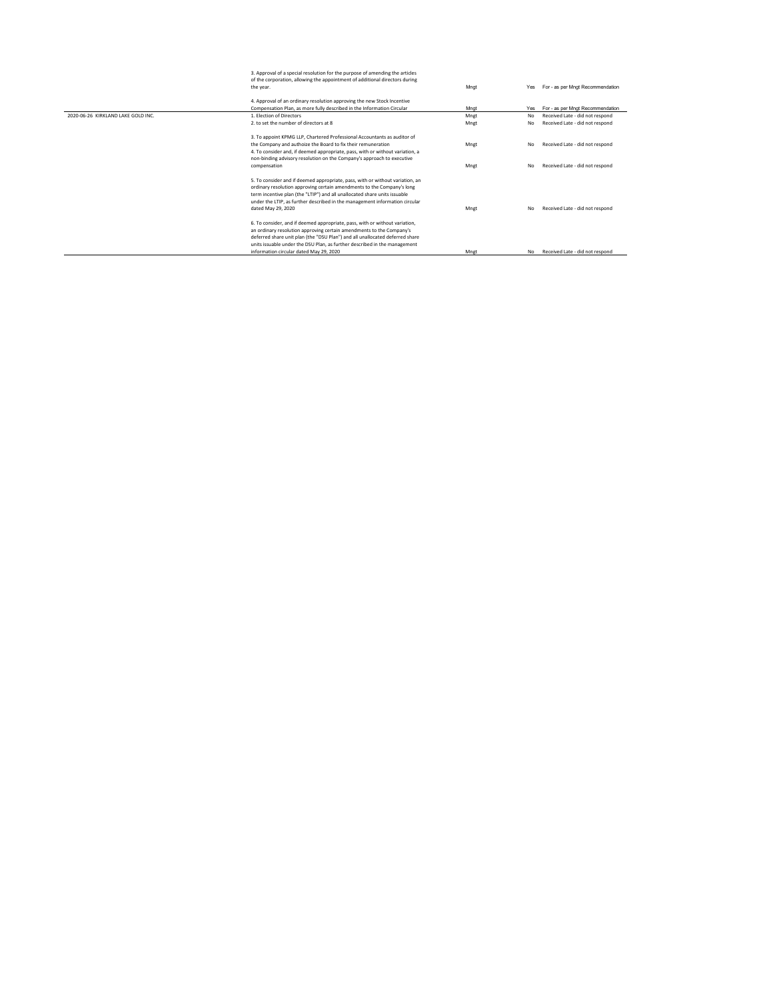|                                    | 3. Approval of a special resolution for the purpose of amending the articles  |      |           |                                  |
|------------------------------------|-------------------------------------------------------------------------------|------|-----------|----------------------------------|
|                                    | of the corporation, allowing the appointment of additional directors during   |      |           |                                  |
|                                    | the year.                                                                     | Mnat | Yes       | For - as per Mngt Recommendation |
|                                    | 4. Approval of an ordinary resolution approving the new Stock Incentive       |      |           |                                  |
|                                    | Compensation Plan, as more fully described in the Information Circular        | Mnat | Yes       | For - as per Mngt Recommendation |
| 2020-06-26 KIRKLAND LAKE GOLD INC. | 1. Election of Directors                                                      |      |           |                                  |
|                                    |                                                                               | Mnet | No        | Received Late - did not respond  |
|                                    | 2. to set the number of directors at 8.                                       | Mnet | No        | Received Late - did not respond  |
|                                    | 3. To appoint KPMG LLP, Chartered Professional Accountants as auditor of      |      |           |                                  |
|                                    | the Company and authoize the Board to fix their remuneration                  | Mnet | <b>No</b> | Received Late - did not respond  |
|                                    | 4. To consider and, if deemed appropriate, pass, with or without variation, a |      |           |                                  |
|                                    | non-binding advisory resolution on the Company's approach to executive        |      |           |                                  |
|                                    | compensation                                                                  | Mngt | <b>No</b> | Received Late - did not respond  |
|                                    |                                                                               |      |           |                                  |
|                                    | 5. To consider and if deemed appropriate, pass, with or without variation, an |      |           |                                  |
|                                    | ordinary resolution approving certain amendments to the Company's long        |      |           |                                  |
|                                    | term incentive plan (the "LTIP") and all unallocated share units issuable     |      |           |                                  |
|                                    | under the LTIP, as further described in the management information circular   |      |           |                                  |
|                                    | dated May 29, 2020                                                            | Mngt | No        | Received Late - did not respond  |
|                                    |                                                                               |      |           |                                  |
|                                    | 6. To consider, and if deemed appropriate, pass, with or without variation,   |      |           |                                  |
|                                    | an ordinary resolution approving certain amendments to the Company's          |      |           |                                  |
|                                    | deferred share unit plan (the "DSU Plan") and all unallocated deferred share  |      |           |                                  |
|                                    | units issuable under the DSU Plan, as further described in the management     |      |           |                                  |
|                                    | information circular dated May 29, 2020                                       | Mngt | <b>No</b> | Received Late - did not respond  |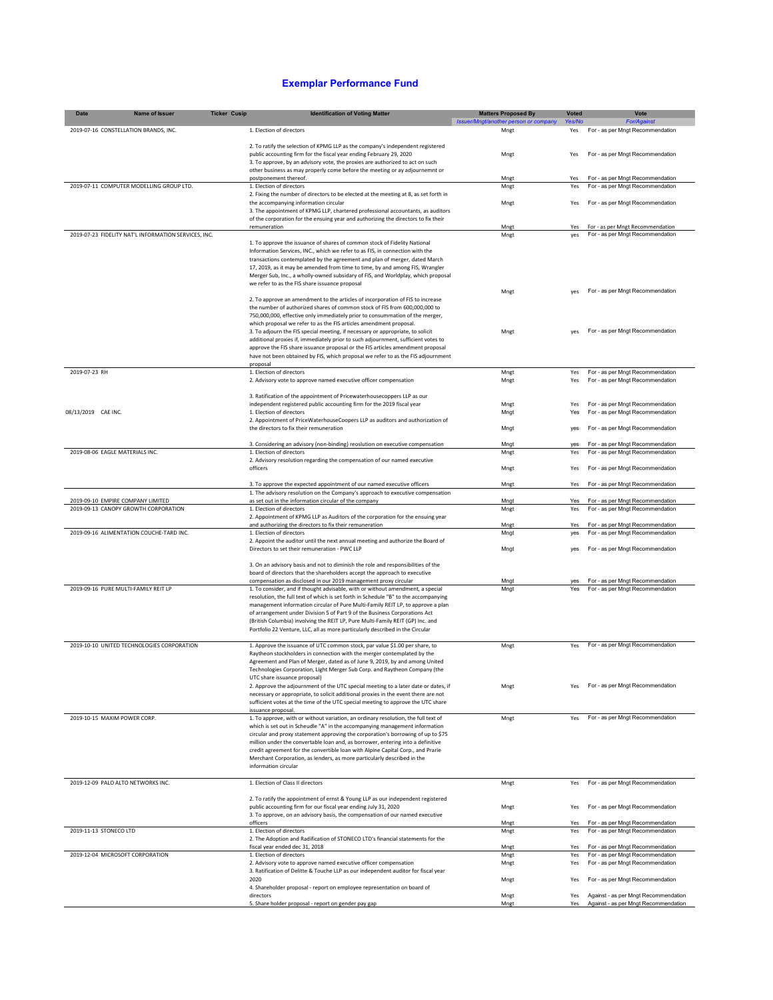## **Exemplar Performance Fund**

| <b>Date</b>                        | Name of Issuer                                       | <b>Ticker Cusip</b> | <b>Identification of Voting Matter</b>                                                                                                                              | <b>Matters Proposed By</b>            | <b>Voted</b> | Vote                                                                 |
|------------------------------------|------------------------------------------------------|---------------------|---------------------------------------------------------------------------------------------------------------------------------------------------------------------|---------------------------------------|--------------|----------------------------------------------------------------------|
|                                    |                                                      |                     |                                                                                                                                                                     | Issuer/Mngt/another person or company | Yes/No       | <b>For/Against</b>                                                   |
|                                    | 2019-07-16 CONSTELLATION BRANDS, INC.                |                     | 1. Election of directors                                                                                                                                            | Mngt                                  | Yes          | For - as per Mngt Recommendation                                     |
|                                    |                                                      |                     | 2. To ratify the selection of KPMG LLP as the company's independent registered                                                                                      |                                       |              |                                                                      |
|                                    |                                                      |                     | public accounting firm for the fiscal year ending February 29, 2020                                                                                                 | Mngt                                  | Yes          | For - as per Mngt Recommendation                                     |
|                                    |                                                      |                     | 3. To approve, by an advisory vote, the proxies are authorized to act on such<br>other business as may properly come before the meeting or ay adjournemnt or        |                                       |              |                                                                      |
|                                    |                                                      |                     | postponement thereof.                                                                                                                                               | Mngt                                  | Yes          | For - as per Mngt Recommendation                                     |
|                                    | 2019-07-11 COMPUTER MODELLING GROUP LTD.             |                     | 1. Election of directors                                                                                                                                            | Mngt                                  | Yes          | For - as per Mngt Recommendation                                     |
|                                    |                                                      |                     | 2. Fixing the number of directors to be elected at the meeting at 8, as set forth in<br>the accompanying information circular                                       | Mngt                                  | Yes          | For - as per Mngt Recommendation                                     |
|                                    |                                                      |                     | 3. The appointment of KPMG LLP, chartered professional accountants, as auditors                                                                                     |                                       |              |                                                                      |
|                                    |                                                      |                     | of the corporation for the ensuing year and authorizing the directors to fix their                                                                                  |                                       |              |                                                                      |
|                                    | 2019-07-23 FIDELITY NAT'L INFORMATION SERVICES, INC. |                     | remuneration                                                                                                                                                        | Mngt<br>Mngt                          | Yes<br>yes   | For - as per Mngt Recommendation<br>For - as per Mngt Recommendation |
|                                    |                                                      |                     | 1. To approve the issuance of shares of common stock of Fidelity National                                                                                           |                                       |              |                                                                      |
|                                    |                                                      |                     | Information Services, INC., which we refer to as FIS, in connection with the                                                                                        |                                       |              |                                                                      |
|                                    |                                                      |                     | transactions contemplated by the agreement and plan of merger, dated March                                                                                          |                                       |              |                                                                      |
|                                    |                                                      |                     | 17, 2019, as it may be amended from time to time, by and among FIS, Wrangler<br>Merger Sub, Inc., a wholly-owned subsidary of FIS, and Worldplay, which proposal    |                                       |              |                                                                      |
|                                    |                                                      |                     | we refer to as the FIS share issuance proposal                                                                                                                      |                                       |              |                                                                      |
|                                    |                                                      |                     |                                                                                                                                                                     | Mngt                                  | ves          | For - as per Mngt Recommendation                                     |
|                                    |                                                      |                     | 2. To approve an amendment to the articles of incorporation of FIS to increase<br>the number of authorized shares of common stock of FIS from 600,000,000 to        |                                       |              |                                                                      |
|                                    |                                                      |                     | 750,000,000, effective only immediately prior to consummation of the merger,                                                                                        |                                       |              |                                                                      |
|                                    |                                                      |                     | which proposal we refer to as the FIS articles amendment proposal.                                                                                                  |                                       |              |                                                                      |
|                                    |                                                      |                     | 3. To adjourn the FIS special meeting, if necessary or appropriate, to solicit<br>additional proxies if, immediately prior to such adjournment, sufficient votes to | Mngt                                  | yes          | For - as per Mngt Recommendation                                     |
|                                    |                                                      |                     | approve the FIS share issuance proposal or the FIS articles amendment proposal                                                                                      |                                       |              |                                                                      |
|                                    |                                                      |                     | have not been obtained by FIS, which proposal we refer to as the FIS adjournment                                                                                    |                                       |              |                                                                      |
| 2019-07-23 RH                      |                                                      |                     | proposal<br>1. Election of directors                                                                                                                                | Mngt                                  | Yes          | For - as per Mngt Recommendation                                     |
|                                    |                                                      |                     | 2. Advisory vote to approve named executive officer compensation                                                                                                    | Mngt                                  | Yes          | For - as per Mngt Recommendation                                     |
|                                    |                                                      |                     |                                                                                                                                                                     |                                       |              |                                                                      |
|                                    |                                                      |                     | 3. Ratification of the appointment of Pricewaterhousecoppers LLP as our                                                                                             |                                       |              |                                                                      |
| 08/13/2019 CAE INC.                |                                                      |                     | independent registered public accounting firm for the 2019 fiscal year<br>1. Election of directors                                                                  | Mngt<br>Mngt                          | Yes<br>Yes   | For - as per Mngt Recommendation<br>For - as per Mngt Recommendation |
|                                    |                                                      |                     | 2. Appointment of PriceWaterhouseCoopers LLP as auditors and authorization of                                                                                       |                                       |              |                                                                      |
|                                    |                                                      |                     | the directors to fix their remuneration                                                                                                                             | Mngt                                  | yes          | For - as per Mngt Recommendation                                     |
|                                    |                                                      |                     | 3. Considering an advisory (non-binding) reoslution on executive compensation                                                                                       | Mngt                                  | ves          | For - as per Mngt Recommendation                                     |
| 2019-08-06 EAGLE MATERIALS INC.    |                                                      |                     | 1. Election of directors                                                                                                                                            | Mngt                                  | Yes          | For - as per Mngt Recommendation                                     |
|                                    |                                                      |                     | 2. Advisory resolution regarding the compensation of our named executive                                                                                            |                                       |              |                                                                      |
|                                    |                                                      |                     | officers                                                                                                                                                            | Mngt                                  | Yes          | For - as per Mngt Recommendation                                     |
|                                    |                                                      |                     | 3. To approve the expected appointment of our named executive officers                                                                                              | Mngt                                  | Yes          | For - as per Mngt Recommendation                                     |
|                                    |                                                      |                     | 1. The advisory resolution on the Company's approach to executive compensation                                                                                      |                                       |              |                                                                      |
| 2019-09-10 EMPIRE COMPANY LIMITED  | 2019-09-13 CANOPY GROWTH CORPORATION                 |                     | as set out in the information circular of the company<br>1. Election of directors                                                                                   | Mngt                                  | Yes<br>Yes   | For - as per Mngt Recommendation                                     |
|                                    |                                                      |                     | 2. Appointment of KPMG LLP as Auditors of the corporation for the ensuing year                                                                                      | Mngt                                  |              | For - as per Mngt Recommendation                                     |
|                                    |                                                      |                     | and authorizing the directors to fix their remuneration                                                                                                             | Mngt                                  | Yes          | For - as per Mngt Recommendation                                     |
|                                    | 2019-09-16 ALIMENTATION COUCHE-TARD INC.             |                     | 1. Election of directors                                                                                                                                            | Mngt                                  | yes          | For - as per Mngt Recommendation                                     |
|                                    |                                                      |                     | 2. Appoint the auditor until the next annual meeting and authorize the Board of<br>Directors to set their remuneration - PWC LLP                                    | Mngt                                  | yes          | For - as per Mngt Recommendation                                     |
|                                    |                                                      |                     |                                                                                                                                                                     |                                       |              |                                                                      |
|                                    |                                                      |                     | 3. On an advisory basis and not to diminish the role and responsibilities of the                                                                                    |                                       |              |                                                                      |
|                                    |                                                      |                     | board of directors that the shareholders accept the approach to executive<br>compensation as disclosed in our 2019 management proxy circular                        | Mngt                                  | yes          | For - as per Mngt Recommendation                                     |
|                                    | 2019-09-16 PURE MULTI-FAMILY REIT LP                 |                     | 1. To consider, and if thought advisable, with or without amendment, a special                                                                                      | Mngt                                  | Yes          | For - as per Mngt Recommendation                                     |
|                                    |                                                      |                     | resolution, the full text of which is set forth in Schedule "B" to the accompanying                                                                                 |                                       |              |                                                                      |
|                                    |                                                      |                     | management information circular of Pure Multi-Family REIT LP, to approve a plan<br>of arrangement under Division 5 of Part 9 of the Business Corporations Act       |                                       |              |                                                                      |
|                                    |                                                      |                     | (British Columbia) involving the REIT LP, Pure Multi-Family REIT (GP) Inc. and                                                                                      |                                       |              |                                                                      |
|                                    |                                                      |                     | Portfolio 22 Venture, LLC, all as more particularly described in the Circular                                                                                       |                                       |              |                                                                      |
|                                    | 2019-10-10 UNITED TECHNOLOGIES CORPORATION           |                     | 1. Approve the issuance of UTC common stock, par value \$1.00 per share, to                                                                                         | Mngt                                  | Yes          | For - as per Mngt Recommendation                                     |
|                                    |                                                      |                     | Raytheon stockholders in connection with the merger contemplated by the                                                                                             |                                       |              |                                                                      |
|                                    |                                                      |                     | Agreement and Plan of Merger, dated as of June 9, 2019, by and among United                                                                                         |                                       |              |                                                                      |
|                                    |                                                      |                     | Technologies Corporation, Light Merger Sub Corp. and Raytheon Company (the                                                                                          |                                       |              |                                                                      |
|                                    |                                                      |                     | UTC share issuance proposal)<br>2. Approve the adjournment of the UTC special meeting to a later date or dates, if                                                  | Mngt                                  | Yes          | For - as per Mngt Recommendation                                     |
|                                    |                                                      |                     | necessary or appropriate, to solicit additional proxies in the event there are not                                                                                  |                                       |              |                                                                      |
|                                    |                                                      |                     | sufficient votes at the time of the UTC special meeting to approve the UTC share                                                                                    |                                       |              |                                                                      |
| 2019-10-15 MAXIM POWER CORP.       |                                                      |                     | issuance proposal.<br>1. To approve, with or without variation, an ordinary resolution, the full text of                                                            | Mngt                                  | Yes          | For - as per Mngt Recommendation                                     |
|                                    |                                                      |                     | which is set out in Scheudle "A" in the accompanying management information                                                                                         |                                       |              |                                                                      |
|                                    |                                                      |                     | circular and proxy statement approving the corporation's borrowing of up to \$75                                                                                    |                                       |              |                                                                      |
|                                    |                                                      |                     | million under the convertable loan and, as borrower, entering into a definitive<br>credit agreement for the convertible loan with Alpine Capital Corp., and Prarie  |                                       |              |                                                                      |
|                                    |                                                      |                     | Merchant Corporation, as lenders, as more particularly described in the                                                                                             |                                       |              |                                                                      |
|                                    |                                                      |                     | information circular                                                                                                                                                |                                       |              |                                                                      |
| 2019-12-09 PALO ALTO NETWORKS INC. |                                                      |                     | 1. Election of Class II directors                                                                                                                                   | Mngt                                  | Yes          | For - as per Mngt Recommendation                                     |
|                                    |                                                      |                     |                                                                                                                                                                     |                                       |              |                                                                      |
|                                    |                                                      |                     | 2. To ratify the appointment of ernst & Young LLP as our independent registered                                                                                     |                                       |              |                                                                      |
|                                    |                                                      |                     | public accounting firm for our fiscal year ending July 31, 2020                                                                                                     | Mngt                                  | Yes          | For - as per Mngt Recommendation                                     |
|                                    |                                                      |                     | 3. To approve, on an advisory basis, the compensation of our named executive<br>officers                                                                            | Mngt                                  | Yes          | For - as per Mngt Recommendation                                     |
| 2019-11-13 STONECO LTD             |                                                      |                     | 1. Election of directors                                                                                                                                            | Mngt                                  | Yes          | For - as per Mngt Recommendation                                     |
|                                    |                                                      |                     | 2. The Adoption and Radification of STONECO LTD's financial statements for the                                                                                      |                                       |              |                                                                      |
| 2019-12-04 MICROSOFT CORPORATION   |                                                      |                     | fiscal year ended dec 31, 2018<br>1. Election of directors                                                                                                          | Mngt<br>Mngt                          | Yes<br>Yes   | For - as per Mngt Recommendation<br>For - as per Mngt Recommendation |
|                                    |                                                      |                     | 2. Advisory vote to approve named executive officer compensation                                                                                                    | Mngt                                  | Yes          | For - as per Mngt Recommendation                                     |
|                                    |                                                      |                     | 3. Ratification of Delitte & Touche LLP as our independent auditor for fiscal year                                                                                  |                                       |              |                                                                      |
|                                    |                                                      |                     | 2020<br>4. Shareholder proposal - report on employee representation on board of                                                                                     | Mngt                                  | Yes          | For - as per Mngt Recommendation                                     |
|                                    |                                                      |                     | directors                                                                                                                                                           | Mngt                                  | Yes          | Against - as per Mngt Recommendation                                 |
|                                    |                                                      |                     | 5. Share holder proposal - report on gender pay gap                                                                                                                 | Mngt                                  | Yes          | Against - as per Mngt Recommendation                                 |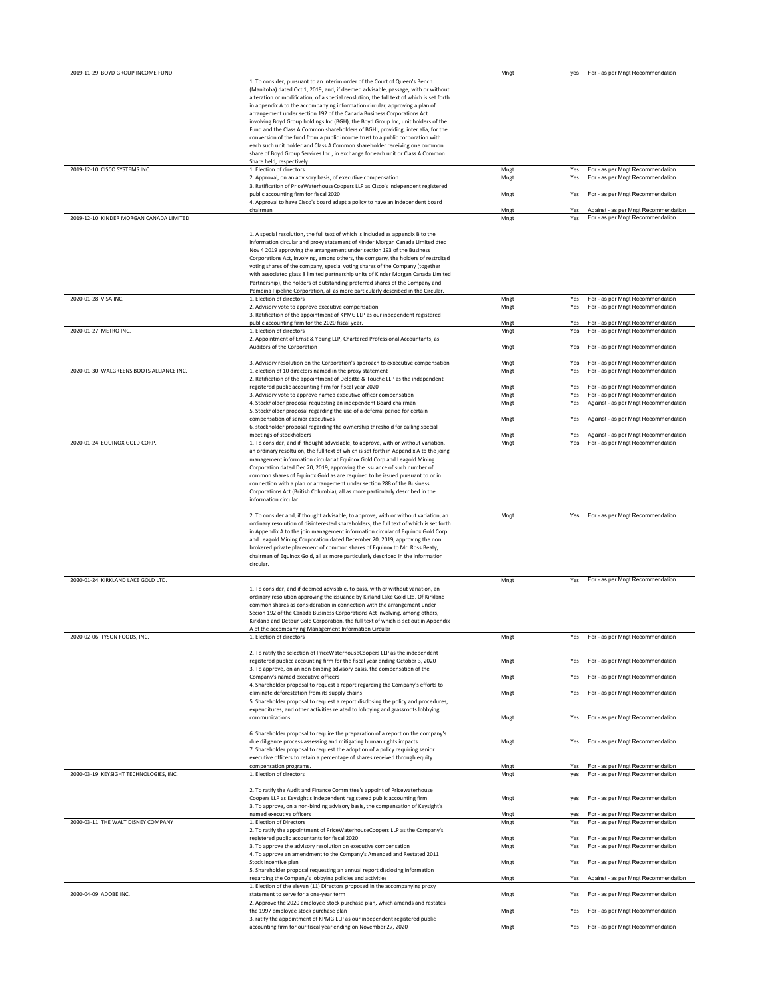| 2019-11-29 BOYD GROUP INCOME FUND        |                                                                                                                                               | Mngt | yes | For - as per Mngt Recommendation     |
|------------------------------------------|-----------------------------------------------------------------------------------------------------------------------------------------------|------|-----|--------------------------------------|
|                                          | 1. To consider, pursuant to an interim order of the Court of Queen's Bench                                                                    |      |     |                                      |
|                                          | (Manitoba) dated Oct 1, 2019, and, if deemed advisable, passage, with or without                                                              |      |     |                                      |
|                                          | alteration or modification, of a special reoslution, the full text of which is set forth                                                      |      |     |                                      |
|                                          |                                                                                                                                               |      |     |                                      |
|                                          | in appendix A to the accompanying information circular, approving a plan of                                                                   |      |     |                                      |
|                                          | arrangement under section 192 of the Canada Business Corporations Act                                                                         |      |     |                                      |
|                                          | involving Boyd Group holdings Inc (BGH), the Boyd Group Inc, unit holders of the                                                              |      |     |                                      |
|                                          | Fund and the Class A Common shareholders of BGHI, providing, inter alia, for the                                                              |      |     |                                      |
|                                          | conversion of the fund from a public income trust to a public corporation with                                                                |      |     |                                      |
|                                          | each such unit holder and Class A Common shareholder receiving one common                                                                     |      |     |                                      |
|                                          | share of Boyd Group Services Inc., in exchange for each unit or Class A Common                                                                |      |     |                                      |
|                                          | Share held, respectively                                                                                                                      |      |     |                                      |
| 2019-12-10 CISCO SYSTEMS INC.            | 1. Election of directors                                                                                                                      | Mngt | Yes | For - as per Mngt Recommendation     |
|                                          | 2. Approval, on an advisory basis, of executive compensation                                                                                  | Mngt | Yes | For - as per Mngt Recommendation     |
|                                          | 3. Ratification of PriceWaterhouseCoopers LLP as Cisco's independent registered                                                               |      |     |                                      |
|                                          | public accounting firm for fiscal 2020                                                                                                        | Mngt | Yes | For - as per Mngt Recommendation     |
|                                          | 4. Approval to have Cisco's board adapt a policy to have an independent board                                                                 |      |     |                                      |
|                                          | chairman                                                                                                                                      | Mngt | Yes | Against - as per Mngt Recommendation |
| 2019-12-10 KINDER MORGAN CANADA LIMITED  |                                                                                                                                               | Mngt | Yes | For - as per Mngt Recommendation     |
|                                          |                                                                                                                                               |      |     |                                      |
|                                          | 1. A special resolution, the full text of which is included as appendix B to the                                                              |      |     |                                      |
|                                          | information circular and proxy statement of Kinder Morgan Canada Limited dted                                                                 |      |     |                                      |
|                                          | Nov 4 2019 approving the arrangement under section 193 of the Business                                                                        |      |     |                                      |
|                                          | Corporations Act, involving, among others, the company, the holders of restrcited                                                             |      |     |                                      |
|                                          | voting shares of the company, special voting shares of the Company (together                                                                  |      |     |                                      |
|                                          | with associated glass 8 limited partnership units of Kinder Morgan Canada Limited                                                             |      |     |                                      |
|                                          | Partnership), the holders of outstanding preferred shares of the Company and                                                                  |      |     |                                      |
|                                          | Pembina Pipeline Corporation, all as more particularly described in the Circular.                                                             |      |     |                                      |
| 2020-01-28 VISA INC.                     | 1. Election of directors                                                                                                                      | Mngt | Yes | For - as per Mngt Recommendation     |
|                                          | 2. Advisory vote to approve executive compensation                                                                                            | Mngt | Yes | For - as per Mngt Recommendation     |
|                                          | 3. Ratification of the appointment of KPMG LLP as our independent registered                                                                  |      |     |                                      |
|                                          | public accounting firm for the 2020 fiscal year.                                                                                              | Mngt | Yes | For - as per Mngt Recommendation     |
| 2020-01-27 METRO INC.                    | 1. Election of directors                                                                                                                      | Mngt | Yes | For - as per Mngt Recommendation     |
|                                          | 2. Appointment of Ernst & Young LLP, Chartered Professional Accountants, as                                                                   |      |     |                                      |
|                                          | Auditors of the Corporation                                                                                                                   | Mngt | Yes | For - as per Mngt Recommendation     |
|                                          |                                                                                                                                               |      |     |                                      |
|                                          | 3. Advisory resolution on the Corporation's approach to exxecutive compensation                                                               | Mnat | Yes | For - as per Mngt Recommendation     |
| 2020-01-30 WALGREENS BOOTS ALLIANCE INC. |                                                                                                                                               |      |     | For - as per Mngt Recommendation     |
|                                          | 1. election of 10 directors named in the proxy statement                                                                                      | Mngt | Yes |                                      |
|                                          | 2. Ratification of the appointment of Deloitte & Touche LLP as the independent                                                                |      |     |                                      |
|                                          | registered public accounting firm for fiscal year 2020                                                                                        | Mngt | Yes | For - as per Mngt Recommendation     |
|                                          | 3. Advisory vote to approve named executive officer compensation                                                                              | Mngt | Yes | For - as per Mngt Recommendation     |
|                                          | 4. Stockholder proposal requesting an independent Board chairman                                                                              | Mngt | Yes | Against - as per Mngt Recommendation |
|                                          | 5. Stockholder proposal regarding the use of a deferral period for certain                                                                    |      |     |                                      |
|                                          | compensation of senior executives                                                                                                             | Mngt | Yes | Against - as per Mngt Recommendation |
|                                          | 6. stockholder proposal regarding the ownership threshold for calling special                                                                 |      |     |                                      |
|                                          | meetings of stockholders                                                                                                                      | Mnet | Yes | Against - as per Mngt Recommendation |
| 2020-01-24 EQUINOX GOLD CORP.            | 1. To consider, and if thought advvisable, to approve, with or without variation,                                                             | Mngt | Yes | For - as per Mngt Recommendation     |
|                                          | an ordinary resoltuion, the full text of which is set forth in Appendix A to the joing                                                        |      |     |                                      |
|                                          | management information circular at Equinox Gold Corp and Leagold Mining                                                                       |      |     |                                      |
|                                          | Corporation dated Dec 20, 2019, approving the issuance of such number of                                                                      |      |     |                                      |
|                                          | common shares of Equinox Gold as are required to be issued pursuant to or in                                                                  |      |     |                                      |
|                                          | connection with a plan or arrangement under section 288 of the Business                                                                       |      |     |                                      |
|                                          | Corporations Act (British Columbia), all as more particularly described in the                                                                |      |     |                                      |
|                                          | information circular                                                                                                                          |      |     |                                      |
|                                          |                                                                                                                                               |      |     |                                      |
|                                          |                                                                                                                                               |      |     |                                      |
|                                          |                                                                                                                                               |      |     |                                      |
|                                          | 2. To consider and, if thought advisable, to approve, with or without variation, an                                                           | Mngt | Yes | For - as per Mngt Recommendation     |
|                                          | ordinary resolution of disinterested shareholders, the full text of which is set forth                                                        |      |     |                                      |
|                                          | in Appendix A to the join management information circular of Equinox Gold Corp.                                                               |      |     |                                      |
|                                          | and Leagold Mining Corporation dated December 20, 2019, approving the non                                                                     |      |     |                                      |
|                                          | brokered private placement of common shares of Equinox to Mr. Ross Beaty,                                                                     |      |     |                                      |
|                                          | chairman of Equinox Gold, all as more particularly described in the information                                                               |      |     |                                      |
|                                          | circular.                                                                                                                                     |      |     |                                      |
|                                          |                                                                                                                                               |      |     |                                      |
| 2020-01-24 KIRKLAND LAKE GOLD LTD.       |                                                                                                                                               | Mngt | Yes | For - as per Mngt Recommendation     |
|                                          | 1. To consider, and if deemed advisable, to pass, with or without variation, an                                                               |      |     |                                      |
|                                          | ordinary resolution approving the issuance by Kirland Lake Gold Ltd. Of Kirkland                                                              |      |     |                                      |
|                                          | common shares as consideration in connection with the arrangement under                                                                       |      |     |                                      |
|                                          | Secion 192 of the Canada Business Corporations Act involving, among others,                                                                   |      |     |                                      |
|                                          | Kirkland and Detour Gold Corporation, the full text of which is set out in Appendix                                                           |      |     |                                      |
|                                          | A of the accompanying Management Information Circular                                                                                         |      |     |                                      |
| 2020-02-06 TYSON FOODS, INC.             | 1. Election of directors                                                                                                                      | Mngt | Yes | For - as per Mngt Recommendation     |
|                                          |                                                                                                                                               |      |     |                                      |
|                                          | 2. To ratify the selection of PriceWaterhouseCoopers LLP as the independent                                                                   |      |     |                                      |
|                                          | registered publicc accounting firm for the fiscal year ending October 3, 2020                                                                 | Mngt | Yes | For - as per Mngt Recommendation     |
|                                          | 3. To approve, on an non-binding advisory basis, the compensation of the                                                                      |      |     |                                      |
|                                          | Company's named executive officers                                                                                                            | Mngt | Yes | For - as per Mngt Recommendation     |
|                                          | 4. Shareholder proposal to request a report regarding the Company's efforts to                                                                |      |     |                                      |
|                                          | eliminate deforestation from its supply chains                                                                                                | Mngt | Yes | For - as per Mngt Recommendation     |
|                                          | 5. Shareholder proposal to request a report disclosing the policy and procedures,                                                             |      |     |                                      |
|                                          | expenditures, and other activities related to lobbying and grassroots lobbying                                                                |      |     |                                      |
|                                          | communications                                                                                                                                | Mngt | Yes | For - as per Mngt Recommendation     |
|                                          |                                                                                                                                               |      |     |                                      |
|                                          |                                                                                                                                               |      |     |                                      |
|                                          | 6. Shareholder proposal to require the preparation of a report on the company's                                                               |      |     |                                      |
|                                          | due diligence process assessing and mitigating human rights impacts                                                                           | Mngt | Yes | For - as per Mngt Recommendation     |
|                                          | 7. Shareholder proposal to request the adoption of a policy requiring senior                                                                  |      |     |                                      |
|                                          | executive officers to retain a percentage of shares received through equity                                                                   |      |     |                                      |
|                                          | compensation programs.                                                                                                                        | Mnet | Yes | For - as per Mngt Recommendation     |
| 2020-03-19 KEYSIGHT TECHNOLOGIES, INC.   | 1. Election of directors                                                                                                                      | Mngt | yes | For - as per Mngt Recommendation     |
|                                          |                                                                                                                                               |      |     |                                      |
|                                          | 2. To ratify the Audit and Finance Committee's appoint of Pricewaterhouse                                                                     |      |     |                                      |
|                                          | Coopers LLP as Keysight's independent registered public accounting firm                                                                       | Mngt | yes | For - as per Mngt Recommendation     |
|                                          | 3. To approve, on a non-binding advisory basis, the compensation of Keysight's                                                                |      |     |                                      |
|                                          | named executive officers                                                                                                                      | Mngt | yes | For - as per Mngt Recommendation     |
| 2020-03-11 THE WALT DISNEY COMPANY       | 1. Election of Directors                                                                                                                      | Mngt | Yes | For - as per Mngt Recommendation     |
|                                          | 2. To ratify the appointment of PriceWaterhouseCoopers LLP as the Company's                                                                   |      |     |                                      |
|                                          | registered public accountants for fiscal 2020                                                                                                 | Mngt | Yes | For - as per Mngt Recommendation     |
|                                          | 3. To approve the advisory resolution on executive compensation                                                                               | Mngt | Yes | For - as per Mngt Recommendation     |
|                                          | 4. To approve an amendment to the Company's Amended and Restated 2011                                                                         |      |     |                                      |
|                                          | Stock Incentive plan                                                                                                                          | Mngt | Yes | For - as per Mngt Recommendation     |
|                                          | 5. Shareholder proposal requesting an annual report disclosing information                                                                    |      |     |                                      |
|                                          | regarding the Company's lobbying policies and activities                                                                                      | Mngt | Yes | Against - as per Mngt Recommendation |
|                                          | 1. Election of the eleven (11) Directors proposed in the accompanying proxy                                                                   |      |     |                                      |
| 2020-04-09 ADOBE INC.                    | statement to serve for a one-year term                                                                                                        | Mngt | Yes | For - as per Mngt Recommendation     |
|                                          | 2. Approve the 2020 employee Stock purchase plan, which amends and restates                                                                   |      |     |                                      |
|                                          | the 1997 employee stock purchase plan                                                                                                         | Mngt | Yes |                                      |
|                                          |                                                                                                                                               |      |     | For - as per Mngt Recommendation     |
|                                          | 3. ratify the appointment of KPMG LLP as our independent registered public<br>accounting firm for our fiscal year ending on November 27, 2020 | Mngt | Yes | For - as per Mngt Recommendation     |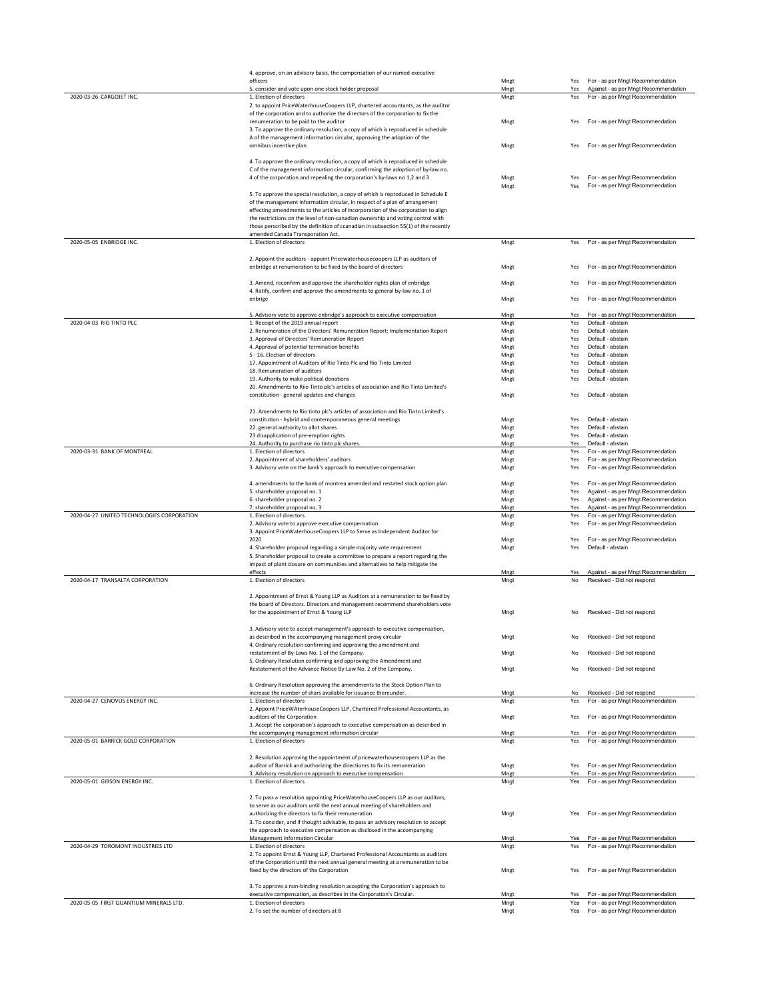|                                            | 4. approve, on an advisory basis, the compensation of our named executive<br>officers                                                                                | Mngt         | Yes        |                                                                          |
|--------------------------------------------|----------------------------------------------------------------------------------------------------------------------------------------------------------------------|--------------|------------|--------------------------------------------------------------------------|
|                                            | 5. consider and vote upon one stock holder proposal                                                                                                                  | Mngt         | Yes        | For - as per Mngt Recommendation<br>Against - as per Mngt Recommendation |
| 2020-03-26 CARGOJET INC.                   | 1. Election of directors                                                                                                                                             | Mngt         | Yes        | For - as per Mngt Recommendation                                         |
|                                            | 2. to appoint PriceWaterhouseCoopers LLP, chartered accountants, as the auditor                                                                                      |              |            |                                                                          |
|                                            | of the corporation and to authorize the directors of the corporation to fix the                                                                                      |              |            |                                                                          |
|                                            | renumeration to be paid to the auditor                                                                                                                               | Mngt         | Yes        | For - as per Mngt Recommendation                                         |
|                                            | 3. To approve the ordinary resolution, a copy of which is reproduced in schedule                                                                                     |              |            |                                                                          |
|                                            | A of the management information circular, approving the adoption of the                                                                                              | Mngt         |            |                                                                          |
|                                            | omnibus incentive plan                                                                                                                                               |              | Yes        | For - as per Mngt Recommendation                                         |
|                                            | 4. To approve the ordinary resolution, a copy of which is reproduced in schedule                                                                                     |              |            |                                                                          |
|                                            | C of the management information circular, confirming the adoption of by-law no.                                                                                      |              |            |                                                                          |
|                                            | 4 of the corporation and repealing the corporation's by-laws no 1,2 and 3                                                                                            | Mngt         | Yes        | For - as per Mngt Recommendation                                         |
|                                            |                                                                                                                                                                      | Mngt         | Yes        | For - as per Mngt Recommendation                                         |
|                                            | 5. To approve the special resolution, a copy of which is reproduced in Schedule E                                                                                    |              |            |                                                                          |
|                                            | of the management information circular, in respect of a plan of arrangement                                                                                          |              |            |                                                                          |
|                                            | effecting amendments to the articles of incorporation of the corporation to align<br>the restrictions on the level of non-canadian ownership and voting control with |              |            |                                                                          |
|                                            | those perscribed by the definition of ccanadian in subsection 55(1) of the recently                                                                                  |              |            |                                                                          |
|                                            | amended Canada Transporation Act.                                                                                                                                    |              |            |                                                                          |
| 2020-05-05 ENBRIDGE INC.                   | 1. Election of directors                                                                                                                                             | Mngt         | Yes        | For - as per Mngt Recommendation                                         |
|                                            |                                                                                                                                                                      |              |            |                                                                          |
|                                            | 2. Appoint the auditors - appoint Pricewaterhousecoopers LLP as auditors of                                                                                          |              |            |                                                                          |
|                                            | enbridge at renumeration to be fixed by the board of directors                                                                                                       | Mngt         | Yes        | For - as per Mngt Recommendation                                         |
|                                            |                                                                                                                                                                      |              |            |                                                                          |
|                                            | 3. Amend, reconfirm and approve the shareholder rights plan of enbridge<br>4. Ratify, confirm and approve the amendments to general by-law no. 1 of                  | Mngt         | Yes        | For - as per Mngt Recommendation                                         |
|                                            | enbrige                                                                                                                                                              | Mngt         | Yes        | For - as per Mngt Recommendation                                         |
|                                            |                                                                                                                                                                      |              |            |                                                                          |
|                                            | 5. Advisory vote to approve enbridge's approach to executive compensation                                                                                            | Mnet         | Yes        | For - as per Mngt Recommendation                                         |
| 2020-04-03 RIO TINTO PLC                   | 1. Receipt of the 2019 annual report                                                                                                                                 | Mngt         | Yes        | Default - abstain                                                        |
|                                            | 2. Renumeration of the Directors' Remuneration Report: Implementation Report                                                                                         | Mngt         | Yes        | Default - abstain                                                        |
|                                            | 3. Approval of Directors' Remuneration Report                                                                                                                        | Mngt         | Yes        | Default - abstain                                                        |
|                                            | 4. Approval of potential termination benefits<br>5 - 16. Election of directors                                                                                       | Mngt<br>Mngt | Yes<br>Yes | Default - abstain<br>Default - abstain                                   |
|                                            | 17. Appointment of Auditors of Rio Tinto Plc and Rio Tinto Limited                                                                                                   | Mngt         | Yes        | Default - abstain                                                        |
|                                            | 18. Remuneration of auditors                                                                                                                                         | Mngt         | Yes        | Default - abstain                                                        |
|                                            | 19. Authority to make political donations                                                                                                                            | Mngt         | Yes        | Default - abstain                                                        |
|                                            | 20. Amendments to Riio Tinto plc's articles of association and Rio Tinto Limited's                                                                                   |              |            |                                                                          |
|                                            | constitution - general updates and changes                                                                                                                           | Mngt         | Yes        | Default - abstain                                                        |
|                                            |                                                                                                                                                                      |              |            |                                                                          |
|                                            | 21. Amendments to Rio tinto plc's articles of association and Rio Tinto Limited's                                                                                    |              |            |                                                                          |
|                                            | constitution - hybrid and contemporaneous general meetings<br>22. general authority to allot shares                                                                  | Mngt<br>Mngt | Yes<br>Yes | Default - abstain<br>Default - abstain                                   |
|                                            | 23 disapplication of pre-emption rights                                                                                                                              | Mngt         | Yes        | Default - abstain                                                        |
|                                            | 24. Authority to purchase rio tinto plc shares.                                                                                                                      | Mngt         | Yes        | Default - abstain                                                        |
| 2020-03-31 BANK OF MONTREAL                | 1. Election of directors                                                                                                                                             | Mngt         | Yes        | For - as per Mngt Recommendation                                         |
|                                            | 2. Appointment of shareholders' auditors                                                                                                                             | Mngt         | Yes        | For - as per Mngt Recommendation                                         |
|                                            | 3. Advisory vote on the bank's approach to executive compensation                                                                                                    | Mngt         | Yes        | For - as per Mngt Recommendation                                         |
|                                            |                                                                                                                                                                      |              |            |                                                                          |
|                                            | 4. amendments to the bank of montrea amended and restated stock option plan                                                                                          | Mngt         | Yes        | For - as per Mngt Recommendation                                         |
|                                            |                                                                                                                                                                      |              |            |                                                                          |
|                                            | 5. shareholder proposal no. 1                                                                                                                                        | Mngt         | Yes        | Against - as per Mngt Recommendation                                     |
|                                            | 6. shareholder proposal no. 2                                                                                                                                        | Mngt         | Yes        | Against - as per Mngt Recommendation                                     |
| 2020-04-27 UNITED TECHNOLOGIES CORPORATION | 7. shareholder proposal no. 3<br>1. Election of directors                                                                                                            | Mngt<br>Mngt | Yes<br>Yes | Against - as per Mngt Recommendation<br>For - as per Mngt Recommendation |
|                                            | 2. Advisory vote to approve executive compensation                                                                                                                   | Mngt         | Yes        | For - as per Mngt Recommendation                                         |
|                                            | 3. Appoint PriceWaterhouseCoopers LLP to Serve as Independent Auditor for                                                                                            |              |            |                                                                          |
|                                            | 2020                                                                                                                                                                 | Mngt         | Yes        | For - as per Mngt Recommendation                                         |
|                                            | 4. Shareholder proposal regarding a simple majority vote requirement                                                                                                 | Mngt         | Yes        | Default - abstain                                                        |
|                                            | 5. Shareholder proposal to create a committee to prepare a report regarding the                                                                                      |              |            |                                                                          |
|                                            | impact of plant closure on communities and alternatives to help mitigate the                                                                                         |              |            |                                                                          |
| 2020-04-17 TRANSALTA CORPORATION           | effects                                                                                                                                                              | Mngt         | Yes<br>No  | Against - as per Mngt Recommendation                                     |
|                                            | 1. Election of directors                                                                                                                                             | Mngt         |            | Received - Did not respond                                               |
|                                            | 2. Appointment of Ernst & Young LLP as Auditors at a remuneration to be fixed by                                                                                     |              |            |                                                                          |
|                                            | the board of Directors. Directors and management recommend shareholders vote                                                                                         |              |            |                                                                          |
|                                            | for the appointment of Ernst & Young LLP                                                                                                                             | Mngt         | No         | Received - Did not respond                                               |
|                                            |                                                                                                                                                                      |              |            |                                                                          |
|                                            | 3. Advisory vote to accept management's approach to executive compensation,                                                                                          |              |            |                                                                          |
|                                            | as described in the accompanying management proxy circular                                                                                                           | Mnat         | No         | Received - Did not respond                                               |
|                                            | 4. Ordinary resolution confirming and approving the amendment and<br>restatement of By-Laws No. 1 of the Company.                                                    | Mngt         | No         | Received - Did not respond                                               |
|                                            | 5. Ordinary Resolution confirming and approving the Amendment and                                                                                                    |              |            |                                                                          |
|                                            | Restatement of the Advance Notice By-Law No. 2 of the Company.                                                                                                       | Mngt         | No         | Received - Did not respond                                               |
|                                            |                                                                                                                                                                      |              |            |                                                                          |
|                                            | 6. Ordinary Resolution approving the amendments to the Stock Option Plan to                                                                                          |              |            |                                                                          |
|                                            | increase the number of shars available for issuance thereunder.                                                                                                      | Mngt         | No         | Received - Did not respond                                               |
| 2020-04-27 CENOVUS ENERGY INC.             | 1. Election of directors<br>2. Appoint PriceWAterhouseCoopers LLP, Chartered Professional Accountants, as                                                            | Mngt         | Yes        | For - as per Mngt Recommendation                                         |
|                                            | auditors of the Corporation                                                                                                                                          |              | Yes        |                                                                          |
|                                            | 3. Accept the corporation's approach to executive compensation as described in                                                                                       | Mngt         |            | For - as per Mngt Recommendation                                         |
|                                            | the accompanying management information circular                                                                                                                     | Mngt         | Yes        | For - as per Mngt Recommendation                                         |
| 2020-05-01 BARRICK GOLD CORPORATION        | 1. Election of directors                                                                                                                                             | Mngt         | Yes        | For - as per Mngt Recommendation                                         |
|                                            |                                                                                                                                                                      |              |            |                                                                          |
|                                            | 2. Resolution approving the appointment of pricewaterhousecoopers LLP as the                                                                                         |              |            |                                                                          |
|                                            | auditor of Barrick and authorizing the directionrs to fix its remuneration                                                                                           | Mngt         | Yes        | For - as per Mngt Recommendation                                         |
| 2020-05-01 GIBSON ENERGY INC.              | 3. Advisory resolution on approach to executive compensation                                                                                                         | Mngt         | Yes        | For - as per Mngt Recommendation                                         |
|                                            | 1. Election of directors                                                                                                                                             | Mngt         | Yes        | For - as per Mngt Recommendation                                         |
|                                            | 2. To pass a resolution appointing PriceWaterhouseCoopers LLP as our auditors,                                                                                       |              |            |                                                                          |
|                                            | to serve as our auditors until the next annual meeting of shareholders and                                                                                           |              |            |                                                                          |
|                                            | authorizing the directors to fix their remuneration                                                                                                                  | Mngt         | Yes        | For - as per Mngt Recommendation                                         |
|                                            | 3. To consider, and if thought advisable, to pass an advisory resolution to accept                                                                                   |              |            |                                                                          |
|                                            | the approach to executive compensation as disclosed in the accompanying                                                                                              |              |            |                                                                          |
|                                            | Management Information Circular                                                                                                                                      | Mngt         | Yes        | For - as per Mngt Recommendation                                         |
| 2020-04-29 TOROMONT INDUSTRIES LTD         | 1. Election of directors                                                                                                                                             | Mngt         | Yes        | For - as per Mngt Recommendation                                         |
|                                            | 2. To appoint Ernst & Young LLP, Chartered Professional Accountants as auditors                                                                                      |              |            |                                                                          |
|                                            | of the Corporation until the next annual general meeting at a remuneration to be                                                                                     |              | Yes        |                                                                          |
|                                            | fixed by the directors of the Corporation                                                                                                                            | Mngt         |            | For - as per Mngt Recommendation                                         |
|                                            | 3. To approve a non-binding resolution accepting the Corporation's approach to                                                                                       |              |            |                                                                          |
|                                            | executive compensation, as describex in the Corporation's Circular.                                                                                                  | Mngt         | Yes        | For - as per Mngt Recommendation                                         |
| 2020-05-05 FIRST QUANTIUM MINERALS LTD.    | 1. Election of directors<br>2. To set the number of directors at 8                                                                                                   | Mngt<br>Mngt | Yes<br>Yes | For - as per Mngt Recommendation<br>For - as per Mngt Recommendation     |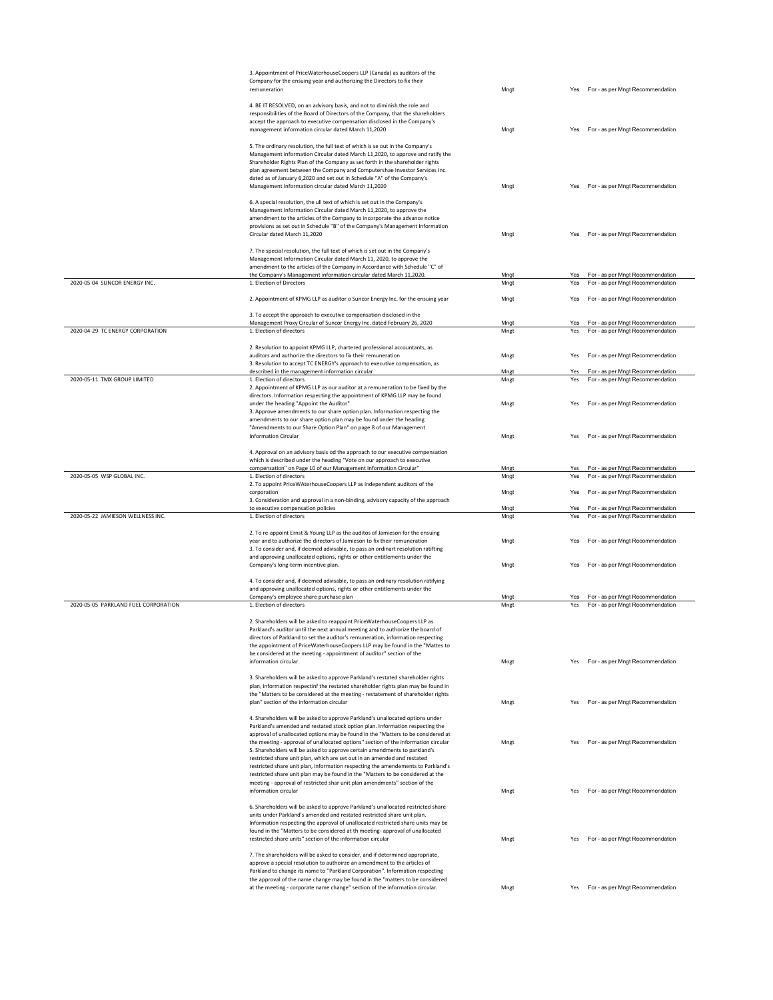|                                      | 3. Appointment of PriceWaterhouseCoopers LLP (Canada) as auditors of the<br>Company for the ensuing year and authorizing the Directors to fix their                                                                                                                                                                                                                                                                                                                                                                                                                                     |              |            |                                                                      |
|--------------------------------------|-----------------------------------------------------------------------------------------------------------------------------------------------------------------------------------------------------------------------------------------------------------------------------------------------------------------------------------------------------------------------------------------------------------------------------------------------------------------------------------------------------------------------------------------------------------------------------------------|--------------|------------|----------------------------------------------------------------------|
|                                      | remuneration                                                                                                                                                                                                                                                                                                                                                                                                                                                                                                                                                                            | Mngt         |            | Yes For - as per Mngt Recommendation                                 |
|                                      | 4. BE IT RESOLVED, on an advisory basis, and not to diminish the role and                                                                                                                                                                                                                                                                                                                                                                                                                                                                                                               |              |            |                                                                      |
|                                      | responsibilities of the Board of Directors of the Company, that the shareholders<br>accept the approach to executive compensation disclosed in the Company's                                                                                                                                                                                                                                                                                                                                                                                                                            |              |            |                                                                      |
|                                      | management information circular dated March 11,2020                                                                                                                                                                                                                                                                                                                                                                                                                                                                                                                                     | Mngt         |            | Yes For - as per Mngt Recommendation                                 |
|                                      | 5. The ordinary resolution, the full text of which is se out in the Company's<br>Management information Circular dated March 11,2020, to approve and ratify the<br>Shareholder Rights Plan of the Company as set forth in the shareholder rights<br>plan agreement between the Company and Computershae Investor Services Inc.<br>dated as of January 6,2020 and set out in Schedule "A" of the Company's<br>Management Information circular dated March 11,2020                                                                                                                        | Mngt         |            | Yes For - as per Mngt Recommendation                                 |
|                                      | 6. A special resolution, the ull text of which is set out in the Company's<br>Management Information Circular dated March 11,2020, to approve the<br>amendment to the articles of the Company to incorporate the advance notice                                                                                                                                                                                                                                                                                                                                                         |              |            |                                                                      |
|                                      | provisions as set out in Schedule "B" of the Company's Management Information<br>Circular dated March 11,2020                                                                                                                                                                                                                                                                                                                                                                                                                                                                           | Mngt         |            | Yes For - as per Mngt Recommendation                                 |
|                                      | 7. The special resolution, the full text of which is set out in the Company's<br>Management Information Circular dated March 11, 2020, to approve the<br>amendment to the articles of the Company in Accordance with Schedule "C" of<br>the Company's Management information circular dated March 11,2020.                                                                                                                                                                                                                                                                              | Mngt         | Yes        | For - as per Mngt Recommendation                                     |
| 2020-05-04 SUNCOR ENERGY INC.        | 1. Election of Directors                                                                                                                                                                                                                                                                                                                                                                                                                                                                                                                                                                | Mngt         | Yes        | For - as per Mngt Recommendation                                     |
|                                      | 2. Appointment of KPMG LLP as auditor o Suncor Energy Inc. for the ensuing year                                                                                                                                                                                                                                                                                                                                                                                                                                                                                                         | Mngt         | Yes        | For - as per Mngt Recommendation                                     |
|                                      | 3. To accept the approach to executive compensation disclosed in the<br>Management Proxy Circular of Suncor Energy Inc. dated February 26, 2020                                                                                                                                                                                                                                                                                                                                                                                                                                         | Mngt         |            | Yes For - as per Mngt Recommendation                                 |
| 2020-04-29 TC ENERGY CORPORATION     | 1. Election of directors                                                                                                                                                                                                                                                                                                                                                                                                                                                                                                                                                                | Mngt         | Yes        | For - as per Mngt Recommendation                                     |
|                                      | 2. Resolution to appoint KPMG LLP, chartered professional accountants, as                                                                                                                                                                                                                                                                                                                                                                                                                                                                                                               |              |            |                                                                      |
|                                      | auditors and authorize the directors to fix their remuneration<br>3. Resolution to accept TC ENERGY's approach to executive compensation, as                                                                                                                                                                                                                                                                                                                                                                                                                                            | Mngt         | Yes        | For - as per Mngt Recommendation                                     |
| 2020-05-11 TMX GROUP LIMITED         | described in the management information circular<br>1. Election of directors                                                                                                                                                                                                                                                                                                                                                                                                                                                                                                            | Mngt<br>Mngt | Yes<br>Yes | For - as per Mngt Recommendation<br>For - as per Mngt Recommendation |
|                                      | 2. Appointment of KPMG LLP as our auditor at a remuneration to be fixed by the                                                                                                                                                                                                                                                                                                                                                                                                                                                                                                          |              |            |                                                                      |
|                                      | directors. Information respecting the appointment of KPMG LLP may be found<br>under the heading "Appoint the Auditor"                                                                                                                                                                                                                                                                                                                                                                                                                                                                   | Mngt         | Yes        | For - as per Mngt Recommendation                                     |
|                                      | 3. Approve amendments to our share option plan. Information respecting the                                                                                                                                                                                                                                                                                                                                                                                                                                                                                                              |              |            |                                                                      |
|                                      | amendments to our share option plan may be found under the heading<br>"Amendments to our Share Option Plan" on page 8 of our Management                                                                                                                                                                                                                                                                                                                                                                                                                                                 |              |            |                                                                      |
|                                      | <b>Information Circular</b>                                                                                                                                                                                                                                                                                                                                                                                                                                                                                                                                                             | Mngt         |            | Yes For - as per Mngt Recommendation                                 |
|                                      | 4. Approval on an advisory basis od the approach to our executive compensation                                                                                                                                                                                                                                                                                                                                                                                                                                                                                                          |              |            |                                                                      |
|                                      | which is described under the heading "Vote on our approach to executive<br>compensation" on Page 10 of our Management Information Circular"                                                                                                                                                                                                                                                                                                                                                                                                                                             | Mngt         | Yes        | For - as per Mngt Recommendation                                     |
| 2020-05-05 WSP GLOBAL INC.           | 1. Election of directors                                                                                                                                                                                                                                                                                                                                                                                                                                                                                                                                                                | Mngt         | Yes        | For - as per Mngt Recommendation                                     |
|                                      | 2. To appoint PriceWAterhouseCoopers LLP as independent auditors of the<br>corporation                                                                                                                                                                                                                                                                                                                                                                                                                                                                                                  | Mngt         | Yes        | For - as per Mngt Recommendation                                     |
|                                      | 3. Consideration and approval in a non-binding, advisory capacity of the approach<br>to executive compensation policies                                                                                                                                                                                                                                                                                                                                                                                                                                                                 | Mngt         | Yes        | For - as per Mngt Recommendation                                     |
| 2020-05-22 JAMIESON WELLNESS INC.    | 1. Election of directors                                                                                                                                                                                                                                                                                                                                                                                                                                                                                                                                                                | Mngt         | Yes        | For - as per Mngt Recommendation                                     |
|                                      | 2. To re-appoint Ernst & Young LLP as the auditos of Jamieson for the ensuing                                                                                                                                                                                                                                                                                                                                                                                                                                                                                                           |              |            |                                                                      |
|                                      | year and to authorize the directors of Jamieson to fix their remuneration<br>3. To consider and, if deemed advisable, to pass an ordinart resolution ratifting                                                                                                                                                                                                                                                                                                                                                                                                                          | Mngt         | Yes        | For - as per Mngt Recommendation                                     |
|                                      | and approving unallocated options, rights or other entitlements under the                                                                                                                                                                                                                                                                                                                                                                                                                                                                                                               |              |            | Yes For - as per Mngt Recommendation                                 |
|                                      | Company's long-term incentive plan.                                                                                                                                                                                                                                                                                                                                                                                                                                                                                                                                                     | Mngt         |            |                                                                      |
|                                      | 4. To consider and, if deemed advisable, to pass an ordinary resolution ratifying<br>and approving unallocated options, rights or other entitlements under the                                                                                                                                                                                                                                                                                                                                                                                                                          |              |            |                                                                      |
|                                      | Company's employee share purchase plan                                                                                                                                                                                                                                                                                                                                                                                                                                                                                                                                                  | Mngt         | Yes        | For - as per Mngt Recommendation                                     |
| 2020-05-05 PARKLAND FUEL CORPORATION | 1. Election of directors                                                                                                                                                                                                                                                                                                                                                                                                                                                                                                                                                                | Mngt         | Yes        | For - as per Mngt Recommendation                                     |
|                                      | 2. Shareholders will be asked to reappoint PriceWaterhouseCoopers LLP as<br>Parkland's auditor until the next annual meeting and to authorize the board of<br>directors of Parkland to set the auditor's remuneration, information respecting<br>the appointment of PriceWaterhouseCoopers LLP may be found in the "Mattes to<br>be considered at the meeting - appointment of auditor" section of the<br>information circular                                                                                                                                                          | Mnet         |            | Yes For - as per Mngt Recommendation                                 |
|                                      | 3. Shareholders will be asked to approve Parkland's restated shareholder rights                                                                                                                                                                                                                                                                                                                                                                                                                                                                                                         |              |            |                                                                      |
|                                      | plan, information respectinf the restated shareholder rights plan may be found in<br>the "Matters to be considered at the meeting - restatement of shareholder rights                                                                                                                                                                                                                                                                                                                                                                                                                   |              |            |                                                                      |
|                                      | plan" section of the information circular                                                                                                                                                                                                                                                                                                                                                                                                                                                                                                                                               | Mngt         |            | Yes For - as per Mngt Recommendation                                 |
|                                      | 4. Shareholders will be asked to approve Parkland's unallocated options under                                                                                                                                                                                                                                                                                                                                                                                                                                                                                                           |              |            |                                                                      |
|                                      | Parkland's amended and restated stock option plan. Information respecting the<br>approval of unallocated options may be found in the "Matters to be considered at<br>the meeting - approval of unallocated options" section of the information circular<br>5. Shareholders will be asked to approve certain amendments to parkland's<br>restricted share unit plan, which are set out in an amended and restated<br>restricted share unit plan, information respecting the amendements to Parkland's<br>restricted share unit plan may be found in the "Matters to be considered at the | Mngt         |            | Yes For - as per Mngt Recommendation                                 |
|                                      | meeting - approval of restricted shar unit plan amendments" section of the<br>information circular                                                                                                                                                                                                                                                                                                                                                                                                                                                                                      | Mngt         |            | Yes For - as per Mngt Recommendation                                 |
|                                      | 6. Shareholders will be asked to approve Parkland's unallocated restricted share<br>units under Parkland's amended and restated restricted share unit plan.<br>Information respecting the approval of unallocated restricted share units may be<br>found in the "Matters to be considered at th meeting- approval of unallocated                                                                                                                                                                                                                                                        |              |            |                                                                      |
|                                      | restricted share units" section of the information circular                                                                                                                                                                                                                                                                                                                                                                                                                                                                                                                             | Mngt         |            | Yes For - as per Mngt Recommendation                                 |
|                                      | 7. The shareholders will be asked to consider, and if determined appropriate,                                                                                                                                                                                                                                                                                                                                                                                                                                                                                                           |              |            |                                                                      |
|                                      |                                                                                                                                                                                                                                                                                                                                                                                                                                                                                                                                                                                         |              |            |                                                                      |
|                                      | approve a special resolution to authoirze an amendment to the articles of<br>Parkland to change its name to "Parkland Corporation". Information respecting                                                                                                                                                                                                                                                                                                                                                                                                                              |              |            |                                                                      |
|                                      | the approval of the name change may be found in the "matters to be considered<br>at the meeting - corporate name change" section of the information circular.                                                                                                                                                                                                                                                                                                                                                                                                                           | Mngt         |            | Yes For - as per Mngt Recommendation                                 |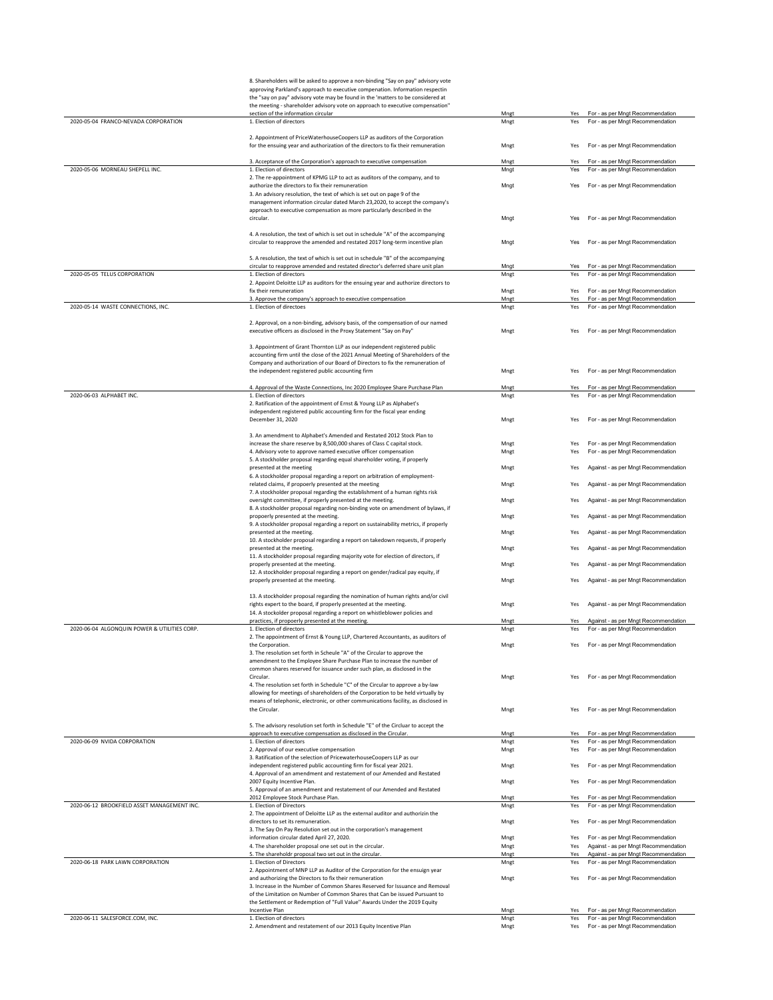|                                              | 8. Shareholders will be asked to approve a non-binding "Say on pay" advisory vote                                                                                   |              |            |                                                                          |
|----------------------------------------------|---------------------------------------------------------------------------------------------------------------------------------------------------------------------|--------------|------------|--------------------------------------------------------------------------|
|                                              | approving Parkland's approach to executive compenation. Information respectin                                                                                       |              |            |                                                                          |
|                                              | the "say on pay" advisory vote may be found in the 'matters to be considered at                                                                                     |              |            |                                                                          |
|                                              | the meeting - shareholder advisory vote on approach to executive compensation"<br>section of the information circular                                               | Mnet         | Yes        | For - as per Mngt Recommendation                                         |
| 2020-05-04 FRANCO-NEVADA CORPORATION         | 1. Election of directors                                                                                                                                            | Mngt         | Yes        | For - as per Mngt Recommendation                                         |
|                                              |                                                                                                                                                                     |              |            |                                                                          |
|                                              | 2. Appointment of PriceWaterhouseCoopers LLP as auditors of the Corporation                                                                                         |              | Yes        | For - as per Mngt Recommendation                                         |
|                                              | for the ensuing year and authorization of the directors to fix their remuneration                                                                                   | Mngt         |            |                                                                          |
|                                              | 3. Acceptance of the Corporation's approach to executive compensation                                                                                               | Mngt         | Yes        | For - as per Mngt Recommendation                                         |
| 2020-05-06 MORNEAU SHEPELL INC.              | 1. Election of directors                                                                                                                                            | Mngt         | Yes        | For - as per Mngt Recommendation                                         |
|                                              | 2. The re-appointment of KPMG LLP to act as auditors of the company, and to                                                                                         |              |            |                                                                          |
|                                              | authorize the directors to fix their remuneration                                                                                                                   | Mngt         | Yes        | For - as per Mngt Recommendation                                         |
|                                              | 3. An advisory resolution, the text of which is set out on page 9 of the<br>management information circular dated March 23,2020, to accept the company's            |              |            |                                                                          |
|                                              | approach to executive compensation as more particularly described in the                                                                                            |              |            |                                                                          |
|                                              | circular.                                                                                                                                                           | Mngt         | Yes        | For - as per Mngt Recommendation                                         |
|                                              |                                                                                                                                                                     |              |            |                                                                          |
|                                              | 4. A resolution, the text of which is set out in schedule "A" of the accompanying<br>circular to reapprove the amended and restated 2017 long-term incentive plan   |              | Yes        | For - as per Mngt Recommendation                                         |
|                                              |                                                                                                                                                                     | Mngt         |            |                                                                          |
|                                              | 5. A resolution, the text of which is set out in schedule "B" of the accompanying                                                                                   |              |            |                                                                          |
|                                              | circular to reapprove amended and restated director's deferred share unit plan                                                                                      | Mnat         | Yes        | For - as per Mngt Recommendation                                         |
| 2020-05-05 TELUS CORPORATION                 | 1. Election of directors                                                                                                                                            | Mngt         | Yes        | For - as per Mngt Recommendation                                         |
|                                              | 2. Appoint Deloitte LLP as auditors for the ensuing year and authorize directors to                                                                                 |              |            |                                                                          |
|                                              | fix their remuneration<br>3. Approve the company's approach to executive compensation                                                                               | Mngt<br>Mngt | Yes<br>Yes | For - as per Mngt Recommendation<br>For - as per Mngt Recommendation     |
| 2020-05-14 WASTE CONNECTIONS, INC.           | 1. Election of directoes                                                                                                                                            | Mngt         | Yes        | For - as per Mngt Recommendation                                         |
|                                              |                                                                                                                                                                     |              |            |                                                                          |
|                                              | 2. Approval, on a non-binding, advisory basis, of the compensation of our named                                                                                     |              |            |                                                                          |
|                                              | executive officers as disclosed in the Proxy Statement "Say on Pay"                                                                                                 | Mngt         | Yes        | For - as per Mngt Recommendation                                         |
|                                              | 3. Appointment of Grant Thornton LLP as our independent registered public                                                                                           |              |            |                                                                          |
|                                              | accounting firm until the close of the 2021 Annual Meeting of Shareholders of the                                                                                   |              |            |                                                                          |
|                                              | Company and authorization of our Board of Directors to fix the remuneration of                                                                                      |              |            |                                                                          |
|                                              | the independent registered public accounting firm                                                                                                                   | Mngt         | Yes        | For - as per Mngt Recommendation                                         |
|                                              |                                                                                                                                                                     |              |            |                                                                          |
| 2020-06-03 ALPHABET INC.                     | 4. Approval of the Waste Connections, Inc 2020 Employee Share Purchase Plan<br>1. Election of directors                                                             | Mngt<br>Mngt | Yes<br>Yes | For - as per Mngt Recommendation<br>For - as per Mngt Recommendation     |
|                                              | 2. Ratification of the appointment of Ernst & Young LLP as Alphabet's                                                                                               |              |            |                                                                          |
|                                              | independent registered public accounting firm for the fiscal year ending                                                                                            |              |            |                                                                          |
|                                              | December 31, 2020                                                                                                                                                   | Mngt         | Yes        | For - as per Mngt Recommendation                                         |
|                                              |                                                                                                                                                                     |              |            |                                                                          |
|                                              | 3. An amendment to Alphabet's Amended and Restated 2012 Stock Plan to<br>increase the share reserve by 8,500,000 shares of Class C capital stock.                   |              |            | For - as per Mngt Recommendation                                         |
|                                              | 4. Advisory vote to approve named executive officer compensation                                                                                                    | Mngt<br>Mngt | Yes<br>Yes | For - as per Mngt Recommendation                                         |
|                                              | 5. A stockholder proposal regarding equal shareholder voting, if properly                                                                                           |              |            |                                                                          |
|                                              | presented at the meeting                                                                                                                                            | Mngt         | Yes        | Against - as per Mngt Recommendation                                     |
|                                              | 6. A stockholder proposal regarding a report on arbitration of employment-                                                                                          |              |            |                                                                          |
|                                              | related claims, if propoerly presented at the meeting                                                                                                               | Mngt         | Yes        | Against - as per Mngt Recommendation                                     |
|                                              | 7. A stockholder proposal regarding the establishment of a human rights risk<br>oversight committee, if properly presented at the meeting.                          | Mngt         | Yes        | Against - as per Mngt Recommendation                                     |
|                                              | 8. A stockholder proposal regarding non-binding vote on amendment of bylaws, if                                                                                     |              |            |                                                                          |
|                                              | propoerly presented at the meeting.                                                                                                                                 | Mngt         | Yes        | Against - as per Mngt Recommendation                                     |
|                                              | 9. A stockholder proposal regarding a report on sustainability metrics, if properly                                                                                 |              |            |                                                                          |
|                                              | presented at the meeting.                                                                                                                                           | Mngt         | Yes        | Against - as per Mngt Recommendation                                     |
|                                              | 10. A stockholder proposal regarding a report on takedown requests, if properly<br>presented at the meeting.                                                        | Mngt         | Yes        | Against - as per Mngt Recommendation                                     |
|                                              | 11. A stockholder proposal regarding majority vote for election of directors, if                                                                                    |              |            |                                                                          |
|                                              | properly presented at the meeting.                                                                                                                                  | Mngt         | Yes        | Against - as per Mngt Recommendation                                     |
|                                              | 12. A stockholder proposal regarding a report on gender/radical pay equity, if                                                                                      |              |            |                                                                          |
|                                              | properly presented at the meeting.                                                                                                                                  | Mngt         | Yes        | Against - as per Mngt Recommendation                                     |
|                                              | 13. A stockholder proposal regarding the nomination of human rights and/or civil                                                                                    |              |            |                                                                          |
|                                              | rights expert to the board, if properly presented at the meeting.                                                                                                   | Mngt         | Yes        | Against - as per Mngt Recommendation                                     |
|                                              | 14. A stockolder proposal regarding a report on whistleblower policies and                                                                                          |              |            |                                                                          |
|                                              | practices, if propoerly presented at the meeting.                                                                                                                   | Mngt         | Yes        | Against - as per Mngt Recommendation                                     |
| 2020-06-04 ALGONQUIN POWER & UTILITIES CORP. | 1. Election of directors                                                                                                                                            | Mngt         | Yes        | For - as per Mngt Recommendation                                         |
|                                              | 2. The appointment of Ernst & Young LLP, Chartered Accountants, as auditors of<br>the Corporation.                                                                  |              | Yes        |                                                                          |
|                                              | 3. The resolution set forth in Scheule "A" of the Circular to approve the                                                                                           | Mngt         |            | For - as per Mngt Recommendation                                         |
|                                              | amendment to the Employee Share Purchase Plan to increase the number of                                                                                             |              |            |                                                                          |
|                                              | common shares reserved for issuance under such plan, as disclosed in the                                                                                            |              |            |                                                                          |
|                                              | Circular.                                                                                                                                                           | Mngt         | Yes        | For - as per Mngt Recommendation                                         |
|                                              | 4. The resolution set forth in Schedule "C" of the Circular to approve a by-law<br>allowing for meetings of shareholders of the Corporation to be held virtually by |              |            |                                                                          |
|                                              | means of telephonic, electronic, or other communications facility, as disclosed in                                                                                  |              |            |                                                                          |
|                                              | the Circular.                                                                                                                                                       | Mngt         | Yes        | For - as per Mngt Recommendation                                         |
|                                              |                                                                                                                                                                     |              |            |                                                                          |
|                                              | 5. The advisory resolution set forth in Schedule "E" of the Circluar to accept the                                                                                  |              |            |                                                                          |
|                                              | approach to executive compensation as disclosed in the Circular.                                                                                                    | Mngt         | Yes        | For - as per Mngt Recommendation                                         |
| 2020-06-09 NVIDA CORPORATION                 | 1. Election of directors<br>2. Approval of our executive compensation                                                                                               | Mngt<br>Mngt | Yes<br>Yes | For - as per Mngt Recommendation<br>For - as per Mngt Recommendation     |
|                                              | 3. Ratification of the selection of PricewaterhouseCoopers LLP as our                                                                                               |              |            |                                                                          |
|                                              | independent registered public accounting firm for fiscal year 2021.                                                                                                 | Mngt         | Yes        | For - as per Mngt Recommendation                                         |
|                                              | 4. Approval of an amendment and restatement of our Amended and Restated                                                                                             |              |            |                                                                          |
|                                              | 2007 Equity Incentive Plan.                                                                                                                                         | Mngt         | Yes        | For - as per Mngt Recommendation                                         |
|                                              | 5. Approval of an amendment and restatement of our Amended and Restated<br>2012 Employee Stock Purchase Plan.                                                       | Mngt         | Yes        | For - as per Mngt Recommendation                                         |
| 2020-06-12 BROOKFIELD ASSET MANAGEMENT INC.  | 1. Election of Directors                                                                                                                                            | Mngt         | Yes        | For - as per Mngt Recommendation                                         |
|                                              | 2. The appointment of Deloitte LLP as the external auditor and authorizin the                                                                                       |              |            |                                                                          |
|                                              | directors to set its remuneration.                                                                                                                                  | Mngt         | Yes        | For - as per Mngt Recommendation                                         |
|                                              | 3. The Say On Pay Resolution set out in the corporation's management                                                                                                |              |            |                                                                          |
|                                              | information circular dated April 27, 2020.<br>4. The shareholder proposal one set out in the circular.                                                              | Mngt<br>Mngt | Yes<br>Yes | For - as per Mngt Recommendation<br>Against - as per Mngt Recommendation |
|                                              | 5. The shareholdr proposal two set out in the circular.                                                                                                             | Mngt         | Yes        | Against - as per Mngt Recommendation                                     |
| 2020-06-18 PARK LAWN CORPORATION             | 1. Election of Directors                                                                                                                                            | Mngt         | Yes        | For - as per Mngt Recommendation                                         |
|                                              | 2. Appointment of MNP LLP as Auditor of the Corporation for the ensuign year                                                                                        |              |            |                                                                          |
|                                              | and authorizing the Directors to fix their remuneration                                                                                                             | Mngt         | Yes        | For - as per Mngt Recommendation                                         |
|                                              | 3. Increase in the Number of Common Shares Reserved for Issuance and Removal                                                                                        |              |            |                                                                          |
|                                              | of the Limitation on Number of Common Shares that Can be issued Pursuant to<br>the Settlement or Redemption of "Full Value" Awards Under the 2019 Equity            |              |            |                                                                          |
|                                              | Incentive Plan                                                                                                                                                      | Mngt         | Yes        | For - as per Mngt Recommendation                                         |
| 2020-06-11 SALESFORCE.COM, INC.              | 1. Election of directors                                                                                                                                            | Mngt         | Yes        | For - as per Mngt Recommendation                                         |
|                                              | 2. Amendment and restatement of our 2013 Equity Incentive Plan                                                                                                      | Mngt         |            | Yes For - as per Mngt Recommendation                                     |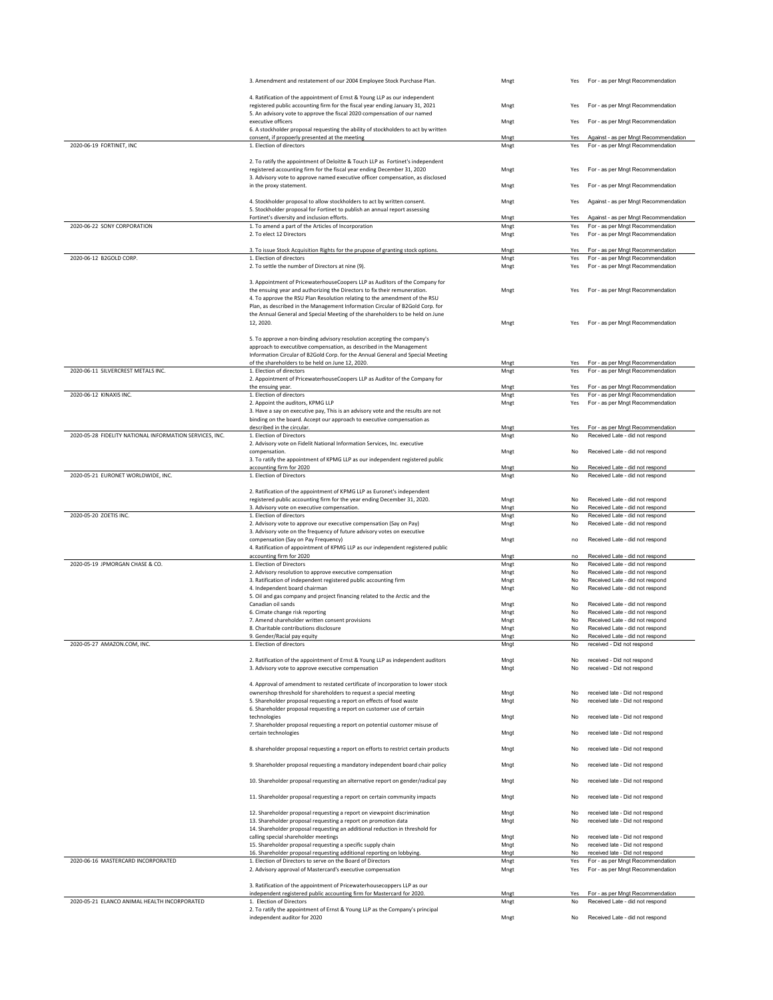|                                                         | 3. Amendment and restatement of our 2004 Employee Stock Purchase Plan.                                                                                      | Mngt         | Yes             | For - as per Mngt Recommendation                                         |
|---------------------------------------------------------|-------------------------------------------------------------------------------------------------------------------------------------------------------------|--------------|-----------------|--------------------------------------------------------------------------|
|                                                         | 4. Ratification of the appointment of Ernst & Young LLP as our independent                                                                                  |              |                 |                                                                          |
|                                                         | registered public accounting firm for the fiscal year ending January 31, 2021                                                                               | Mngt         | Yes             | For - as per Mngt Recommendation                                         |
|                                                         | 5. An advisory vote to approve the fiscal 2020 compensation of our named<br>executive officers                                                              | Mngt         | Yes             | For - as per Mngt Recommendation                                         |
|                                                         | 6. A stockholder proposal requesting the ability of stockholders to act by written                                                                          |              |                 |                                                                          |
| 2020-06-19 FORTINET, INC                                | consent, if propoerly presented at the meeting<br>1. Election of directors                                                                                  | Mngt<br>Mngt | Yes<br>Yes      | Against - as per Mngt Recommendation<br>For - as per Mngt Recommendation |
|                                                         |                                                                                                                                                             |              |                 |                                                                          |
|                                                         | 2. To ratify the appointment of Deloitte & Touch LLP as Fortinet's independent                                                                              |              | Yes             | For - as per Mngt Recommendation                                         |
|                                                         | registered accounting firm for the fiscal year ending December 31, 2020<br>3. Advisory vote to approve named executive officer compensation, as disclosed   | Mngt         |                 |                                                                          |
|                                                         | in the proxy statement.                                                                                                                                     | Mngt         | Yes             | For - as per Mngt Recommendation                                         |
|                                                         | 4. Stockholder proposal to allow stockholders to act by written consent.                                                                                    | Mngt         | Yes             | Against - as per Mngt Recommendation                                     |
|                                                         | 5. Stockholder proposal for Fortinet to publish an annual report assessing                                                                                  |              |                 |                                                                          |
| 2020-06-22 SONY CORPORATION                             | Fortinet's diversity and inclusion efforts.<br>1. To amend a part of the Articles of Incorporation                                                          | Mngt<br>Mngt | Yes<br>Yes      | Against - as per Mngt Recommendation<br>For - as per Mngt Recommendation |
|                                                         | 2. To elect 12 Directors                                                                                                                                    | Mngt         | Yes             | For - as per Mngt Recommendation                                         |
|                                                         | 3. To issue Stock Acquisition Rights for the prupose of granting stock options.                                                                             | Mngt         | Yes             | For - as per Mngt Recommendation                                         |
| 2020-06-12 B2GOLD CORP.                                 | 1. Election of directors                                                                                                                                    | Mnet         | Yes             | For - as per Mngt Recommendation                                         |
|                                                         | 2. To settle the number of Directors at nine (9).                                                                                                           | Mngt         | Yes             | For - as per Mngt Recommendation                                         |
|                                                         | 3. Appointment of PricewaterhouseCoopers LLP as Auditors of the Company for                                                                                 |              |                 |                                                                          |
|                                                         | the ensuing year and authorizing the Directors to fix their remuneration.                                                                                   | Mngt         | Yes             | For - as per Mngt Recommendation                                         |
|                                                         | 4. To approve the RSU Plan Resolution relating to the amendment of the RSU<br>Plan, as described in the Management Information Circular of B2Gold Corp. for |              |                 |                                                                          |
|                                                         | the Annual General and Special Meeting of the shareholders to be held on June                                                                               |              |                 |                                                                          |
|                                                         | 12, 2020.                                                                                                                                                   | Mngt         | Yes             | For - as per Mngt Recommendation                                         |
|                                                         | 5. To approve a non-binding advisory resolution accepting the company's                                                                                     |              |                 |                                                                          |
|                                                         | approach to executibve compensation, as described in the Management<br>Information Circular of B2Gold Corp. for the Annual General and Special Meeting      |              |                 |                                                                          |
|                                                         | of the shareholders to be held on June 12, 2020.                                                                                                            | Mngt         | Yes             | For - as per Mngt Recommendation                                         |
| 2020-06-11 SILVERCREST METALS INC.                      | 1. Election of directors                                                                                                                                    | Mngt         | Yes             | For - as per Mngt Recommendation                                         |
|                                                         | 2. Appointment of PricewaterhouseCoopers LLP as Auditor of the Company for<br>the ensuing year.                                                             | Mngt         | Yes             | For - as per Mngt Recommendation                                         |
| 2020-06-12 KINAXIS INC.                                 | 1. Election of directors                                                                                                                                    | Mngt         | Yes             | For - as per Mngt Recommendation                                         |
|                                                         | 2. Appoint the auditors, KPMG LLP<br>3. Have a say on executive pay, This is an advisory vote and the results are not                                       | Mngt         | Yes             | For - as per Mngt Recommendation                                         |
|                                                         | binding on the board. Accept our approach to executive compensation as                                                                                      |              |                 |                                                                          |
|                                                         | described in the circular.                                                                                                                                  | Mngt         | Yes             | For - as per Mngt Recommendation                                         |
| 2020-05-28 FIDELITY NATIONAL INFORMATION SERVICES, INC. | 1. Election of Directors<br>2. Advisory vote on Fidelit National Information Services, Inc. executive                                                       | Mngt         | No              | Received Late - did not respond                                          |
|                                                         | compensation.                                                                                                                                               | Mngt         | No              | Received Late - did not respond                                          |
|                                                         | 3. To ratify the appointment of KPMG LLP as our independent registered public<br>accounting firm for 2020                                                   | Mngt         | No              | Received Late - did not respond                                          |
| 2020-05-21 EURONET WORLDWIDE, INC.                      | 1. Election of Directors                                                                                                                                    | Mngt         | No              | Received Late - did not respond                                          |
|                                                         |                                                                                                                                                             |              |                 |                                                                          |
|                                                         | 2. Ratification of the appointment of KPMG LLP as Euronet's independent<br>registered public accounting firm for the year ending December 31, 2020.         | Mngt         | No              | Received Late - did not respond                                          |
|                                                         |                                                                                                                                                             |              |                 |                                                                          |
|                                                         | 3. Advisory vote on executive compensation.                                                                                                                 | Mngt         | No              | Received Late - did not respond                                          |
| 2020-05-20 ZOETIS INC.                                  | 1. Election of directors                                                                                                                                    | Mngt         | No              | Received Late - did not respond                                          |
|                                                         | 2. Advisory vote to approve our executive compensation (Say on Pay)<br>3. Advisory vote on the frequency of future advisory votes on executive              | Mngt         | No              | Received Late - did not respond                                          |
|                                                         | compensation (Say on Pay Frequency)                                                                                                                         | Mngt         | no              | Received Late - did not respond                                          |
|                                                         | 4. Ratification of appointment of KPMG LLP as our independent registered public<br>accounting firm for 2020                                                 | Mngt         | no              | Received Late - did not respond                                          |
| 2020-05-19 JPMORGAN CHASE & CO.                         | 1. Election of Directors                                                                                                                                    | Mngt         | No              | Received Late - did not respond                                          |
|                                                         | 2. Advisory resolution to approve executive compensation                                                                                                    | Mngt         | No              | Received Late - did not respond                                          |
|                                                         | 3. Ratification of independent registered public accounting firm<br>4. Independent board chairman                                                           | Mngt<br>Mngt | No<br>No        | Received Late - did not respond<br>Received Late - did not respond       |
|                                                         | 5. Oil and gas company and project financing related to the Arctic and the                                                                                  |              |                 |                                                                          |
|                                                         | Canadian oil sands<br>6. Cimate change risk reporting                                                                                                       | Mngt<br>Mngt | No<br>No        | Received Late - did not respond<br>Received Late - did not respond       |
|                                                         | 7. Amend shareholder written consent provisions                                                                                                             | Mngt         | No              | Received Late - did not respond                                          |
|                                                         | 8. Charitable contributions disclosure<br>9. Gender/Racial pay equity                                                                                       | Mngt<br>Mngt | No<br>No        | Received Late - did not respond<br>Received Late - did not respond       |
| 2020-05-27 AMAZON.COM, INC                              | 1. Election of directors                                                                                                                                    | Mngt         | No              | received - Did not respond                                               |
|                                                         |                                                                                                                                                             |              |                 |                                                                          |
|                                                         | 2. Ratification of the appointment of Ernst & Young LLP as independent auditors<br>3. Advisory vote to approve executive compensation                       | Mngt<br>Mngt | No<br>No        | received - Did not respond<br>received - Did not respond                 |
|                                                         |                                                                                                                                                             |              |                 |                                                                          |
|                                                         | 4. Approval of amendment to restated certificate of incorporation to lower stock<br>ownershop threshold for shareholders to request a special meeting       | Mngt         | No              | received late - Did not respond                                          |
|                                                         | 5. Shareholder proposal requesting a report on effects of food waste                                                                                        | Mngt         | No              | received late - Did not respond                                          |
|                                                         | 6. Shareholder proposal requesting a report on customer use of certain<br>technologies                                                                      | Mngt         | No              | received late - Did not respond                                          |
|                                                         | 7. Shareholder proposal requesting a report on potential customer misuse of                                                                                 |              |                 |                                                                          |
|                                                         | certain technologies                                                                                                                                        | Mngt         | No              | received late - Did not respond                                          |
|                                                         | 8. shareholder proposal requesting a report on efforts to restrict certain products                                                                         | Mngt         | No              | received late - Did not respond                                          |
|                                                         |                                                                                                                                                             |              | No              |                                                                          |
|                                                         | 9. Shareholder proposal requesting a mandatory independent board chair policy                                                                               | Mngt         |                 | received late - Did not respond                                          |
|                                                         | 10. Shareholder proposal requesting an alternative report on gender/radical pay                                                                             | Mngt         | No              | received late - Did not respond                                          |
|                                                         | 11. Shareholder proposal requesting a report on certain community impacts                                                                                   | Mngt         | No              | received late - Did not respond                                          |
|                                                         |                                                                                                                                                             |              |                 |                                                                          |
|                                                         | 12. Shareholder proposal requesting a report on viewpoint discrimination<br>13. Shareholder proposal requesting a report on promotion data                  | Mngt<br>Mngt | No<br>No        | received late - Did not respond<br>received late - Did not respond       |
|                                                         | 14. Shareholder proposal requesting an additional reduction in threshold for                                                                                |              |                 |                                                                          |
|                                                         | calling special shareholder meetings<br>15. Shareholder proposal requesting a specific supply chain                                                         | Mngt<br>Mngt | <b>No</b><br>No | received late - Did not respond<br>received late - Did not respond       |
|                                                         | 16. Shareholder proposal requesting additional reporting on lobbying.                                                                                       | Mngt         | No              | received late - Did not respond                                          |
| 2020-06-16 MASTERCARD INCORPORATED                      | 1. Election of Directors to serve on the Board of Directors<br>2. Advisory approval of Mastercard's executive compensation                                  | Mngt<br>Mngt | Yes<br>Yes      | For - as per Mngt Recommendation<br>For - as per Mngt Recommendation     |
|                                                         |                                                                                                                                                             |              |                 |                                                                          |
|                                                         | 3. Ratification of the appointment of Pricewaterhousecoppers LLP as our                                                                                     |              |                 |                                                                          |
| 2020-05-21 ELANCO ANIMAL HEALTH INCORPORATED            | independent registered public accounting firm for Mastercard for 2020.<br>1. Election of Directors                                                          | Mngt<br>Mngt | Yes<br>No       | For - as per Mngt Recommendation<br>Received Late - did not respond      |
|                                                         | 2. To ratify the appointment of Ernst & Young LLP as the Company's principal<br>independent auditor for 2020                                                | Mngt         | No              | Received Late - did not respond                                          |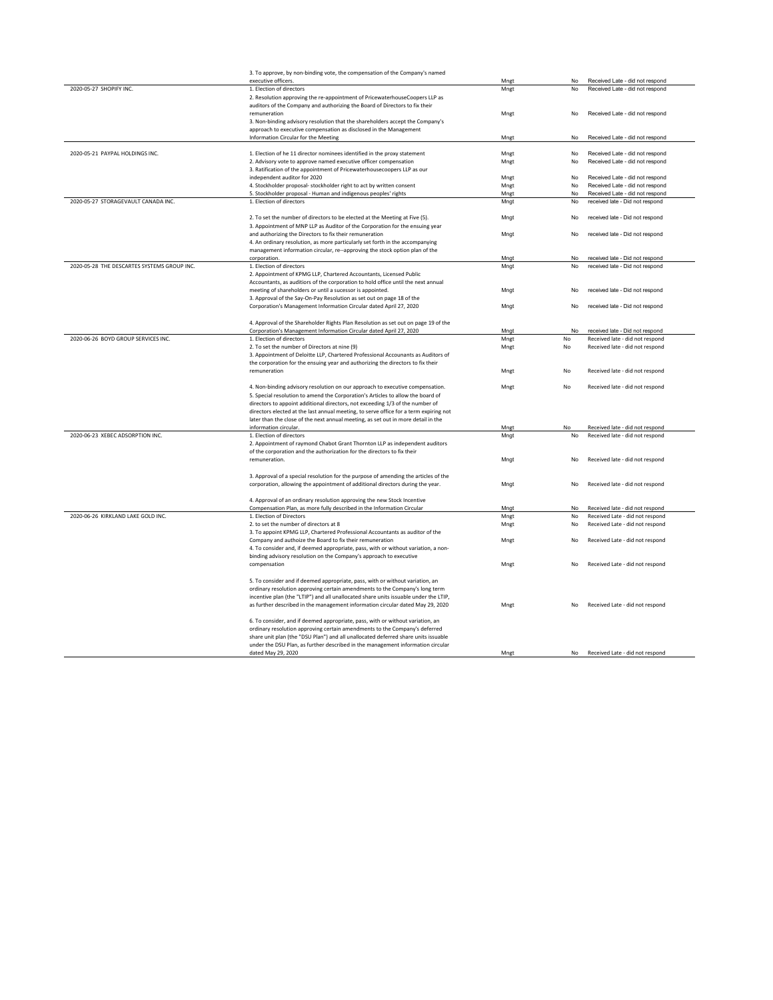|                                             | 3. To approve, by non-binding vote, the compensation of the Company's named           |      |    |                                    |
|---------------------------------------------|---------------------------------------------------------------------------------------|------|----|------------------------------------|
|                                             | executive officers                                                                    | Mngt | No | Received Late - did not respond    |
| 2020-05-27 SHOPIFY INC.                     | 1. Election of directors                                                              | Mngt | No | Received Late - did not respond    |
|                                             | 2. Resolution approving the re-appointment of PricewaterhouseCoopers LLP as           |      |    |                                    |
|                                             | auditors of the Company and authorizing the Board of Directors to fix their           |      |    |                                    |
|                                             | remuneration                                                                          | Mngt | No | Received Late - did not respond    |
|                                             | 3. Non-binding advisory resolution that the shareholders accept the Company's         |      |    |                                    |
|                                             | approach to executive compensation as disclosed in the Management                     |      |    |                                    |
|                                             | Information Circular for the Meeting                                                  | Mngt | No | Received Late - did not respond    |
|                                             |                                                                                       |      |    |                                    |
| 2020-05-21 PAYPAL HOLDINGS INC.             | 1. Election of he 11 director nominees identified in the proxy statement              | Mngt | No | Received Late - did not respond    |
|                                             |                                                                                       |      | No | Received Late - did not respond    |
|                                             | 2. Advisory vote to approve named executive officer compensation                      | Mngt |    |                                    |
|                                             | 3. Ratification of the appointment of Pricewaterhousecoopers LLP as our               |      |    |                                    |
|                                             | independent auditor for 2020                                                          | Mngt | No | Received Late - did not respond    |
|                                             | 4. Stockholder proposal- stockholder right to act by written consent                  | Mngt | No | Received Late - did not respond    |
|                                             | 5. Stockholder proposal - Human and indigenous peoples' rights                        | Mngt | No | Received Late - did not respond    |
| 2020-05-27 STORAGEVAULT CANADA INC.         | 1. Election of directors                                                              | Mngt | No | received late - Did not respond    |
|                                             |                                                                                       |      |    |                                    |
|                                             | 2. To set the number of directors to be elected at the Meeting at Five (5).           | Mngt | No | received late - Did not respond    |
|                                             | 3. Appointment of MNP LLP as Auditor of the Corporation for the ensuing year          |      |    |                                    |
|                                             | and authorizing the Directors to fix their remuneration                               | Mngt | No | received late - Did not respond    |
|                                             | 4. An ordinary resolution, as more particularly set forth in the accompanying         |      |    |                                    |
|                                             | management information circular, re--approving the stock option plan of the           |      |    |                                    |
|                                             | corporation.                                                                          | Mngt | No | received late - Did not respond    |
| 2020-05-28 THE DESCARTES SYSTEMS GROUP INC. | 1. Election of directors                                                              | Mngt | No | received late - Did not respond    |
|                                             | 2. Appointment of KPMG LLP, Chartered Accountants, Licensed Public                    |      |    |                                    |
|                                             | Accountants, as auditiors of the corporation to hold office until the next annual     |      |    |                                    |
|                                             |                                                                                       |      |    |                                    |
|                                             | meeting of shareholders or until a sucessor is appointed.                             | Mngt | No | received late - Did not respond    |
|                                             | 3. Approval of the Say-On-Pay Resolution as set out on page 18 of the                 |      |    |                                    |
|                                             | Corporation's Management Information Circular dated April 27, 2020                    | Mngt | No | received late - Did not respond    |
|                                             |                                                                                       |      |    |                                    |
|                                             | 4. Approval of the Shareholder Rights Plan Resolution as set out on page 19 of the    |      |    |                                    |
|                                             | Corporation's Management Information Circular dated April 27, 2020                    | Mngt | No | received late - Did not respond    |
| 2020-06-26 BOYD GROUP SERVICES INC.         | 1. Election of directors                                                              | Mngt | No | Received late - did not respond    |
|                                             | 2. To set the number of Directors at nine (9)                                         | Mngt | No | Received late - did not respond    |
|                                             | 3. Appointment of Deloitte LLP, Chartered Professional Accounants as Auditors of      |      |    |                                    |
|                                             | the corporation for the ensuing year and authorizing the directors to fix their       |      |    |                                    |
|                                             | remuneration                                                                          | Mngt | No | Received late - did not respond    |
|                                             |                                                                                       |      |    |                                    |
|                                             | 4. Non-binding advisory resolution on our approach to executive compensation.         | Mngt | No | Received late - did not respond    |
|                                             | 5. Special resolution to amend the Corporation's Articles to allow the board of       |      |    |                                    |
|                                             | directors to appoint additional directors, not exceeding 1/3 of the number of         |      |    |                                    |
|                                             | directors elected at the last annual meeting, to serve office for a term expiring not |      |    |                                    |
|                                             |                                                                                       |      |    |                                    |
|                                             | later than the close of the next annual meeting, as set out in more detail in the     |      |    |                                    |
|                                             | information circular.                                                                 | Mngt | No | Received late - did not respond    |
| 2020-06-23 XEBEC ADSORPTION INC.            | 1. Election of directors                                                              | Mngt | No | Received late - did not respond    |
|                                             | 2. Appointment of raymond Chabot Grant Thornton LLP as independent auditors           |      |    |                                    |
|                                             | of the corporation and the authorization for the directors to fix their               |      |    |                                    |
|                                             | remuneration.                                                                         | Mngt | No | Received late - did not respond    |
|                                             |                                                                                       |      |    |                                    |
|                                             | 3. Approval of a special resolution for the purpose of amending the articles of the   |      |    |                                    |
|                                             | corporation, allowing the appointment of additional directors during the year.        | Mngt | No | Received late - did not respond    |
|                                             |                                                                                       |      |    |                                    |
|                                             | 4. Approval of an ordinary resolution approving the new Stock Incentive               |      |    |                                    |
|                                             | Compensation Plan, as more fully described in the Information Circular                | Mngt | No | Received late - did not respond    |
| 2020-06-26 KIRKLAND LAKE GOLD INC.          | 1. Election of Directors                                                              | Mngt | No | Received Late - did not respond    |
|                                             | 2. to set the number of directors at 8                                                | Mngt | No | Received Late - did not respond    |
|                                             | 3. To appoint KPMG LLP, Chartered Professional Accountants as auditor of the          |      |    |                                    |
|                                             | Company and authoize the Board to fix their remuneration                              | Mngt | No | Received Late - did not respond    |
|                                             | 4. To consider and, if deemed appropriate, pass, with or without variation, a non-    |      |    |                                    |
|                                             | binding advisory resolution on the Company's approach to executive                    |      |    |                                    |
|                                             | compensation                                                                          | Mngt | No | Received Late - did not respond    |
|                                             |                                                                                       |      |    |                                    |
|                                             | 5. To consider and if deemed appropriate, pass, with or without variation, an         |      |    |                                    |
|                                             |                                                                                       |      |    |                                    |
|                                             | ordinary resolution approving certain amendments to the Company's long term           |      |    |                                    |
|                                             | incentive plan (the "LTIP") and all unallocated share units issuable under the LTIP,  |      |    |                                    |
|                                             | as further described in the management information circular dated May 29, 2020        | Mngt | No | Received Late - did not respond    |
|                                             |                                                                                       |      |    |                                    |
|                                             | 6. To consider, and if deemed appropriate, pass, with or without variation, an        |      |    |                                    |
|                                             | ordinary resolution approving certain amendments to the Company's deferred            |      |    |                                    |
|                                             | share unit plan (the "DSU Plan") and all unallocated deferred share units issuable    |      |    |                                    |
|                                             | under the DSU Plan, as further described in the management information circular       |      |    |                                    |
|                                             | dated May 29, 2020                                                                    | Mngt |    | No Received Late - did not respond |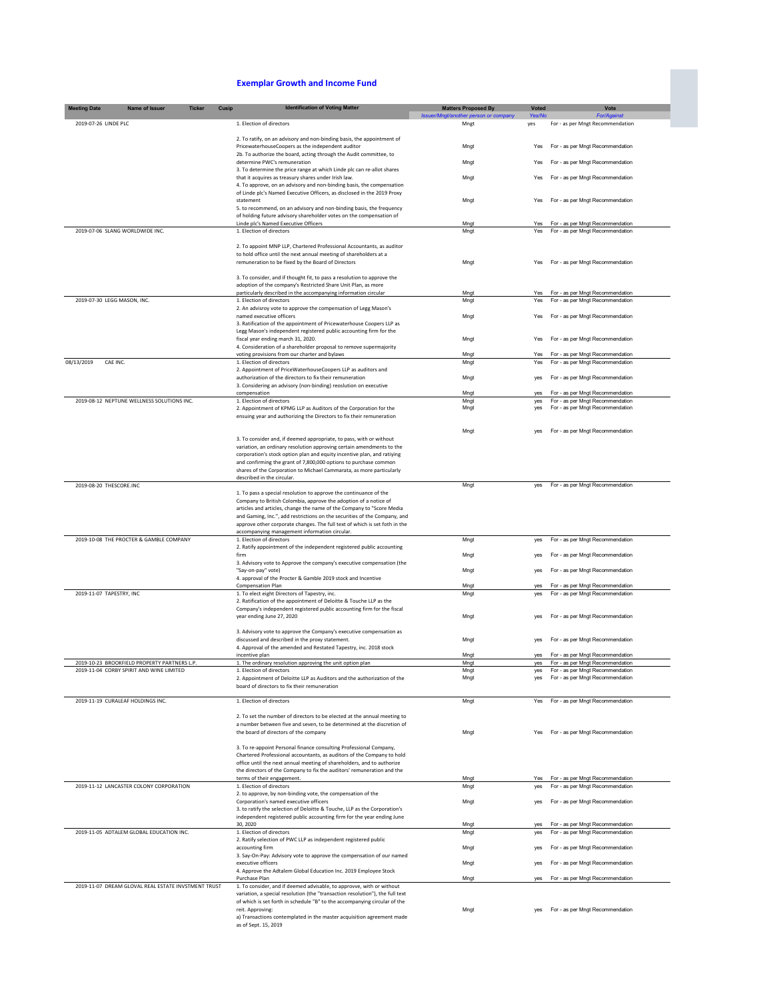## **Exemplar Growth and Income Fund**

| <b>Meeting Date</b>               | Name of Issuer                                      | <b>Ticker</b><br>Cusip | <b>Identification of Voting Matter</b>                                                                                                                 | <b>Matters Proposed By</b>         | <b>Voted</b> | Vote                                                                 |
|-----------------------------------|-----------------------------------------------------|------------------------|--------------------------------------------------------------------------------------------------------------------------------------------------------|------------------------------------|--------------|----------------------------------------------------------------------|
|                                   |                                                     |                        |                                                                                                                                                        | Issuer/Mngt/another person or comp | Yes/No       | For/Ac                                                               |
| 2019-07-26 LINDE PLC              |                                                     |                        | 1. Election of directors                                                                                                                               | Mngt                               | yes          | For - as per Mngt Recommendation                                     |
|                                   |                                                     |                        |                                                                                                                                                        |                                    |              |                                                                      |
|                                   |                                                     |                        | 2. To ratify, on an advisory and non-binding basis, the appointment of<br>PricewaterhouseCoopers as the independent auditor                            | Mngt                               | Yes          | For - as per Mngt Recommendation                                     |
|                                   |                                                     |                        | 2b. To authorize the board, acting through the Audit committee, to                                                                                     |                                    |              |                                                                      |
|                                   |                                                     |                        | determine PWC's remuneration                                                                                                                           | Mngt                               | Yes          | For - as per Mngt Recommendation                                     |
|                                   |                                                     |                        | 3. To determine the price range at which Linde plc can re-allot shares<br>that it acquires as treasury shares under Irish law.                         | Mngt                               | Yes          | For - as per Mngt Recommendation                                     |
|                                   |                                                     |                        | 4. To approve, on an advisory and non-binding basis, the compensation                                                                                  |                                    |              |                                                                      |
|                                   |                                                     |                        | of Linde plc's Named Executive Officers, as disclosed in the 2019 Proxy                                                                                |                                    |              |                                                                      |
|                                   |                                                     |                        | statement<br>5. to recommend, on an advisory and non-binding basis, the frequency                                                                      | Mngt                               | Yes          | For - as per Mngt Recommendation                                     |
|                                   |                                                     |                        | of holding future advisory shareholder votes on the compensation of                                                                                    |                                    |              |                                                                      |
|                                   |                                                     |                        | Linde plc's Named Executive Officers                                                                                                                   | Mngt                               | Yes          | For - as per Mngt Recommendation                                     |
| 2019-07-06 SLANG WORLDWIDE INC.   |                                                     |                        | 1. Election of directors                                                                                                                               | Mngt                               | Yes          | For - as per Mngt Recommendation                                     |
|                                   |                                                     |                        | 2. To appoint MNP LLP, Chartered Professional Accountants, as auditor                                                                                  |                                    |              |                                                                      |
|                                   |                                                     |                        | to hold office until the next annual meeting of shareholders at a                                                                                      |                                    |              |                                                                      |
|                                   |                                                     |                        | remuneration to be fixed by the Board of Directors                                                                                                     | Mngt                               | Yes          | For - as per Mngt Recommendation                                     |
|                                   |                                                     |                        | 3. To consider, and if thought fit, to pass a resolution to approve the                                                                                |                                    |              |                                                                      |
|                                   |                                                     |                        | adoption of the company's Restricted Share Unit Plan, as more                                                                                          |                                    |              |                                                                      |
|                                   |                                                     |                        | particularly described in the accompanying information circular                                                                                        | Mngt                               | Yes          | For - as per Mngt Recommendation                                     |
| 2019-07-30 LEGG MASON, INC.       |                                                     |                        | 1. Election of directors<br>2. An advisroy vote to approve the compensation of Legg Mason's                                                            | Mngt                               | Yes          | For - as per Mngt Recommendation                                     |
|                                   |                                                     |                        | named executive officers                                                                                                                               | Mngt                               | Yes          | For - as per Mngt Recommendation                                     |
|                                   |                                                     |                        | 3. Ratification of the appointment of Pricewaterhouse Coopers LLP as                                                                                   |                                    |              |                                                                      |
|                                   |                                                     |                        | Legg Mason's independent registered public accounting firm for the<br>fiscal year ending march 31, 2020.                                               | Mngt                               | Yes          | For - as per Mngt Recommendation                                     |
|                                   |                                                     |                        | 4. Consideration of a shareholder proposal to remove supermajority                                                                                     |                                    |              |                                                                      |
|                                   |                                                     |                        | voting provisions from our charter and bylaws                                                                                                          | Mngt                               | Yes          | For - as per Mngt Recommendation                                     |
| 08/13/2019<br>CAE INC.            |                                                     |                        | 1. Election of directors<br>2. Appointment of PriceWaterhouseCoopers LLP as auditors and                                                               | Mnat                               | Yes          | For - as per Mngt Recommendation                                     |
|                                   |                                                     |                        | authorization of the directors to fix their remuneration                                                                                               | Mngt                               | ves          | For - as per Mngt Recommendation                                     |
|                                   |                                                     |                        | 3. Considering an advisory (non-binding) reoslution on executive                                                                                       |                                    |              |                                                                      |
|                                   |                                                     |                        | compensation                                                                                                                                           | Mngt                               | yes          | For - as per Mngt Recommendation                                     |
|                                   | 2019-08-12 NEPTUNE WELLNESS SOLUTIONS INC.          |                        | 1. Election of directors<br>2. Appointment of KPMG LLP as Auditors of the Corporation for the                                                          | Mngt<br>Mngt                       | yes<br>yes   | For - as per Mngt Recommendation<br>For - as per Mngt Recommendation |
|                                   |                                                     |                        | ensuing year and authorizing the Directors to fix their remuneration                                                                                   |                                    |              |                                                                      |
|                                   |                                                     |                        |                                                                                                                                                        |                                    |              |                                                                      |
|                                   |                                                     |                        |                                                                                                                                                        | Mngt                               | yes          | For - as per Mngt Recommendation                                     |
|                                   |                                                     |                        | 3. To consider and, if deemed appropriate, to pass, with or without<br>variation, an ordinary resolution approving certain amendments to the           |                                    |              |                                                                      |
|                                   |                                                     |                        | corporation's stock option plan and equity incentive plan, and ratiying                                                                                |                                    |              |                                                                      |
|                                   |                                                     |                        | and confirming the grant of 7,800,000 options to purchase common                                                                                       |                                    |              |                                                                      |
|                                   |                                                     |                        | shares of the Corporation to Michael Cammarata, as more particularly<br>described in the circular.                                                     |                                    |              |                                                                      |
| 2019-08-20 THESCORE.INC           |                                                     |                        |                                                                                                                                                        | Mngt                               | yes          | For - as per Mngt Recommendation                                     |
|                                   |                                                     |                        | 1. To pass a special resolution to approve the continuance of the                                                                                      |                                    |              |                                                                      |
|                                   |                                                     |                        | Company to British Colombia, approve the adoption of a notice of                                                                                       |                                    |              |                                                                      |
|                                   |                                                     |                        | articles and articles, change the name of the Company to "Score Media<br>and Gaming, Inc.", add restrictions on the securities of the Company, and     |                                    |              |                                                                      |
|                                   |                                                     |                        | approve other corporate changes. The full text of which is set foth in the                                                                             |                                    |              |                                                                      |
|                                   |                                                     |                        | accompanying management information circular.                                                                                                          |                                    |              |                                                                      |
|                                   | 2019-10-08 THE PROCTER & GAMBLE COMPANY             |                        | 1. Election of directors<br>2. Ratify appointment of the independent registered public accounting                                                      | Mngt                               | yes          | For - as per Mngt Recommendation                                     |
|                                   |                                                     |                        | firm                                                                                                                                                   | Mngt                               | yes          | For - as per Mngt Recommendation                                     |
|                                   |                                                     |                        | 3. Advisory vote to Approve the company's executive compensation (the                                                                                  |                                    |              |                                                                      |
|                                   |                                                     |                        | "Sav-on-pay" vote)                                                                                                                                     | Mngt                               | yes          | For - as per Mngt Recommendation                                     |
|                                   |                                                     |                        | 4. approval of the Procter & Gamble 2019 stock and Incentive<br>Compensation Plan                                                                      | Mngt                               | ves          | For - as per Mngt Recommendation                                     |
| 2019-11-07 TAPESTRY, INC          |                                                     |                        | 1. To elect eight Directors of Tapestry, inc.                                                                                                          | Mngt                               | yes          | For - as per Mngt Recommendation                                     |
|                                   |                                                     |                        | 2. Ratification of the appointment of Deloitte & Touche LLP as the                                                                                     |                                    |              |                                                                      |
|                                   |                                                     |                        | Company's independent registered public accounting firm for the fiscal<br>year ending June 27, 2020                                                    | Mngt                               | yes          | For - as per Mngt Recommendation                                     |
|                                   |                                                     |                        |                                                                                                                                                        |                                    |              |                                                                      |
|                                   |                                                     |                        | 3. Advisory vote to approve the Company's executive compensation as                                                                                    |                                    |              |                                                                      |
|                                   |                                                     |                        | discussed and described in the proxy statement.<br>4. Approval of the amended and Restated Tapestry, inc. 2018 stock                                   | Mngt                               |              | For - as per Mngt Recommendation                                     |
|                                   |                                                     |                        | incentive plan                                                                                                                                         | Mngt                               | yes          | For - as per Mngt Recommendation                                     |
|                                   | 2019-10-23 BROOKFIELD PROPERTY PARTNERS L.P.        |                        | 1. The ordinary resolution approving the unit option plan                                                                                              | Mnat                               | ves          | For - as per Mngt Recommendation                                     |
|                                   | 2019-11-04 CORBY SPIRIT AND WINE LIMITED            |                        | 1. Election of directors                                                                                                                               | Mngt                               | yes<br>yes   | For - as per Mngt Recommendation                                     |
|                                   |                                                     |                        | 2. Appointment of Deloitte LLP as Auditors and the authorization of the<br>board of directors to fix their remuneration                                | Mngt                               |              | For - as per Mngt Recommendation                                     |
|                                   |                                                     |                        |                                                                                                                                                        |                                    |              |                                                                      |
| 2019-11-19 CURALEAF HOLDINGS INC. |                                                     |                        | 1. Election of directors                                                                                                                               | Mngt                               | Yes          | For - as per Mngt Recommendation                                     |
|                                   |                                                     |                        | 2. To set the number of directors to be elected at the annual meeting to                                                                               |                                    |              |                                                                      |
|                                   |                                                     |                        | a number between five and seven, to be determined at the discretion of                                                                                 |                                    |              |                                                                      |
|                                   |                                                     |                        | the board of directors of the company                                                                                                                  | Mngt                               | Yes          | For - as per Mngt Recommendation                                     |
|                                   |                                                     |                        | 3. To re-appoint Personal finance consulting Professional Company,                                                                                     |                                    |              |                                                                      |
|                                   |                                                     |                        | Chartered Professional accountants, as auditors of the Company to hold                                                                                 |                                    |              |                                                                      |
|                                   |                                                     |                        | office until the next annual meeting of shareholders, and to authorize                                                                                 |                                    |              |                                                                      |
|                                   |                                                     |                        | the directors of the Company to fix the auditors' remuneration and the                                                                                 |                                    |              |                                                                      |
|                                   | 2019-11-12 LANCASTER COLONY CORPORATION             |                        | terms of their engagement.<br>1. Election of directors                                                                                                 | Mngt<br>Mngt                       | Yes<br>ves   | For - as per Mngt Recommendation<br>For - as per Mngt Recommendation |
|                                   |                                                     |                        | 2. to approve, by non-binding vote, the compensation of the                                                                                            |                                    |              |                                                                      |
|                                   |                                                     |                        | Corporation's named executive officers                                                                                                                 | Mngt                               | ves          | For - as per Mngt Recommendation                                     |
|                                   |                                                     |                        | 3. to ratify the selection of Deloitte & Touche, LLP as the Corporation's<br>independent registered public accounting firm for the year ending June    |                                    |              |                                                                      |
|                                   |                                                     |                        | 30, 2020                                                                                                                                               | Mngt                               | ves          | For - as per Mngt Recommendation                                     |
|                                   | 2019-11-05 ADTALEM GLOBAL EDUCATION INC.            |                        | 1. Election of directors                                                                                                                               | Mngt                               | yes          | For - as per Mngt Recommendation                                     |
|                                   |                                                     |                        | 2. Ratify selection of PWC LLP as independent registered public                                                                                        |                                    |              |                                                                      |
|                                   |                                                     |                        | accounting firm<br>3. Say-On-Pay: Advisory vote to approve the compensation of our named                                                               | Mngt                               | yes          | For - as per Mngt Recommendation                                     |
|                                   |                                                     |                        | executive officers                                                                                                                                     | Mngt                               | yes          | For - as per Mngt Recommendation                                     |
|                                   |                                                     |                        | 4. Approve the Adtalem Global Education Inc. 2019 Employee Stock                                                                                       |                                    |              |                                                                      |
|                                   |                                                     |                        | Purchase Plan                                                                                                                                          | Mngt                               | yes          | For - as per Mngt Recommendation                                     |
|                                   | 2019-11-07 DREAM GLOVAL REAL ESTATE INVSTMENT TRUST |                        | 1. To consider, and if deemed advisable, to approvve, with or without<br>variation, a special resolution (the "transaction resolution"), the full text |                                    |              |                                                                      |
|                                   |                                                     |                        | of which is set forth in schedule "B" to the accompanying circular of the                                                                              |                                    |              |                                                                      |
|                                   |                                                     |                        | reit. Approving:                                                                                                                                       | Mngt                               | ves          | For - as per Mngt Recommendation                                     |
|                                   |                                                     |                        | a) Transactions contemplated in the master acquisition agreement made<br>as of Sept. 15, 2019                                                          |                                    |              |                                                                      |
|                                   |                                                     |                        |                                                                                                                                                        |                                    |              |                                                                      |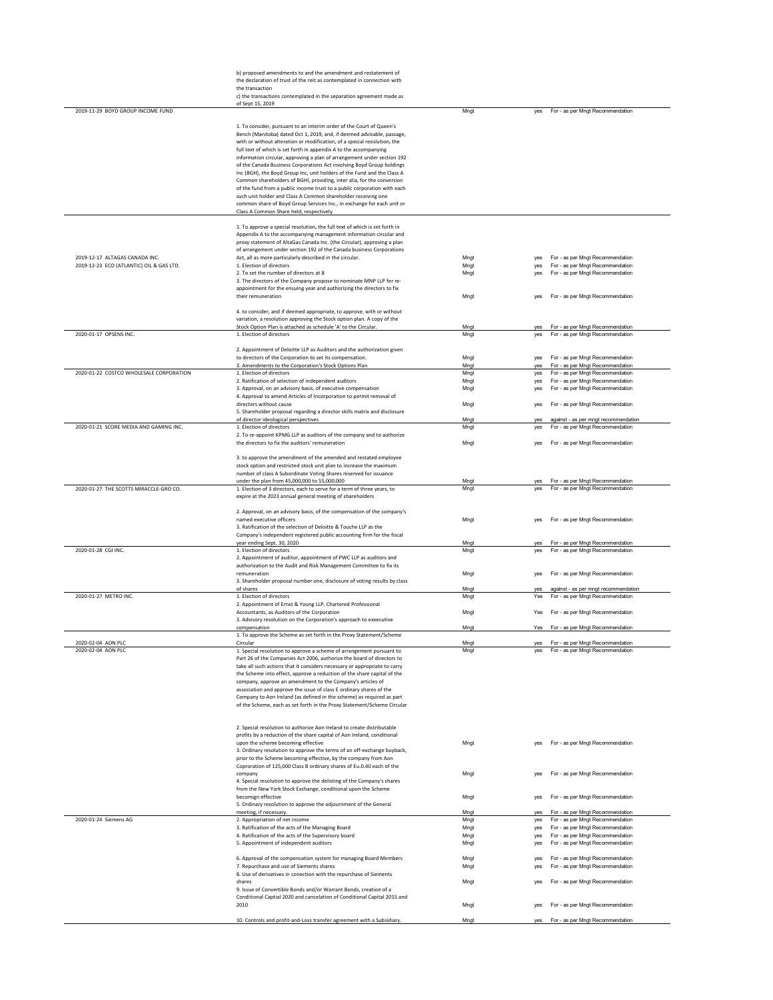|                                                                            | b) proposed amendments to and the amendment and restatement of<br>the declaration of trust of the reit as contemplated in connection with<br>the transaction<br>c) the transactions contemplated in the separation agreement made as<br>of Sept 15, 2019                                                                                                                                                                                                                                                                                                                                                                                                                                                                                                                                                                                                                   |                      |                   |                                                                                                          |
|----------------------------------------------------------------------------|----------------------------------------------------------------------------------------------------------------------------------------------------------------------------------------------------------------------------------------------------------------------------------------------------------------------------------------------------------------------------------------------------------------------------------------------------------------------------------------------------------------------------------------------------------------------------------------------------------------------------------------------------------------------------------------------------------------------------------------------------------------------------------------------------------------------------------------------------------------------------|----------------------|-------------------|----------------------------------------------------------------------------------------------------------|
| 2019-11-29 BOYD GROUP INCOME FUND                                          | 1. To consider, pursuant to an interim order of the Court of Queen's<br>Bench (Manitoba) dated Oct 1, 2019, and, if deemed advisable, passage,<br>with or without alteration or modification, of a special reoslution, the<br>full text of which is set forth in appendix A to the accompanying<br>information circular, approving a plan of arrangement under section 192<br>of the Canada Business Corporations Act involving Boyd Group holdings<br>Inc (BGH), the Boyd Group Inc, unit holders of the Fund and the Class A<br>Common shareholders of BGHI, providing, inter alia, for the conversion<br>of the fund from a public income trust to a public corporation with each<br>such unit holder and Class A Common shareholder receiving one<br>common share of Boyd Group Services Inc., in exchange for each unit or<br>Class A Common Share held, respectively | Mngt                 | yes               | For - as per Mngt Recommendation                                                                         |
| 2019-12-17 ALTAGAS CANADA INC.<br>2019-12-23 ECO (ATLANTIC) OIL & GAS LTD. | 1. To approve a special resolution, the full text of which is set forth in<br>Appendix A to the accompanying management information circular and<br>proxy statement of AltaGas Canada Inc. (the Circular), approving a plan<br>of arrangement under section 192 of the Canada business Corporations<br>Act, all as more particularly described in the circular.<br>1. Election of directors<br>2. To set the number of directors at 8<br>3. The directors of the Company propose to nominate MNP LLP for re-<br>appointment for the ensuing year and authorizing the directors to fix                                                                                                                                                                                                                                                                                      | Mngt<br>Mngt<br>Mngt | yes<br>yes<br>yes | For - as per Mngt Recommendation<br>For - as per Mngt Recommendation<br>For - as per Mngt Recommendation |
|                                                                            | their remuneration<br>4. to consider, and if deemed appropriate, to approve, with or without<br>variation, a resolution approving the Stock option plan. A copy of the<br>Stock Option Plan is attached as schedule 'A' to the Circular.                                                                                                                                                                                                                                                                                                                                                                                                                                                                                                                                                                                                                                   | Mngt<br>Mngt         | yes<br>yes        | For - as per Mngt Recommendation<br>For - as per Mngt Recommendation                                     |
| 2020-01-17 OPSENS INC.                                                     | 1. Election of directors                                                                                                                                                                                                                                                                                                                                                                                                                                                                                                                                                                                                                                                                                                                                                                                                                                                   | Mngt                 | yes               | For - as per Mngt Recommendation                                                                         |
| 2020-01-22 COSTCO WHOLESALE CORPORATION                                    | 2. Appointment of Deloitte LLP as Auditors and the authorization given<br>to directors of the Cornoration to set its compensation.<br>3. Amendments to the Corporation's Stock Options Plan<br>1. Election of directors                                                                                                                                                                                                                                                                                                                                                                                                                                                                                                                                                                                                                                                    | Mngt<br>Mngt<br>Mngt | yes<br>yes<br>yes | For - as per Mnot Recommendation<br>For - as per Mngt Recommendation<br>For - as per Mngt Recommendation |
|                                                                            | 2. Ratification of selection of independent auditors<br>3. Approval, on an advisory basis, of executive compensation                                                                                                                                                                                                                                                                                                                                                                                                                                                                                                                                                                                                                                                                                                                                                       | Mngt<br>Mngt         | yes<br>yes        | For - as per Mngt Recommendation<br>For - as per Mngt Recommendation                                     |
|                                                                            | 4. Approval to amend Articles of Incorporation to permit removal of<br>directors without cause                                                                                                                                                                                                                                                                                                                                                                                                                                                                                                                                                                                                                                                                                                                                                                             | Mngt                 | yes               | For - as per Mngt Recommendation                                                                         |
|                                                                            | 5. Shareholder proposal regarding a director skills matrix and disclosure<br>of director ideological perspectives                                                                                                                                                                                                                                                                                                                                                                                                                                                                                                                                                                                                                                                                                                                                                          | Mngt                 | yes               | against - as per mngt recommendation                                                                     |
| 2020-01-21 SCORE MEDIA AND GAMING INC.                                     | 1. Election of directors<br>2. To re-appoint KPMG LLP as auditors of the company and to authorize<br>the directors to fix the auditors' remuneration                                                                                                                                                                                                                                                                                                                                                                                                                                                                                                                                                                                                                                                                                                                       | Mngt<br>Mnat         | yes<br>yes        | For - as per Mngt Recommendation<br>For - as per Mngt Recommendation                                     |
|                                                                            | 3. to approve the amendment of the amended and restated employee<br>stock option and restricted stock unit plan to increase the maximum<br>number of class A Subordinate Voting Shares reserved for issuance<br>under the plan from 45,000,000 to 55,000,000                                                                                                                                                                                                                                                                                                                                                                                                                                                                                                                                                                                                               | Mngt                 | yes               | For - as per Mngt Recommendation                                                                         |
| 2020-01-27 THE SCOTTS MIRACCLE-GRO CO.                                     | 1. Election of 3 directors, each to serve for a term of three years, to<br>expire at the 2023 annual general meeting of shareholders                                                                                                                                                                                                                                                                                                                                                                                                                                                                                                                                                                                                                                                                                                                                       | Mngt                 | ves               | For - as per Mngt Recommendation                                                                         |
|                                                                            | 2. Approval, on an advisory basis, of the compensation of the company's<br>named executive officers<br>3. Ratification of the selection of Deloitte & Touche LLP as the<br>Company's independent registered public accounting firm for the fiscal                                                                                                                                                                                                                                                                                                                                                                                                                                                                                                                                                                                                                          | Mngt                 | yes               | For - as per Mngt Recommendation                                                                         |
| 2020-01-28 CGI INC.                                                        | year ending Sept. 30, 2020<br>1. Election of directors<br>2. Appointment of auditor, appointment of PWC LLP as auditors and<br>authorization to the Audit and Risk Management Committee to fix its                                                                                                                                                                                                                                                                                                                                                                                                                                                                                                                                                                                                                                                                         | Mngt<br>Mngt         | yes<br>yes        | For - as per Mngt Recommendation<br>For - as per Mngt Recommendation                                     |
|                                                                            | remuneration<br>3. Shareholder proposal number one, disclosure of voting results by class<br>of shares                                                                                                                                                                                                                                                                                                                                                                                                                                                                                                                                                                                                                                                                                                                                                                     | Mngt<br>Mngt         | yes               | For - as per Mngt Recommendation<br>against - as per mngt recommendation                                 |
| 2020-01-27 METRO INC.                                                      | 1. Election of directors                                                                                                                                                                                                                                                                                                                                                                                                                                                                                                                                                                                                                                                                                                                                                                                                                                                   | Mngt                 | yes<br>Yes        | For - as per Mngt Recommendation                                                                         |
|                                                                            | 2. Appointment of Ernst & Young LLP, Chartered Professional<br>Accountants, as Auditors of the Corporation<br>3. Advisory resolution on the Corporation's approach to exxecutive                                                                                                                                                                                                                                                                                                                                                                                                                                                                                                                                                                                                                                                                                           | Mngt                 | Yes               | For - as per Mngt Recommendation                                                                         |
|                                                                            | compensation<br>1. To approve the Scheme as set forth in the Proxy Statement/Scheme                                                                                                                                                                                                                                                                                                                                                                                                                                                                                                                                                                                                                                                                                                                                                                                        | Mngt                 | Yes               | For - as per Mngt Recommendation                                                                         |
| 2020-02-04 AON PLC<br>2020-02-04 AON PLC                                   | Circular<br>1. Special resolution to approve a scheme of arrangement pursuant to<br>Part 26 of the Companies Act 2006, authorize the board of directors to<br>take all such actions that it considers necessary or appropriate to carry<br>the Scheme into effect, approve a reduction of the share capital of the<br>company, approve an amendment to the Company's articles of<br>association and approve the issue of class E ordinary shares of the<br>Company to Aon Ireland (as defined in the scheme) as required as part<br>of the Scheme, each as set forth in the Proxy Statement/Scheme Circular                                                                                                                                                                                                                                                                | Mngt<br>Mngt         | yes               | For - as per Mngt Recommendation<br>For - as per Mngt Recommendation                                     |
|                                                                            | 2. Special resolution to authorize Aon Ireland to create distributable<br>profits by a reduction of the share capital of Aon Ireland, conditional<br>upon the scheme becoming effective<br>3. Ordinary resolution to approve the terms of an off-exchange buyback,<br>prior to the Scheme becoming effective, by the company from Aon<br>Coproration of 125,000 Class B ordinary shares of Eu.0.40 each of the                                                                                                                                                                                                                                                                                                                                                                                                                                                             | Mngt                 |                   | For - as per Mngt Recommendation                                                                         |
|                                                                            | company<br>4. Special resolution to approve the delisting of the Company's shares                                                                                                                                                                                                                                                                                                                                                                                                                                                                                                                                                                                                                                                                                                                                                                                          | Mngt                 | ves               | For - as per Mngt Recommendation                                                                         |
|                                                                            | from the New York Stock Exchange, conditional upon the Scheme<br>becomign effective                                                                                                                                                                                                                                                                                                                                                                                                                                                                                                                                                                                                                                                                                                                                                                                        | Mngt                 | yes               | For - as per Mngt Recommendation                                                                         |
|                                                                            | 5. Ordinary resolution to approve the adjournment of the General<br>meeting, if necessary.                                                                                                                                                                                                                                                                                                                                                                                                                                                                                                                                                                                                                                                                                                                                                                                 | Mngt                 | ves               | For - as per Mngt Recommendation                                                                         |
| 2020-01-24 Siemens AG                                                      | 2. Appropriation of net income                                                                                                                                                                                                                                                                                                                                                                                                                                                                                                                                                                                                                                                                                                                                                                                                                                             | Mngt                 | yes               | For - as per Mngt Recommendation                                                                         |
|                                                                            | 3. Ratification of the acts of the Managing Board<br>4. Ratification of the acts of the Supervisory board<br>5. Appointment of independent auditors                                                                                                                                                                                                                                                                                                                                                                                                                                                                                                                                                                                                                                                                                                                        | Mngt<br>Mngt<br>Mngt | yes<br>yes<br>yes | For - as per Mngt Recommendation<br>For - as per Mngt Recommendation<br>For - as per Mngt Recommendation |
|                                                                            | 6. Approval of the compensation system for managing Board Members                                                                                                                                                                                                                                                                                                                                                                                                                                                                                                                                                                                                                                                                                                                                                                                                          | Mngt                 | yes               | For - as per Mngt Recommendation                                                                         |
|                                                                            | 7. Repurchase and use of Siements shares                                                                                                                                                                                                                                                                                                                                                                                                                                                                                                                                                                                                                                                                                                                                                                                                                                   | Mngt                 | yes               | For - as per Mngt Recommendation                                                                         |
|                                                                            | 8. Use of derivatives in conection with the repurchase of Siements<br>shares<br>9. Issue of Convertible Bonds and/or Warrant Bonds, creation of a<br>Conditional Captial 2020 and cancelation of Conditional Capital 2015 and                                                                                                                                                                                                                                                                                                                                                                                                                                                                                                                                                                                                                                              | Mngt                 | yes               | For - as per Mngt Recommendation                                                                         |
|                                                                            | 2010                                                                                                                                                                                                                                                                                                                                                                                                                                                                                                                                                                                                                                                                                                                                                                                                                                                                       | Mngt                 | yes               | For - as per Mngt Recommendation                                                                         |
|                                                                            | 10. Controls and profit-and-Loss transfer agreement with a Subsidiary.                                                                                                                                                                                                                                                                                                                                                                                                                                                                                                                                                                                                                                                                                                                                                                                                     | Mngt                 | yes               | For - as per Mngt Recommendation                                                                         |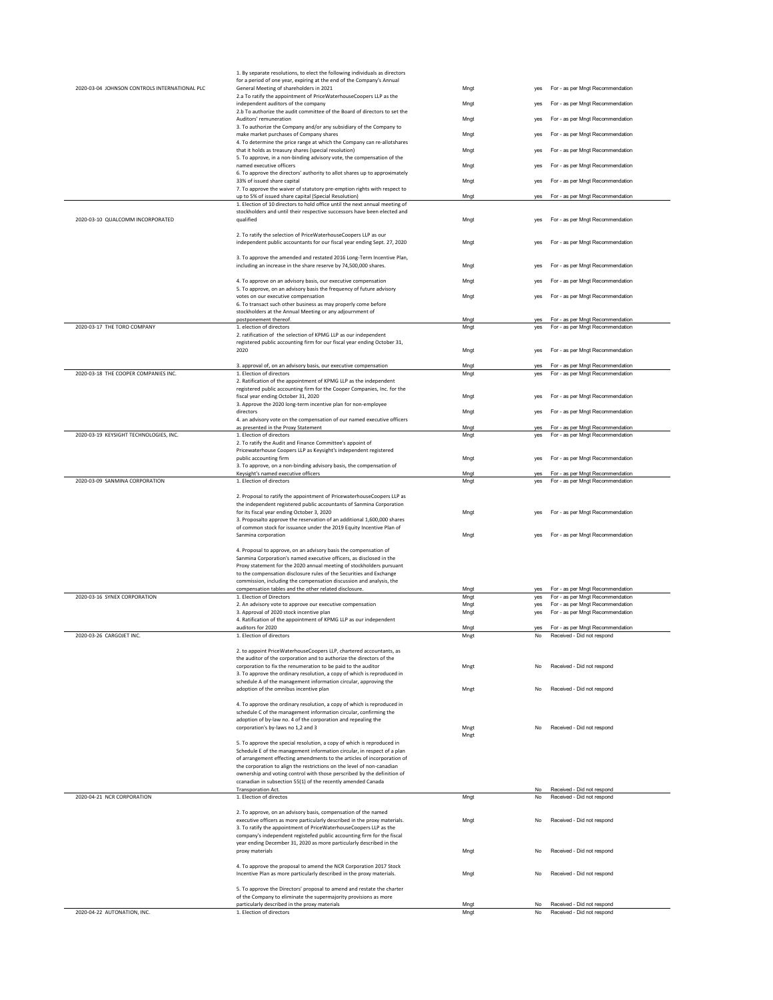|                                               | 1. By separate resolutions, to elect the following individuals as directors<br>for a period of one year, expiring at the end of the Company's Annual |              |            |                                                                      |
|-----------------------------------------------|------------------------------------------------------------------------------------------------------------------------------------------------------|--------------|------------|----------------------------------------------------------------------|
| 2020-03-04 JOHNSON CONTROLS INTERNATIONAL PLC | General Meeting of shareholders in 2021                                                                                                              | Mngt         | yes        | For - as per Mngt Recommendation                                     |
|                                               | 2.a To ratify the appointment of PriceWaterhouseCoopers LLP as the<br>independent auditors of the company                                            | Mngt         | yes        | For - as per Mngt Recommendation                                     |
|                                               | 2.b To authorize the audit committee of the Board of directors to set the                                                                            |              |            |                                                                      |
|                                               | Auditors' remuneration                                                                                                                               | Mngt         | yes        | For - as per Mngt Recommendation                                     |
|                                               | 3. To authorize the Company and/or any subsidiary of the Company to<br>make market purchases of Company shares                                       | Mngt         | yes        | For - as per Mngt Recommendation                                     |
|                                               | 4. To determine the price range at which the Company can re-allotshares                                                                              |              |            |                                                                      |
|                                               | that it holds as treasury shares (special resolution)<br>5. To approve, in a non-binding advisory vote, the compensation of the                      | Mngt         | yes        | For - as per Mngt Recommendation                                     |
|                                               | named executive officers                                                                                                                             | Mngt         | yes        | For - as per Mngt Recommendation                                     |
|                                               | 6. To approve the directors' authority to allot shares up to approximately<br>33% of issued share capital                                            | Mngt         | yes        | For - as per Mngt Recommendation                                     |
|                                               | 7. To approve the waiver of statutory pre-emption rights with respect to                                                                             |              |            |                                                                      |
|                                               | up to 5% of issued share capital (Special Resolution)<br>1. Election of 10 directors to hold office until the next annual meeting of                 | Mngt         | yes        | For - as per Mngt Recommendation                                     |
|                                               | stockholders and until their respective successors have been elected and                                                                             |              |            |                                                                      |
| 2020-03-10 QUALCOMM INCORPORATED              | qualified                                                                                                                                            | Mngt         | ves        | For - as per Mngt Recommendation                                     |
|                                               | 2. To ratify the selection of PriceWaterhouseCoopers LLP as our                                                                                      |              |            |                                                                      |
|                                               | independent public accountants for our fiscal year ending Sept. 27, 2020                                                                             | Mngt         | yes        | For - as per Mngt Recommendation                                     |
|                                               | 3. To approve the amended and restated 2016 Long-Term Incentive Plan,                                                                                |              |            |                                                                      |
|                                               | including an increase in the share reserve by 74,500,000 shares.                                                                                     | Mngt         | yes        | For - as per Mngt Recommendation                                     |
|                                               | 4. To approve on an advisory basis, our executive compensation                                                                                       | Mngt         | yes        | For - as per Mngt Recommendation                                     |
|                                               | 5. To approve, on an advisory basis the frequency of future advisory                                                                                 |              |            |                                                                      |
|                                               | votes on our executive compensation<br>6. To transact such other business as may properly come before                                                | Mngt         | yes        | For - as per Mngt Recommendation                                     |
|                                               | stockholders at the Annual Meeting or any adjournment of                                                                                             |              |            |                                                                      |
| 2020-03-17 THE TORO COMPANY                   | postponement thereof.<br>1. election of directors                                                                                                    | Mngt<br>Mngt | yes<br>ves | For - as per Mngt Recommendation<br>For - as per Mngt Recommendation |
|                                               | 2. ratification of the selection of KPMG LLP as our independent                                                                                      |              |            |                                                                      |
|                                               | registered public accounting firm for our fiscal year ending October 31,                                                                             |              |            |                                                                      |
|                                               | 2020                                                                                                                                                 | Mngt         | yes        | For - as per Mngt Recommendation                                     |
| 2020-03-18 THE COOPER COMPANIES INC.          | 3. approval of, on an advisory basis, our executive compensation                                                                                     | Mngt         | yes        | For - as per Mngt Recommendation                                     |
|                                               | 1. Election of directors<br>2. Ratification of the appointment of KPMG LLP as the independent                                                        | Mngt         | yes        | For - as per Mngt Recommendation                                     |
|                                               | registered public accounting firm for the Cooper Companies, Inc. for the                                                                             |              |            |                                                                      |
|                                               | fiscal year ending October 31, 2020<br>3. Approve the 2020 long-term incentive plan for non-employee                                                 | Mngt         | yes        | For - as per Mngt Recommendation                                     |
|                                               | directors                                                                                                                                            | Mngt         | yes        | For - as per Mngt Recommendation                                     |
|                                               | 4. an advisory vote on the compensation of our named executive officers<br>as presented in the Proxy Statement                                       | Mngt         | yes        | For - as per Mngt Recommendation                                     |
| 2020-03-19 KEYSIGHT TECHNOLOGIES, INC.        | 1. Election of directors                                                                                                                             | Mngt         | yes        | For - as per Mngt Recommendation                                     |
|                                               | 2. To ratify the Audit and Finance Committee's appoint of                                                                                            |              |            |                                                                      |
|                                               | Pricewaterhouse Coopers LLP as Keysight's independent registered<br>public accounting firm                                                           | Mngt         | yes        | For - as per Mngt Recommendation                                     |
|                                               | 3. To approve, on a non-binding advisory basis, the compensation of                                                                                  |              |            |                                                                      |
| 2020-03-09 SANMINA CORPORATION                | Keysight's named executive officers<br>1. Election of directors                                                                                      | Mngt<br>Mngt | yes<br>yes | For - as per Mngt Recommendation<br>For - as per Mngt Recommendation |
|                                               |                                                                                                                                                      |              |            |                                                                      |
|                                               | 2. Proposal to ratify the appointment of PricewaterhouseCoopers LLP as<br>the independent registered public accountants of Sanmina Corporation       |              |            |                                                                      |
|                                               | for its fiscal year ending October 3, 2020                                                                                                           | Mngt         |            | For - as per Mngt Recommendation                                     |
|                                               | 3. Proposalto approve the reservation of an additional 1,600,000 shares                                                                              |              |            |                                                                      |
|                                               | of common stock for issuance under the 2019 Equity Incentive Plan of<br>Sanmina corporation                                                          | Mngt         | ves        | For - as per Mngt Recommendation                                     |
|                                               |                                                                                                                                                      |              |            |                                                                      |
|                                               | 4. Proposal to approve, on an advisory basis the compensation of<br>Sanmina Corporation's named executive officers, as disclosed in the              |              |            |                                                                      |
|                                               | Proxy statement for the 2020 annual meeting of stockholders pursuant                                                                                 |              |            |                                                                      |
|                                               | to the compensation disclosure rules of the Securities and Exchange<br>commission, including the compensation discussion and analysis, the           |              |            |                                                                      |
|                                               | compensation tables and the other related disclosure.                                                                                                | Mngt         | yes        | For - as per Mngt Recommendation                                     |
| 2020-03-16 SYNEX CORPORATION                  | 1. Election of Directors<br>2. An advisory vote to approve our executive compensation                                                                | Mngt<br>Mngt | yes<br>yes | For - as per Mngt Recommendation<br>For - as per Mngt Recommendation |
|                                               | 3. Approval of 2020 stock incentive plan                                                                                                             | Mngt         | yes        | For - as per Mngt Recommendation                                     |
|                                               | 4. Ratification of the appointment of KPMG LLP as our independent                                                                                    |              |            |                                                                      |
| 2020-03-26 CARGOJET INC.                      | auditors for 2020<br>1. Election of directors                                                                                                        | Mngt<br>Mngt | yes<br>No  | For - as per Mngt Recommendation<br>Received - Did not respond       |
|                                               |                                                                                                                                                      |              |            |                                                                      |
|                                               | 2. to appoint PriceWaterhouseCoopers LLP, chartered accountants, as<br>the auditor of the corporation and to authorize the directors of the          |              |            |                                                                      |
|                                               | corporation to fix the renumeration to be paid to the auditor                                                                                        | Mnet         | No         | Received - Did not respond                                           |
|                                               | 3. To approve the ordinary resolution, a copy of which is reproduced in<br>schedule A of the management information circular, approving the          |              |            |                                                                      |
|                                               | adoption of the omnibus incentive plan                                                                                                               | Mngt         | <b>No</b>  | Received - Did not respond                                           |
|                                               |                                                                                                                                                      |              |            |                                                                      |
|                                               | 4. To approve the ordinary resolution, a copy of which is reproduced in<br>schedule C of the management information circular, confirming the         |              |            |                                                                      |
|                                               | adoption of by-law no. 4 of the corporation and repealing the                                                                                        |              |            |                                                                      |
|                                               | corporation's by-laws no 1,2 and 3                                                                                                                   | Mngt         | No         | Received - Did not respond                                           |
|                                               | 5. To approve the special resolution, a copy of which is reproduced in                                                                               | Mngt         |            |                                                                      |
|                                               | Schedule E of the management information circular, in respect of a plan                                                                              |              |            |                                                                      |
|                                               | of arrangement effecting amendments to the articles of incorporation of<br>the corporation to align the restrictions on the level of non-canadian    |              |            |                                                                      |
|                                               | ownership and voting control with those perscribed by the definition of                                                                              |              |            |                                                                      |
|                                               | ccanadian in subsection 55(1) of the recently amended Canada<br><b>Transporation Act.</b>                                                            |              | No         | Received - Did not respond                                           |
| 2020-04-21 NCR CORPORATION                    | 1. Election of directos                                                                                                                              | Mngt         | No         | Received - Did not respond                                           |
|                                               |                                                                                                                                                      |              |            |                                                                      |
|                                               | 2. To approve, on an advisory basis, compensation of the named<br>executive officers as more particularly described in the proxy materials.          | Mngt         | No         | Received - Did not respond                                           |
|                                               | 3. To ratify the appointment of PriceWaterhouseCoopers LLP as the                                                                                    |              |            |                                                                      |
|                                               | company's independent registefed public accounting firm for the fiscal<br>year ending December 31, 2020 as more particularly described in the        |              |            |                                                                      |
|                                               | proxy materials                                                                                                                                      | Mngt         | No         | Received - Did not respond                                           |
|                                               | 4. To approve the proposal to amend the NCR Corporation 2017 Stock                                                                                   |              |            |                                                                      |
|                                               | Incentive Plan as more particularly described in the proxy materials.                                                                                | Mngt         | No         | Received - Did not respond                                           |
|                                               |                                                                                                                                                      |              |            |                                                                      |
|                                               | 5. To approve the Directors' proposal to amend and restate the charter<br>of the Company to eliminate the supermajority provisions as more           |              |            |                                                                      |
|                                               | particularly described in the proxy materials                                                                                                        | Mngt         | No         | Received - Did not respond                                           |
| 2020-04-22 AUTONATION, INC.                   | 1. Election of directors                                                                                                                             | Mngt         | No         | Received - Did not respond                                           |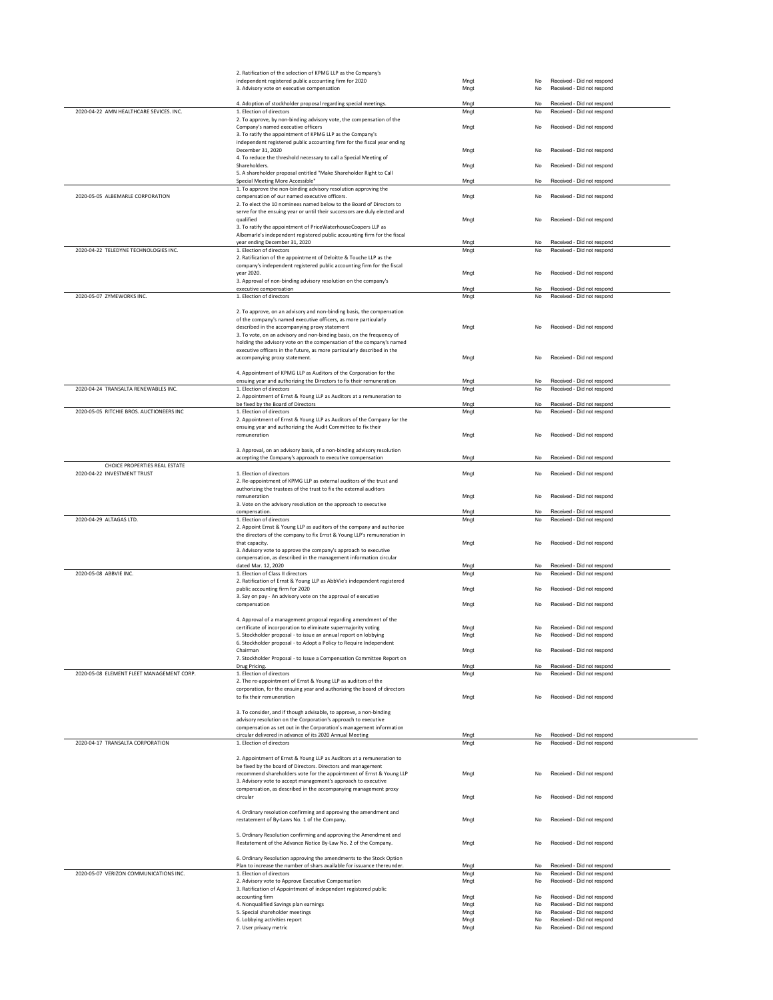|                                           | 2. Ratification of the selection of KPMG LLP as the Company's                                                                                 |              |                                                                      |
|-------------------------------------------|-----------------------------------------------------------------------------------------------------------------------------------------------|--------------|----------------------------------------------------------------------|
|                                           | independent registered public accounting firm for 2020<br>3. Advisory vote on executive compensation                                          | Mngt<br>Mngt | Received - Did not respond<br>No<br>Received - Did not respond<br>No |
|                                           |                                                                                                                                               |              |                                                                      |
|                                           | 4. Adoption of stockholder proposal regarding special meetings.                                                                               | Mngt         | No<br>Received - Did not respond                                     |
| 2020-04-22 AMN HEALTHCARE SEVICES, INC.   | 1. Election of directors                                                                                                                      | Mngt         | Received - Did not respond<br>No                                     |
|                                           | 2. To approve, by non-binding advisory vote, the compensation of the<br>Company's named executive officers                                    | Mnat         | Received - Did not respond<br>No                                     |
|                                           | 3. To ratify the appointment of KPMG LLP as the Company's                                                                                     |              |                                                                      |
|                                           | independent registered public accounting firm for the fiscal year ending                                                                      |              |                                                                      |
|                                           | December 31, 2020                                                                                                                             | Mnat         | Received - Did not respond<br>No                                     |
|                                           | 4. To reduce the threshold necessary to call a Special Meeting of<br>Shareholders.                                                            | Mngt         | Received - Did not respond<br>No                                     |
|                                           | 5. A shareholder proposal entitled "Make Shareholder Right to Call                                                                            |              |                                                                      |
|                                           | Special Meeting More Accessible"                                                                                                              | Mngt         | Received - Did not respond<br>No                                     |
|                                           | 1. To approve the non-binding advisory resolution approving the                                                                               |              |                                                                      |
| 2020-05-05 ALBEMARLE CORPORATION          | compensation of our named executive officers.<br>2. To elect the 10 nominees named below to the Board of Directors to                         | Mngt         | Received - Did not respond<br>No                                     |
|                                           | serve for the ensuing year or until their successors are duly elected and                                                                     |              |                                                                      |
|                                           | qualified                                                                                                                                     | Mngt         | Received - Did not respond<br>No                                     |
|                                           | 3. To ratify the appointment of PriceWaterhouseCoopers LLP as<br>Albemarle's independent registered public accounting firm for the fiscal     |              |                                                                      |
|                                           | year ending December 31, 2020                                                                                                                 | Mngt         | Received - Did not respond<br>No                                     |
| 2020-04-22 TELEDYNE TECHNOLOGIES INC.     | 1. Election of directors                                                                                                                      | Mngt         | Received - Did not respond<br>No                                     |
|                                           | 2. Ratification of the appointment of Deloitte & Touche LLP as the                                                                            |              |                                                                      |
|                                           | company's independent registered public accounting firm for the fiscal<br>year 2020.                                                          | Mngt         | Received - Did not respond<br>No                                     |
|                                           | 3. Approval of non-binding advisory resolution on the company's                                                                               |              |                                                                      |
|                                           | executive compensation                                                                                                                        | Mngt         | Received - Did not respond<br>No                                     |
| 2020-05-07 ZYMEWORKS INC.                 | 1. Election of directors                                                                                                                      | Mngt         | No<br>Received - Did not respond                                     |
|                                           | 2. To approve, on an advisory and non-binding basis, the compensation                                                                         |              |                                                                      |
|                                           | of the company's named executive officers, as more particularly                                                                               |              |                                                                      |
|                                           | described in the accompanying proxy statement                                                                                                 | Mngt         | Received - Did not respond<br>No                                     |
|                                           | 3. To vote, on an advisory and non-binding basis, on the frequency of<br>holding the advisory vote on the compensation of the company's named |              |                                                                      |
|                                           | executive officers in the future, as more particularly described in the                                                                       |              |                                                                      |
|                                           | accompanying proxy statement.                                                                                                                 | Mngt         | Received - Did not respond<br>No                                     |
|                                           |                                                                                                                                               |              |                                                                      |
|                                           | 4. Appointment of KPMG LLP as Auditors of the Corporation for the<br>ensuing year and authorizing the Directors to fix their remuneration     | Mngt         | Received - Did not respond<br>No                                     |
| 2020-04-24 TRANSALTA RENEWABLES INC.      | 1. Election of directors                                                                                                                      | Mngt         | Received - Did not respond<br>No                                     |
|                                           | 2. Appointment of Ernst & Young LLP as Auditors at a remuneration to                                                                          |              |                                                                      |
|                                           | be fixed by the Board of Directors                                                                                                            | Mngt         | Received - Did not respond<br>No                                     |
| 2020-05-05 RITCHIE BROS. AUCTIONEERS INC  | 1. Election of directors                                                                                                                      | Mngt         | No<br>Received - Did not respond                                     |
|                                           | 2. Appointment of Ernst & Young LLP as Auditors of the Company for the<br>ensuing year and authorizing the Audit Committee to fix their       |              |                                                                      |
|                                           | remuneration                                                                                                                                  | Mngt         | Received - Did not respond<br>No                                     |
|                                           |                                                                                                                                               |              |                                                                      |
|                                           | 3. Approval, on an advisory basis, of a non-binding advisory resolution<br>accepting the Company's approach to executive compensation         | Mngt         | No<br>Received - Did not respond                                     |
| CHOICE PROPERTIES REAL ESTATE             |                                                                                                                                               |              |                                                                      |
| 2020-04-22 INVESTMENT TRUST               | 1. Election of directors                                                                                                                      | Mngt         | Received - Did not respond<br>No                                     |
|                                           | 2. Re-appointment of KPMG LLP as external auditors of the trust and                                                                           |              |                                                                      |
|                                           | authorizing the trustees of the trust to fix the external auditors<br>remuneration                                                            | Mngt         | Received - Did not respond<br>No                                     |
|                                           | 3. Vote on the advisory resolution on the approach to executive                                                                               |              |                                                                      |
|                                           |                                                                                                                                               |              |                                                                      |
|                                           | compensation.                                                                                                                                 | Mngt         | Received - Did not respond<br>No                                     |
| 2020-04-29 ALTAGAS LTD.                   | 1. Election of directors                                                                                                                      | Mngt         | No<br>Received - Did not respond                                     |
|                                           | 2. Appoint Ernst & Young LLP as auditors of the company and authorize                                                                         |              |                                                                      |
|                                           | the directors of the company to fix Ernst & Young LLP's remuneration in<br>that capacity.                                                     | Mngt         | Received - Did not respond<br>No                                     |
|                                           | 3. Advisory vote to approve the company's approach to executive                                                                               |              |                                                                      |
|                                           | compensation, as described in the management information circular                                                                             |              |                                                                      |
| 2020-05-08 ABBVIE INC.                    | dated Mar. 12, 2020<br>1. Election of Class II directors                                                                                      | Mngt<br>Mngt | No<br>Received - Did not respond<br>Received - Did not respond<br>No |
|                                           | 2. Ratification of Ernst & Young LLP as AbbVie's independent registered                                                                       |              |                                                                      |
|                                           | public accounting firm for 2020                                                                                                               | Mnat         | Received - Did not respond<br>No                                     |
|                                           | 3. Say on pay - An advisory vote on the approval of executive                                                                                 | Mnat         | No                                                                   |
|                                           | compensation                                                                                                                                  |              | Received - Did not respond                                           |
|                                           | 4. Approval of a management proposal regarding amendment of the                                                                               |              |                                                                      |
|                                           | certificate of incorporation to eliminate supermajority voting                                                                                | Mngt         | Received - Did not respond<br>No                                     |
|                                           | 5. Stockholder proposal - to issue an annual report on lobbying<br>6. Stockholder proposal - to Adopt a Policy to Require Independent         | Mngt         | Received - Did not respond<br>No                                     |
|                                           | Chairman                                                                                                                                      | Mngt         | Received - Did not respond<br>No                                     |
|                                           | 7. Stockholder Proposal - to Issue a Compensation Committee Report on                                                                         |              |                                                                      |
| 2020-05-08 ELEMENT FLEET MANAGEMENT CORP. | Drug Pricing.<br>1. Election of directors                                                                                                     | Mngt         | Received - Did not respond<br>No<br>Received - Did not respond<br>No |
|                                           | 2. The re-appointment of Ernst & Young LLP as auditors of the                                                                                 | Mngt         |                                                                      |
|                                           | corporation, for the ensuing year and authorizing the board of directors                                                                      |              |                                                                      |
|                                           | to fix their remuneration                                                                                                                     | Mngt         | Received - Did not respond<br>No                                     |
|                                           | 3. To consider, and if though advisable, to approve, a non-binding                                                                            |              |                                                                      |
|                                           | advisory resolution on the Corporation's approach to executive                                                                                |              |                                                                      |
|                                           | compensation as set out in the Corporation's management information                                                                           |              |                                                                      |
|                                           | circular delivered in advance of its 2020 Annual Meeting                                                                                      | Mngt         | Received - Did not respond<br>No                                     |
| 2020-04-17 TRANSALTA CORPORATION          | 1. Election of directors                                                                                                                      | Mngt         | No<br>Received - Did not respond                                     |
|                                           | 2. Appointment of Ernst & Young LLP as Auditors at a remuneration to                                                                          |              |                                                                      |
|                                           | be fixed by the board of Directors. Directors and management                                                                                  |              |                                                                      |
|                                           | recommend shareholders vote for the appointment of Ernst & Young LLP                                                                          | Mngt         | Received - Did not respond<br>No                                     |
|                                           | 3. Advisory vote to accept management's approach to executive<br>compensation, as described in the accompanying management proxy              |              |                                                                      |
|                                           | circular                                                                                                                                      | Mngt         | Received - Did not respond<br>No                                     |
|                                           |                                                                                                                                               |              |                                                                      |
|                                           | 4. Ordinary resolution confirming and approving the amendment and<br>restatement of By-Laws No. 1 of the Company.                             | Mngt         | Received - Did not respond<br>No                                     |
|                                           |                                                                                                                                               |              |                                                                      |
|                                           | 5. Ordinary Resolution confirming and approving the Amendment and                                                                             |              |                                                                      |
|                                           | Restatement of the Advance Notice By-Law No. 2 of the Company.                                                                                | Mnat         | Received - Did not respond<br>No                                     |
|                                           | 6. Ordinary Resolution approving the amendments to the Stock Option                                                                           |              |                                                                      |
|                                           | Plan to increase the number of shars available for issuance thereunder.                                                                       | Mngt         | Received - Did not respond<br>No                                     |
| 2020-05-07 VERIZON COMMUNICATIONS INC.    | 1. Election of directors                                                                                                                      | Mngt         | No<br>Received - Did not respond                                     |
|                                           | 2. Advisory vote to Approve Executive Compensation<br>3. Ratification of Appointment of independent registered public                         | Mngt         | Received - Did not respond<br>No                                     |
|                                           | accounting firm                                                                                                                               | Mngt         | Received - Did not respond<br>No                                     |
|                                           | 4. Nonqualified Savings plan earnings                                                                                                         | Mngt         | Received - Did not respond<br>No                                     |
|                                           | 5. Special shareholder meetings                                                                                                               | Mngt         | Received - Did not respond<br>No                                     |
|                                           | 6. Lobbying activities report<br>7. User privacy metric                                                                                       | Mngt<br>Mngt | Received - Did not respond<br>No<br>Received - Did not respond<br>No |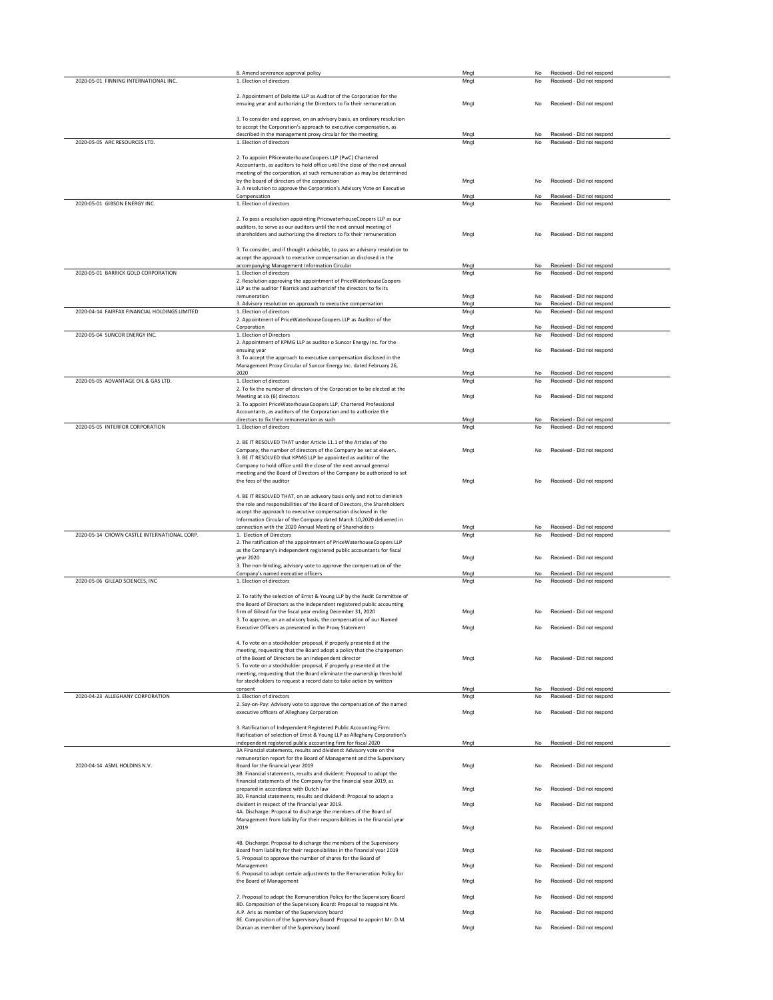| 2020-05-01 FINNING INTERNATIONAL INC.         | 8. Amend severance approval policy<br>1. Election of directors                                                                                                      | Mngt<br>Mngt | No<br>No  | Received - Did not respond<br>Received - Did not respond |  |
|-----------------------------------------------|---------------------------------------------------------------------------------------------------------------------------------------------------------------------|--------------|-----------|----------------------------------------------------------|--|
|                                               | 2. Appointment of Deloitte LLP as Auditor of the Corporation for the                                                                                                |              |           |                                                          |  |
|                                               | ensuing year and authorizing the Directors to fix their remuneration                                                                                                | Mngt         | No        | Received - Did not respond                               |  |
|                                               | 3. To consider and approve, on an advisory basis, an ordinary resolution                                                                                            |              |           |                                                          |  |
|                                               | to accept the Corporation's approach to executive compensation, as<br>described in the management proxy circular for the meeting                                    | Mngt         | No        | Received - Did not respond                               |  |
| 2020-05-05 ARC RESOURCES LTD.                 | 1. Election of directors                                                                                                                                            | Mngt         | No        | Received - Did not respond                               |  |
|                                               | 2. To appoint PRicewaterhouseCoopers LLP (PwC) Chartered                                                                                                            |              |           |                                                          |  |
|                                               | Accountants, as auditors to hold office until the close of the next annual<br>meeting of the corporation, at such remuneration as may be determined                 |              |           |                                                          |  |
|                                               | by the board of directors of the corporation<br>3. A resolution to approve the Corporation's Advisory Vote on Executive                                             | Mngt         | No        | Received - Did not respond                               |  |
| 2020-05-01 GIBSON ENERGY INC.                 | Compensation<br>1. Election of directors                                                                                                                            | Mngt<br>Mngt | No<br>No  | Received - Did not respond<br>Received - Did not respond |  |
|                                               |                                                                                                                                                                     |              |           |                                                          |  |
|                                               | 2. To pass a resolution appointing PricewaterhouseCoopers LLP as our<br>auditors, to serve as our auditors until the next annual meeting of                         |              |           |                                                          |  |
|                                               | shareholders and authorizing the directors to fix their remuneration                                                                                                | Mngt         | No        | Received - Did not respond                               |  |
|                                               | 3. To consider, and if thought advisable, to pass an advisory resolution to                                                                                         |              |           |                                                          |  |
|                                               | accept the approach to executive compensation as disclosed in the<br>accompanying Management Information Circular                                                   | Mngt         | No        | Received - Did not respond                               |  |
| 2020-05-01 BARRICK GOLD CORPORATION           | 1. Election of directors<br>2. Resolution approving the appointment of PriceWaterhouseCoopers                                                                       | Mngt         | No        | Received - Did not respond                               |  |
|                                               | LLP as the auditor f Barrick and authorizinf the directors to fix its<br>remuneration                                                                               | Mngt         | <b>No</b> | Received - Did not respond                               |  |
|                                               | 3. Advisory resolution on approach to executive compensation                                                                                                        | Mngt         | No        | Received - Did not respond                               |  |
| 2020-04-14 FAIRFAX FINANCIAL HOLDINGS LIMITED | 1. Election of directors<br>2. Appointment of PriceWaterhouseCoopers LLP as Auditor of the                                                                          | Mngt         | No        | Received - Did not respond                               |  |
| 2020-05-04 SUNCOR ENERGY INC.                 | Corporation<br>1. Election of Directors                                                                                                                             | Mngt<br>Mngt | No<br>No  | Received - Did not respond<br>Received - Did not respond |  |
|                                               | 2. Appointment of KPMG LLP as auditor o Suncor Energy Inc. for the<br>ensuing year                                                                                  | Mngt         | No        | Received - Did not respond                               |  |
|                                               | 3. To accept the approach to executive compensation disclosed in the                                                                                                |              |           |                                                          |  |
|                                               | Management Proxy Circular of Suncor Energy Inc. dated February 26,<br>2020                                                                                          | Mngt         | No        | Received - Did not respond                               |  |
| 2020-05-05 ADVANTAGE OIL & GAS LTD.           | 1. Election of directors<br>2. To fix the number of directors of the Corporation to be elected at the                                                               | Mngt         | No        | Received - Did not respond                               |  |
|                                               | Meeting at six (6) directors                                                                                                                                        | Mngt         | No        | Received - Did not respond                               |  |
|                                               | 3. To appoint PriceWaterhouseCoopers LLP, Chartered Professional<br>Accountants, as auditors of the Corporation and to authorize the                                |              |           |                                                          |  |
| 2020-05-05 INTERFOR CORPORATION               | directors to fix their remuneration as such<br>1. Election of directors                                                                                             | Mngt<br>Mngt | No<br>No  | Received - Did not respond<br>Received - Did not respond |  |
|                                               | 2. BE IT RESOLVED THAT under Article 11.1 of the Articles of the                                                                                                    |              |           |                                                          |  |
|                                               | Company, the number of directors of the Company be set at eleven.                                                                                                   | Mngt         | No        | Received - Did not respond                               |  |
|                                               | 3. BE IT RESOLVED that KPMG LLP be appointed as auditor of the<br>Company to hold office until the close of the next annual general                                 |              |           |                                                          |  |
|                                               | meeting and the Board of Directors of the Company be authorized to set<br>the fees of the auditor                                                                   | Mngt         | <b>No</b> | Received - Did not respond                               |  |
|                                               | 4. BE IT RESOLVED THAT, on an adivsory basis only and not to diminish                                                                                               |              |           |                                                          |  |
|                                               | the role and responsibilities of the Board of Directors, the Shareholders                                                                                           |              |           |                                                          |  |
|                                               |                                                                                                                                                                     |              |           |                                                          |  |
|                                               | accept the approach to executive compensation disclosed in the<br>Information Circular of the Company dated March 10,2020 delivered in                              |              |           |                                                          |  |
|                                               | connection with the 2020 Annual Meeting of Shareholders                                                                                                             | Mngt         | No        | Received - Did not respond                               |  |
| 2020-05-14 CROWN CASTLE INTERNATIONAL CORP.   | 1. Election of Directors<br>2. The ratification of the appointment of PriceWaterhouseCoopers LLP                                                                    | Mngt         | No        | Received - Did not respond                               |  |
|                                               | as the Company's independent registered public accountants for fiscal<br>year 2020                                                                                  | Mngt         | No        | Received - Did not respond                               |  |
|                                               | 3. The non-binding, advisory vote to approve the compensation of the<br>Company's named executive officers                                                          | Mngt         | No        | Received - Did not respond                               |  |
| 2020-05-06 GILEAD SCIENCES, INC               | 1. Election of directors                                                                                                                                            | Mngt         | No        | Received - Did not respond                               |  |
|                                               | 2. To ratify the selection of Ernst & Young LLP by the Audit Committee of                                                                                           |              |           |                                                          |  |
|                                               | the Board of Directors as the independent registered public accounting<br>firm of Gilead for the fiscal year ending December 31, 2020                               | Mngt         | No        | Received - Did not respond                               |  |
|                                               | 3. To approve, on an advisory basis, the compensation of our Named<br>Executive Officers as presented in the Proxy Statement                                        | Mngt         | No        | Received - Did not respond                               |  |
|                                               |                                                                                                                                                                     |              |           |                                                          |  |
|                                               | 4. To vote on a stockholder proposal, if properly presented at the<br>meeting, requesting that the Board adopt a policy that the chairperson                        |              |           |                                                          |  |
|                                               | of the Board of Directors be an independent director<br>5. To vote on a stockholder proposal, if properly presented at the                                          | Mngt         | No        | Received - Did not respond                               |  |
|                                               | meeting, requesting that the Board eliminate the ownership threshold<br>for stockholders to request a record date to take action by written                         |              |           |                                                          |  |
|                                               | consent                                                                                                                                                             | Mngt         | No        | Received - Did not respond                               |  |
| 2020-04-23 ALLEGHANY CORPORATION              | 1. Election of directors<br>2. Say-on-Pay: Advisory vote to approve the compensation of the named                                                                   | Mngt         | No        | Received - Did not respond                               |  |
|                                               | executive officers of Alleghany Corporation                                                                                                                         | Mngt         | No        | Received - Did not respond                               |  |
|                                               | 3. Ratification of Independent Registered Public Accounting Firm:<br>Ratification of selection of Ernst & Young LLP as Alleghany Corporation's                      |              |           |                                                          |  |
|                                               | independent registered public accounting firm for fiscal 2020                                                                                                       | Mngt         | No        | Received - Did not respond                               |  |
|                                               | 3A Financial statements, results and dividend: Advisory vote on the<br>remuneration report for the Board of Management and the Supervisory                          |              |           |                                                          |  |
| 2020-04-14 ASML HOLDINS N.V.                  | Board for the financial year 2019<br>3B. Financial statements, results and divident: Proposal to adopt the                                                          | Mngt         | <b>No</b> | Received - Did not respond                               |  |
|                                               | financial statements of the Company for the financial year 2019, as<br>prepared in accordance with Dutch law                                                        |              | No        | Received - Did not respond                               |  |
|                                               | 3D. Financial statements, results and dividend: Proposal to adopt a                                                                                                 | Mngt         |           |                                                          |  |
|                                               | divident in respect of the financial year 2019.<br>4A. Discharge: Proposal to discharge the members of the Board of                                                 | Mngt         | No        | Received - Did not respond                               |  |
|                                               | Management from liability for their responsibilities in the financial year<br>2019                                                                                  | Mngt         | No        | Received - Did not respond                               |  |
|                                               | 4B. Discharge: Proposal to discharge the members of the Supervisory                                                                                                 |              |           |                                                          |  |
|                                               | Board from liability for their responsibilites in the financial year 2019                                                                                           | Mngt         | No        | Received - Did not respond                               |  |
|                                               | 5. Proposal to approve the number of shares for the Board of<br>Management                                                                                          | Mnat         | No        | Received - Did not respond                               |  |
|                                               | 6. Proposal to adopt certain adjustmnts to the Remuneration Policy for<br>the Board of Management                                                                   | Mnat         | No        | Received - Did not respond                               |  |
|                                               |                                                                                                                                                                     | Mngt         | No        | Received - Did not respond                               |  |
|                                               | 7. Proposal to adopt the Remuneration Policy for the Supervisory Board<br>8D. Composition of the Supervisory Board: Proposal to reappoint Ms.                       |              |           |                                                          |  |
|                                               | A.P. Aris as member of the Supervisory board<br>8E. Composition of the Supervisory Board: Proposal to appoint Mr. D.M.<br>Durcan as member of the Supervisory board | Mngt<br>Mngt | No<br>No  | Received - Did not respond<br>Received - Did not respond |  |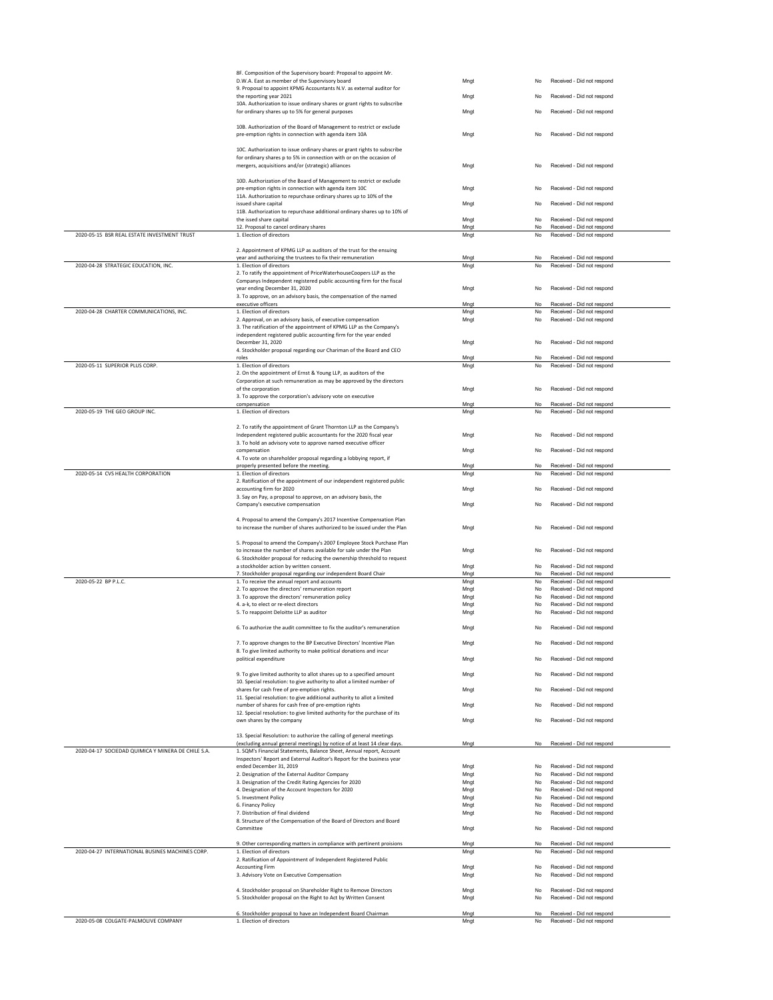|                                                                                                                                                                       | 8F. Composition of the Supervisory board: Proposal to appoint Mr.                                            |      |           |                            |  |
|-----------------------------------------------------------------------------------------------------------------------------------------------------------------------|--------------------------------------------------------------------------------------------------------------|------|-----------|----------------------------|--|
|                                                                                                                                                                       | D.W.A. East as member of the Supervisory board                                                               | Mngt | No        | Received - Did not respond |  |
|                                                                                                                                                                       | 9. Proposal to appoint KPMG Accountants N.V. as external auditor for                                         |      |           |                            |  |
|                                                                                                                                                                       | the reporting year 2021                                                                                      | Mngt | No        | Received - Did not respond |  |
|                                                                                                                                                                       | 10A. Authorization to issue ordinary shares or grant rights to subscribe                                     |      |           |                            |  |
|                                                                                                                                                                       | for ordinary shares up to 5% for general purposes                                                            | Mngt | No        | Received - Did not respond |  |
|                                                                                                                                                                       |                                                                                                              |      |           |                            |  |
|                                                                                                                                                                       | 10B. Authorization of the Board of Management to restrict or exclude                                         |      |           |                            |  |
|                                                                                                                                                                       | pre-emption rights in connection with agenda item 10A                                                        | Mngt | No        | Received - Did not respond |  |
|                                                                                                                                                                       |                                                                                                              |      |           |                            |  |
|                                                                                                                                                                       |                                                                                                              |      |           |                            |  |
|                                                                                                                                                                       | 10C. Authorization to issue ordinary shares or grant rights to subscribe                                     |      |           |                            |  |
|                                                                                                                                                                       | for ordinary shares p to 5% in connection with or on the occasion of                                         |      |           |                            |  |
|                                                                                                                                                                       | mergers, acquisitions and/or (strategic) alliances                                                           | Mnat | No        | Received - Did not respond |  |
|                                                                                                                                                                       |                                                                                                              |      |           |                            |  |
|                                                                                                                                                                       | 10D. Authorization of the Board of Management to restrict or exclude                                         |      |           |                            |  |
|                                                                                                                                                                       | pre-emption rights in connection with agenda item 10C                                                        | Mnat | No        | Received - Did not respond |  |
|                                                                                                                                                                       |                                                                                                              |      |           |                            |  |
|                                                                                                                                                                       | 11A. Authorization to repurchase ordinary shares up to 10% of the                                            |      |           |                            |  |
|                                                                                                                                                                       | issued share capital                                                                                         | Mngt | No        | Received - Did not respond |  |
|                                                                                                                                                                       | 11B. Authorization to repurchase additional ordinary shares up to 10% of                                     |      |           |                            |  |
|                                                                                                                                                                       | the issed share capital                                                                                      | Mngt | No        | Received - Did not respond |  |
|                                                                                                                                                                       | 12. Proposal to cancel ordinary shares                                                                       | Mngt | No        | Received - Did not respond |  |
| 2020-05-15 BSR REAL ESTATE INVESTMENT TRUST                                                                                                                           | 1. Election of directors                                                                                     | Mngt | No        | Received - Did not respond |  |
|                                                                                                                                                                       |                                                                                                              |      |           |                            |  |
|                                                                                                                                                                       | 2. Appointment of KPMG LLP as auditors of the trust for the ensuing                                          |      |           |                            |  |
|                                                                                                                                                                       |                                                                                                              |      | No        |                            |  |
|                                                                                                                                                                       | year and authorizing the trustees to fix their remuneration                                                  | Mngt |           | Received - Did not respond |  |
| 2020-04-28 STRATEGIC EDUCATION, INC.                                                                                                                                  | 1. Election of directors                                                                                     | Mngt | No        | Received - Did not respond |  |
|                                                                                                                                                                       | 2. To ratify the appointment of PriceWaterhouseCoopers LLP as the                                            |      |           |                            |  |
|                                                                                                                                                                       | Companys Independent registered public accounting firm for the fiscal                                        |      |           |                            |  |
|                                                                                                                                                                       | vear ending December 31, 2020                                                                                | Mngt | <b>No</b> | Received - Did not respond |  |
|                                                                                                                                                                       | 3. To approve, on an advisory basis, the compensation of the named                                           |      |           |                            |  |
|                                                                                                                                                                       | executive officers                                                                                           | Mngt | No        | Received - Did not respond |  |
|                                                                                                                                                                       |                                                                                                              |      |           |                            |  |
| 2020-04-28 CHARTER COMMUNICATIONS, INC.                                                                                                                               | 1. Election of directors                                                                                     | Mngt | No        | Received - Did not respond |  |
|                                                                                                                                                                       | 2. Approval, on an advisory basis, of executive compensation                                                 | Mngt | No        | Received - Did not respond |  |
|                                                                                                                                                                       | 3. The ratification of the appointment of KPMG LLP as the Company's                                          |      |           |                            |  |
|                                                                                                                                                                       | independent registered public accounting firm for the year ended                                             |      |           |                            |  |
|                                                                                                                                                                       | December 31, 2020                                                                                            | Mngt | No        | Received - Did not respond |  |
|                                                                                                                                                                       | 4. Stockholder proposal regarding our Chariman of the Board and CEO                                          |      |           |                            |  |
|                                                                                                                                                                       |                                                                                                              |      |           |                            |  |
|                                                                                                                                                                       | roles                                                                                                        | Mngt | No.       | Received - Did not respond |  |
| 2020-05-11 SUPERIOR PLUS CORP.                                                                                                                                        | 1. Election of directors                                                                                     | Mngt | No.       | Received - Did not respond |  |
|                                                                                                                                                                       | 2. On the appointment of Ernst & Young LLP, as auditors of the                                               |      |           |                            |  |
|                                                                                                                                                                       | Corporation at such remuneration as may be approved by the directors                                         |      |           |                            |  |
|                                                                                                                                                                       | of the corporation                                                                                           | Mngt | No        | Received - Did not respond |  |
|                                                                                                                                                                       | 3. To approve the corporation's advisory vote on executive                                                   |      |           |                            |  |
|                                                                                                                                                                       | compensation                                                                                                 | Mngt | No        | Received - Did not respond |  |
| 2020-05-19 THE GEO GROUP INC.                                                                                                                                         | 1. Election of directors                                                                                     | Mngt | No        | Received - Did not respond |  |
|                                                                                                                                                                       |                                                                                                              |      |           |                            |  |
|                                                                                                                                                                       |                                                                                                              |      |           |                            |  |
|                                                                                                                                                                       | 2. To ratify the appointment of Grant Thornton LLP as the Company's                                          |      |           |                            |  |
|                                                                                                                                                                       | Independent registered public accountants for the 2020 fiscal year                                           | Mngt | No        | Received - Did not respond |  |
|                                                                                                                                                                       | 3. To hold an advisory vote to approve named executive officer                                               |      |           |                            |  |
|                                                                                                                                                                       | compensation                                                                                                 | Mngt | No        | Received - Did not respond |  |
|                                                                                                                                                                       |                                                                                                              |      |           |                            |  |
|                                                                                                                                                                       | 4. To vote on shareholder proposal regarding a lobbying report, if<br>properly presented before the meeting. | Mngt | No        | Received - Did not respond |  |
|                                                                                                                                                                       |                                                                                                              |      |           |                            |  |
| 2020-05-14 CVS HEALTH CORPORATION                                                                                                                                     | 1. Election of directors                                                                                     | Mngt | <b>No</b> | Received - Did not respond |  |
|                                                                                                                                                                       | 2. Ratification of the appointment of our independent registered public                                      |      |           |                            |  |
|                                                                                                                                                                       | accounting firm for 2020                                                                                     | Mngt | No        | Received - Did not respond |  |
|                                                                                                                                                                       | 3. Say on Pay, a proposal to approve, on an advisory basis, the                                              |      |           |                            |  |
|                                                                                                                                                                       |                                                                                                              |      | No        | Received - Did not respond |  |
|                                                                                                                                                                       | Company's executive compensation                                                                             | Mngt |           |                            |  |
|                                                                                                                                                                       |                                                                                                              |      |           |                            |  |
|                                                                                                                                                                       |                                                                                                              |      |           |                            |  |
|                                                                                                                                                                       | 4. Proposal to amend the Company's 2017 Incentive Compensation Plan                                          |      |           |                            |  |
|                                                                                                                                                                       |                                                                                                              |      | No        | Received - Did not respond |  |
|                                                                                                                                                                       | to increase the number of shares authorized to be issued under the Plan                                      | Mngt |           |                            |  |
|                                                                                                                                                                       |                                                                                                              |      |           |                            |  |
|                                                                                                                                                                       | 5. Proposal to amend the Company's 2007 Employee Stock Purchase Plan                                         |      |           |                            |  |
|                                                                                                                                                                       | to increase the number of shares available for sale under the Plan                                           | Mngt | No        | Received - Did not respond |  |
|                                                                                                                                                                       | 6. Stockholder proposal for reducing the ownership threshold to request                                      |      |           |                            |  |
|                                                                                                                                                                       | a stockholder action by written consent.                                                                     | Mngt | No        | Received - Did not respond |  |
|                                                                                                                                                                       | 7. Stockholder proposal regarding our independent Board Chair                                                | Mngt | <b>No</b> | Received - Did not respond |  |
|                                                                                                                                                                       |                                                                                                              |      | No        |                            |  |
|                                                                                                                                                                       | 1. To receive the annual report and accounts                                                                 | Mngt |           | Received - Did not respond |  |
|                                                                                                                                                                       | 2. To approve the directors' remuneration report                                                             | Mngt | No        | Received - Did not respond |  |
|                                                                                                                                                                       | 3. To approve the directors' remuneration policy                                                             | Mngt | No        | Received - Did not respond |  |
|                                                                                                                                                                       | 4. a-k, to elect or re-elect directors                                                                       | Mngt | No        | Received - Did not respond |  |
|                                                                                                                                                                       | 5. To reappoint Deloitte LLP as auditor                                                                      | Mngt | No        | Received - Did not respond |  |
|                                                                                                                                                                       |                                                                                                              |      |           |                            |  |
|                                                                                                                                                                       | 6. To authorize the audit committee to fix the auditor's remuneration                                        | Mngt | No        | Received - Did not respond |  |
|                                                                                                                                                                       |                                                                                                              |      |           |                            |  |
|                                                                                                                                                                       |                                                                                                              |      |           |                            |  |
|                                                                                                                                                                       | 7. To approve changes to the BP Executive Directors' Incentive Plan                                          | Mngt | No        | Received - Did not respond |  |
|                                                                                                                                                                       | 8. To give limited authority to make political donations and incur                                           |      |           |                            |  |
|                                                                                                                                                                       | political expenditure                                                                                        | Mngt | No        | Received - Did not respond |  |
|                                                                                                                                                                       |                                                                                                              |      |           |                            |  |
|                                                                                                                                                                       | 9. To give limited authority to allot shares up to a specified amount                                        | Mngt | No        | Received - Did not respond |  |
|                                                                                                                                                                       |                                                                                                              |      |           |                            |  |
|                                                                                                                                                                       | 10. Special resolution: to give authority to allot a limited number of                                       |      |           |                            |  |
|                                                                                                                                                                       | shares for cash free of pre-emption rights.                                                                  | Mngt | No        | Received - Did not respond |  |
|                                                                                                                                                                       | 11. Special resolution: to give additional authority to allot a limited                                      |      |           |                            |  |
|                                                                                                                                                                       | number of shares for cash free of pre-emption rights                                                         | Mnat | No        | Received - Did not respond |  |
|                                                                                                                                                                       | 12. Special resolution: to give limited authority for the purchase of its                                    |      |           |                            |  |
|                                                                                                                                                                       | own shares by the company                                                                                    | Mngt | No        | Received - Did not respond |  |
|                                                                                                                                                                       |                                                                                                              |      |           |                            |  |
|                                                                                                                                                                       |                                                                                                              |      |           |                            |  |
|                                                                                                                                                                       | 13. Special Resolution: to authorize the calling of general meetings                                         |      |           |                            |  |
|                                                                                                                                                                       | (excluding annual general meetings) by notice of at least 14 clear days.                                     | Mngt | No        | Received - Did not respond |  |
|                                                                                                                                                                       | 1. SQM's Financial Statements, Balance Sheet, Annual report, Account                                         |      |           |                            |  |
|                                                                                                                                                                       | Inspectors' Report and External Auditor's Report for the business year                                       |      |           |                            |  |
|                                                                                                                                                                       | ended December 31, 2019                                                                                      | Mngt | No        | Received - Did not respond |  |
|                                                                                                                                                                       | 2. Designation of the External Auditor Company                                                               | Mngt | No        | Received - Did not respond |  |
|                                                                                                                                                                       |                                                                                                              |      |           |                            |  |
|                                                                                                                                                                       | 3. Designation of the Credit Rating Agencies for 2020                                                        | Mngt | No        | Received - Did not respond |  |
|                                                                                                                                                                       | 4. Designation of the Account Inspectors for 2020                                                            | Mngt | No        | Received - Did not respond |  |
|                                                                                                                                                                       | 5. Investment Policy                                                                                         | Mngt | No        | Received - Did not respond |  |
|                                                                                                                                                                       | 6. Financy Policy                                                                                            | Mnat | No        | Received - Did not respond |  |
|                                                                                                                                                                       |                                                                                                              |      |           |                            |  |
|                                                                                                                                                                       | 7. Distribution of final dividend                                                                            | Mngt | No        | Received - Did not respond |  |
|                                                                                                                                                                       | 8. Structure of the Compensation of the Board of Directors and Board                                         |      |           |                            |  |
|                                                                                                                                                                       | Committee                                                                                                    | Mngt | No        | Received - Did not respond |  |
|                                                                                                                                                                       |                                                                                                              |      |           |                            |  |
|                                                                                                                                                                       | 9. Other corresponding matters in compliance with pertinent proisions                                        | Mngt | No        | Received - Did not respond |  |
|                                                                                                                                                                       | 1. Election of directors                                                                                     | Mngt | No        | Received - Did not respond |  |
|                                                                                                                                                                       |                                                                                                              |      |           |                            |  |
|                                                                                                                                                                       | 2. Ratification of Appointment of Independent Registered Public                                              |      |           |                            |  |
|                                                                                                                                                                       | <b>Accounting Firm</b>                                                                                       | Mngt | No        | Received - Did not respond |  |
|                                                                                                                                                                       | 3. Advisory Vote on Executive Compensation                                                                   | Mngt | <b>No</b> | Received - Did not respond |  |
|                                                                                                                                                                       |                                                                                                              |      |           |                            |  |
|                                                                                                                                                                       | 4. Stockholder proposal on Shareholder Right to Remove Directors                                             | Mngt | <b>No</b> | Received - Did not respond |  |
|                                                                                                                                                                       | 5. Stockholder proposal on the Right to Act by Written Consent                                               | Mngt | <b>No</b> | Received - Did not respond |  |
|                                                                                                                                                                       |                                                                                                              |      |           |                            |  |
|                                                                                                                                                                       | 6. Stockholder proposal to have an Independent Board Chairman                                                | Mngt | No        | Received - Did not respond |  |
| 2020-05-22 BP P.L.C.<br>2020-04-17 SOCIEDAD QUIMICA Y MINERA DE CHILE S.A.<br>2020-04-27 INTERNATIONAL BUSINES MACHINES CORP.<br>2020-05-08 COLGATE-PALMOLIVE COMPANY | 1. Election of directors                                                                                     | Mngt | No        | Received - Did not respond |  |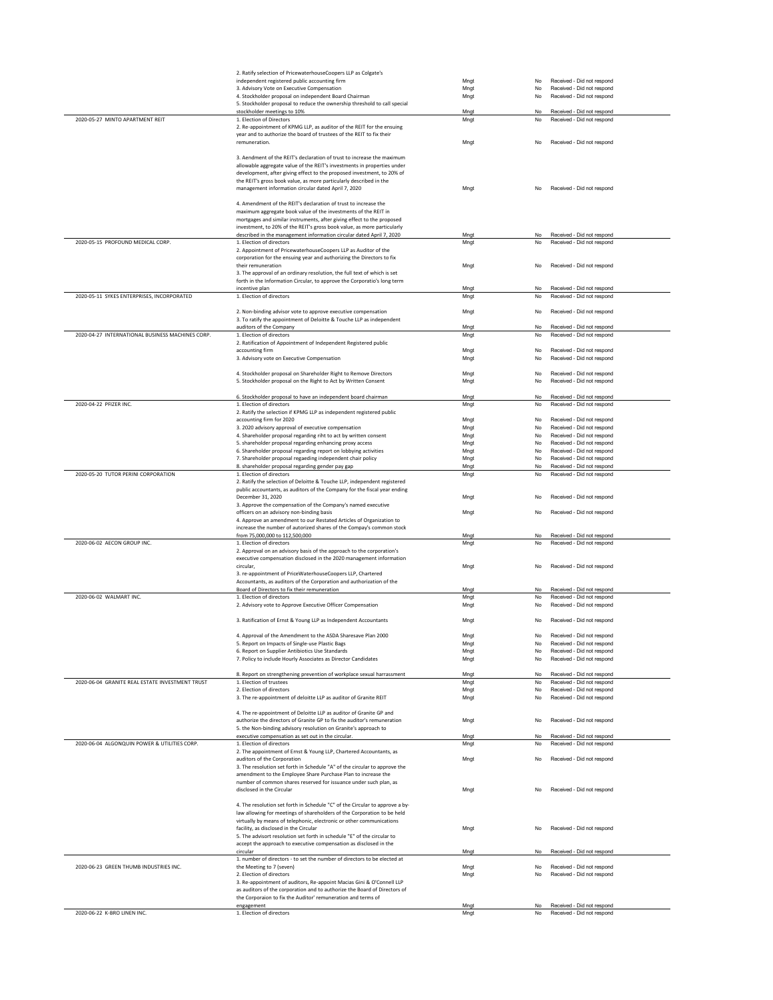|                                                  | 2. Ratify selection of PricewaterhouseCoopers LLP as Colgate's                                                                              |              |                 |                                                          |
|--------------------------------------------------|---------------------------------------------------------------------------------------------------------------------------------------------|--------------|-----------------|----------------------------------------------------------|
|                                                  | independent registered public accounting firm                                                                                               | Mngt         | No              | Received - Did not respond                               |
|                                                  | 3. Advisory Vote on Executive Compensation                                                                                                  | Mngt         | No              | Received - Did not respond                               |
|                                                  | 4. Stockholder proposal on independent Board Chairman                                                                                       | Mngt         | No              | Received - Did not respond                               |
|                                                  | 5. Stockholder proposal to reduce the ownership threshold to call special                                                                   |              |                 | Received - Did not respond                               |
| 2020-05-27 MINTO APARTMENT REIT                  | stockholder meetings to 10%<br>1. Election of Directors                                                                                     | Mngt<br>Mngt | No<br>No.       | Received - Did not respond                               |
|                                                  | 2. Re-appointment of KPMG LLP, as auditor of the REIT for the ensuing                                                                       |              |                 |                                                          |
|                                                  | year and to authorize the board of trustees of the REIT to fix their                                                                        |              |                 |                                                          |
|                                                  | remuneration.                                                                                                                               | Mngt         | No              | Received - Did not respond                               |
|                                                  |                                                                                                                                             |              |                 |                                                          |
|                                                  | 3. Aendment of the REIT's declaration of trust to increase the maximum                                                                      |              |                 |                                                          |
|                                                  | allowable aggregate value of the REIT's investments in properties under                                                                     |              |                 |                                                          |
|                                                  | development, after giving effect to the proposed investment, to 20% of                                                                      |              |                 |                                                          |
|                                                  | the REIT's gross book value, as more particularly described in the                                                                          |              |                 |                                                          |
|                                                  | management information circular dated April 7, 2020                                                                                         | Mngt         | No              | Received - Did not respond                               |
|                                                  |                                                                                                                                             |              |                 |                                                          |
|                                                  | 4. Amendment of the REIT's declaration of trust to increase the                                                                             |              |                 |                                                          |
|                                                  | maximum aggregate book value of the investments of the REIT in                                                                              |              |                 |                                                          |
|                                                  | mortgages and similar instruments, after giving effect to the proposed                                                                      |              |                 |                                                          |
|                                                  | investment, to 20% of the REIT's gross book value, as more particularly                                                                     |              |                 | Received - Did not respond                               |
| 2020-05-15 PROFOUND MEDICAL CORP.                | described in the management information circular dated April 7, 2020<br>1. Election of directors                                            | Mngt         | No<br><b>No</b> | Received - Did not respond                               |
|                                                  | 2. Appointment of PricewaterhouseCoopers LLP as Auditor of the                                                                              | Mngt         |                 |                                                          |
|                                                  | corporation for the ensuing year and authorizing the Directors to fix                                                                       |              |                 |                                                          |
|                                                  | their remuneration                                                                                                                          | Mngt         | No              | Received - Did not respond                               |
|                                                  | 3. The approval of an ordinary resolution, the full text of which is set                                                                    |              |                 |                                                          |
|                                                  | forth in the Information Circular, to approve the Corporatio's long term                                                                    |              |                 |                                                          |
|                                                  | incentive plan                                                                                                                              | Mngt         | No              | Received - Did not respond                               |
| 2020-05-11 SYKES ENTERPRISES, INCORPORATED       | 1. Election of directors                                                                                                                    | Mngt         | No              | Received - Did not respond                               |
|                                                  |                                                                                                                                             |              |                 |                                                          |
|                                                  | 2. Non-binding advisor vote to approve executive compensation                                                                               | Mngt         | No              | Received - Did not respond                               |
|                                                  | 3. To ratify the appointment of Deloitte & Touche LLP as independent                                                                        |              |                 |                                                          |
|                                                  | auditors of the Company                                                                                                                     | Mngt         | No.             | Received - Did not respond                               |
| 2020-04-27 INTERNATIONAL BUSINESS MACHINES CORP. | 1. Election of directors                                                                                                                    | Mngt         | No              | Received - Did not respond                               |
|                                                  | 2. Ratification of Appointment of Independent Registered public                                                                             |              |                 |                                                          |
|                                                  | accounting firm                                                                                                                             | Mngt         | <b>No</b>       | Received - Did not respond                               |
|                                                  | 3. Advisory vote on Executive Compensation                                                                                                  | Mngt         | <b>No</b>       | Received - Did not respond                               |
|                                                  |                                                                                                                                             |              |                 |                                                          |
|                                                  | 4. Stockholder proposal on Shareholder Right to Remove Directors                                                                            | Mngt         | No              | Received - Did not respond                               |
|                                                  | 5. Stockholder proposal on the Right to Act by Written Consent                                                                              | Mngt         | No              | Received - Did not respond                               |
|                                                  |                                                                                                                                             |              |                 |                                                          |
|                                                  | 6. Stockholder proposal to have an independent board chairman                                                                               | Mngt         | No              | Received - Did not respond                               |
| 2020-04-22 PFIZER INC.                           | 1. Election of directors                                                                                                                    | Mngt         | No              | Received - Did not respond                               |
|                                                  | 2. Ratify the selection if KPMG LLP as independent registered public                                                                        |              |                 |                                                          |
|                                                  | accounting firm for 2020                                                                                                                    | Mnat         | <b>No</b>       | Received - Did not respond                               |
|                                                  | 3. 2020 advisory approval of executive compensation                                                                                         | Mngt         | <b>No</b><br>No | Received - Did not respond                               |
|                                                  | 4. Shareholder proposal regarding riht to act by written consent<br>5. shareholder proposal regarding enhancing proxy access                | Mngt<br>Mngt | No              | Received - Did not respond<br>Received - Did not respond |
|                                                  | 6. Shareholder proposal regarding report on lobbying activities                                                                             | Mngt         | No              | Received - Did not respond                               |
|                                                  | 7. Shareholder proposal regaeding independent chair policy                                                                                  | Mngt         | No              | Received - Did not respond                               |
|                                                  | 8. shareholder proposal regarding gender pay gap                                                                                            | Mngt         | No              | Received - Did not respond                               |
| 2020-05-20 TUTOR PERINI CORPORATION              | 1. Election of directors                                                                                                                    | Mngt         | No              | Received - Did not respond                               |
|                                                  | 2. Ratify the selection of Deloitte & Touche LLP, independent registered                                                                    |              |                 |                                                          |
|                                                  | public accountants, as auditors of the Company for the fiscal year ending                                                                   |              |                 |                                                          |
|                                                  | December 31, 2020                                                                                                                           | Mngt         | No              | Received - Did not respond                               |
|                                                  |                                                                                                                                             |              |                 |                                                          |
|                                                  |                                                                                                                                             |              |                 |                                                          |
|                                                  | 3. Approve the compensation of the Company's named executive<br>officers on an advisory non-binding basis                                   | Mngt         | No              | Received - Did not respond                               |
|                                                  | 4. Approve an amendment to our Restated Articles of Organization to                                                                         |              |                 |                                                          |
|                                                  | increase the number of autorized shares of the Compay's common stock                                                                        |              |                 |                                                          |
|                                                  | from 75,000,000 to 112,500,000                                                                                                              | Mngt         | No              | Received - Did not respond                               |
| 2020-06-02 AECON GROUP INC.                      | 1. Election of directors                                                                                                                    | Mngt         | No.             | Received - Did not respond                               |
|                                                  | 2. Approval on an advisory basis of the approach to the corporation's                                                                       |              |                 |                                                          |
|                                                  | executive compensation disclosed in the 2020 management information                                                                         |              |                 |                                                          |
|                                                  | circular.                                                                                                                                   | Mngt         | No              | Received - Did not respond                               |
|                                                  | 3. re-appointment of PriceWaterhouseCoopers LLP, Chartered                                                                                  |              |                 |                                                          |
|                                                  | Accountants, as auditors of the Corporation and authorization of the                                                                        |              |                 |                                                          |
|                                                  | Board of Directors to fix their remuneration                                                                                                | Mnat         | No              | Received - Did not respond                               |
| 2020-06-02 WALMART INC.                          | 1. Election of directors                                                                                                                    | Mngt         | No              | Received - Did not respond                               |
|                                                  | 2. Advisory vote to Approve Executive Officer Compensation                                                                                  | Mngt         | No              | Received - Did not respond                               |
|                                                  |                                                                                                                                             |              |                 |                                                          |
|                                                  | 3. Ratification of Ernst & Young LLP as Independent Accountants                                                                             | Mngt         | No              | Received - Did not respond                               |
|                                                  |                                                                                                                                             |              |                 |                                                          |
|                                                  | 4. Approval of the Amendment to the ASDA Sharesave Plan 2000<br>5. Report on Impacts of Single-use Plastic Bags                             | Mngt<br>Mngt | IνO<br>No       | Received - Did not respond<br>Received - Did not respond |
|                                                  | 6. Report on Supplier Antibiotics Use Standards                                                                                             | Mngt         | No              | Received - Did not respond                               |
|                                                  | 7. Policy to include Hourly Associates as Director Candidates                                                                               | Mngt         | No.             | Received - Did not respond                               |
|                                                  |                                                                                                                                             |              |                 |                                                          |
|                                                  | 8. Report on strengthening prevention of workplace sexual harrassment                                                                       | Mngt         | No              | Received - Did not respond                               |
| 2020-06-04 GRANITE REAL ESTATE INVESTMENT TRUST  | 1. Election of trustees                                                                                                                     | Mngt         | No              | Received - Did not respond                               |
|                                                  | 2. Election of directors                                                                                                                    | Mngt         | No              | Received - Did not respond                               |
|                                                  | 3. The re-appointment of deloitte LLP as auditor of Granite REIT                                                                            | Mngt         | No              | Received - Did not respond                               |
|                                                  |                                                                                                                                             |              |                 |                                                          |
|                                                  | 4. The re-appointment of Deloitte LLP as auditor of Granite GP and                                                                          |              |                 |                                                          |
|                                                  | authorize the directors of Granite GP to fix the auditor's remuneration                                                                     | Mngt         | No              | Received - Did not respond                               |
|                                                  | 5. the Non-binding advisory resolution on Granite's approach to                                                                             |              |                 |                                                          |
|                                                  | executive compensation as set out in the circular.                                                                                          | Mngt         | No              | Received - Did not respond                               |
| 2020-06-04 ALGONQUIN POWER & UTILITIES CORP.     | 1. Election of directors                                                                                                                    | Mngt         | No              | Received - Did not respond                               |
|                                                  | 2. The appointment of Ernst & Young LLP, Chartered Accountants, as                                                                          |              |                 |                                                          |
|                                                  | auditors of the Corporation                                                                                                                 | Mngt         | No              | Received - Did not respond                               |
|                                                  | 3. The resolution set forth in Schedule "A" of the circular to approve the<br>amendment to the Employee Share Purchase Plan to increase the |              |                 |                                                          |
|                                                  |                                                                                                                                             |              |                 |                                                          |
|                                                  | number of common shares reserved for issuance under such plan, as<br>disclosed in the Circular                                              | Mngt         | No              | Received - Did not respond                               |
|                                                  |                                                                                                                                             |              |                 |                                                          |
|                                                  | 4. The resolution set forth in Schedule "C" of the Circular to approve a by-                                                                |              |                 |                                                          |
|                                                  | law allowing for meetings of shareholders of the Corporation to be held                                                                     |              |                 |                                                          |
|                                                  | virtually by means of telephonic, electronic or other communications                                                                        |              |                 |                                                          |
|                                                  | facility, as disclosed in the Circular                                                                                                      | Mngt         | No              | Received - Did not respond                               |
|                                                  | 5. The advisort resolution set forth in schedule "E" of the circular to                                                                     |              |                 |                                                          |
|                                                  | accept the approach to executive compensation as disclosed in the                                                                           |              |                 |                                                          |
|                                                  | circular                                                                                                                                    | Mngt         | No              | Received - Did not respond                               |
|                                                  | 1. number of directors - to set the number of directors to be elected at                                                                    |              |                 |                                                          |
| 2020-06-23 GREEN THUMB INDUSTRIES INC.           | the Meeting to 7 (seven)                                                                                                                    | Mngt         | No              | Received - Did not respond                               |
|                                                  | 2. Election of directors                                                                                                                    | Mngt         | No.             | Received - Did not respond                               |
|                                                  | 3. Re-appointment of auditors, Re-appoint Macias Gini & O'Connell LLP                                                                       |              |                 |                                                          |
|                                                  | as auditors of the corporation and to authorize the Board of Directors of                                                                   |              |                 |                                                          |
|                                                  | the Corporaion to fix the Auditor' remuneration and terms of                                                                                |              | No.             |                                                          |
| 2020-06-22 K-BRO LINEN INC.                      | engagement<br>1. Election of directors                                                                                                      | Mngt<br>Mngt | No              | Received - Did not respond<br>Received - Did not respond |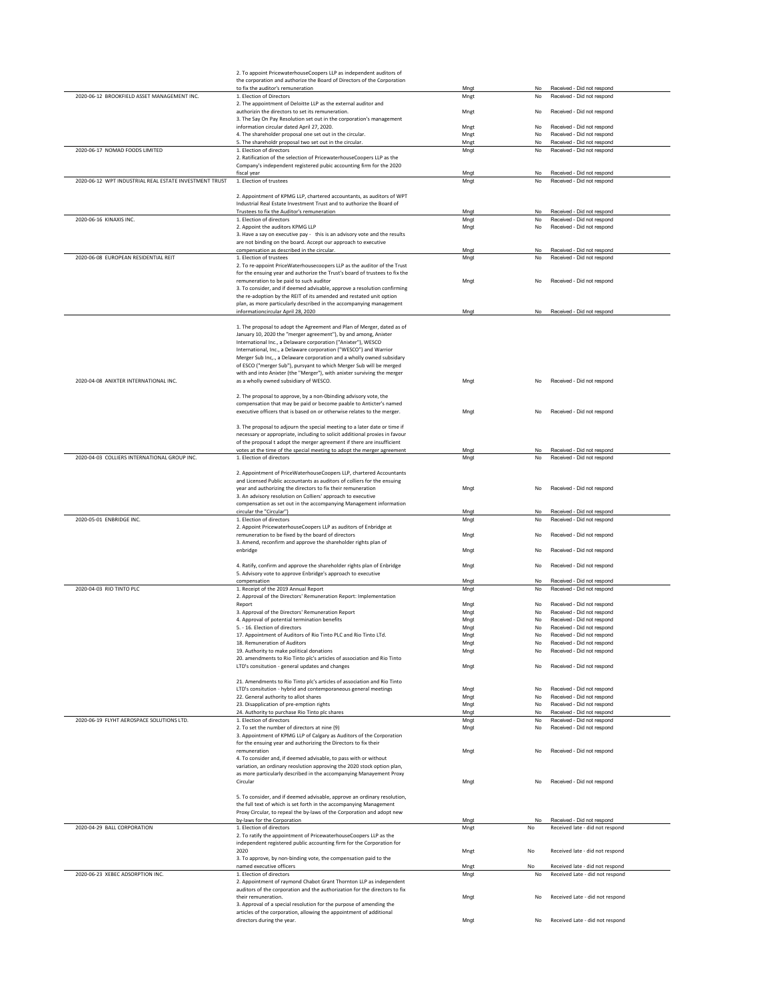|                                                                 | 2. To appoint PricewaterhouseCoopers LLP as independent auditors of<br>the corporation and authorize the Board of Directors of the Corporation           |              |          |                                                                    |
|-----------------------------------------------------------------|----------------------------------------------------------------------------------------------------------------------------------------------------------|--------------|----------|--------------------------------------------------------------------|
|                                                                 | to fix the auditor's remuneration                                                                                                                        | Mngt         | No       | Received - Did not respond                                         |
| 2020-06-12 BROOKFIELD ASSET MANAGEMENT INC.                     | 1. Election of Directors                                                                                                                                 | Mngt         | No       | Received - Did not respond                                         |
|                                                                 | 2. The appointment of Deloitte LLP as the external auditor and                                                                                           |              |          |                                                                    |
|                                                                 | authorizin the directors to set its remuneration.<br>3. The Say On Pay Resolution set out in the corporation's management                                | Mngt         | No       | Received - Did not respond                                         |
|                                                                 | information circular dated April 27, 2020.                                                                                                               | Mngt         | No       | Received - Did not respond                                         |
|                                                                 | 4. The shareholder proposal one set out in the circular.                                                                                                 | Mngt         | No       | Received - Did not respond                                         |
| 2020-06-17 NOMAD FOODS LIMITED                                  | 5. The shareholdr proposal two set out in the circular.<br>1. Election of directors                                                                      | Mngt<br>Mngt | No<br>No | Received - Did not respond<br>Received - Did not respond           |
|                                                                 | 2. Ratification of the selection of PricewaterhouseCoopers LLP as the                                                                                    |              |          |                                                                    |
|                                                                 | Company's independent registered pubic accounting firm for the 2020                                                                                      |              |          |                                                                    |
| 2020-06-12 WPT INDUSTRIAL REAL ESTATE INVESTMENT TRUST          | fiscal year<br>1. Election of trustees                                                                                                                   | Mngt<br>Mngt | No<br>No | Received - Did not respond<br>Received - Did not respond           |
|                                                                 |                                                                                                                                                          |              |          |                                                                    |
|                                                                 | 2. Appointment of KPMG LLP, chartered accountants, as auditors of WPT                                                                                    |              |          |                                                                    |
|                                                                 | Industrial Real Estate Investment Trust and to authorize the Board of<br>Trustees to fix the Auditor's remuneration                                      |              | No       | Received - Did not respond                                         |
| 2020-06-16 KINAXIS INC.                                         | 1. Election of directors                                                                                                                                 | Mngt<br>Mngt | No       | Received - Did not respond                                         |
|                                                                 | 2. Appoint the auditors KPMG LLP                                                                                                                         | Mngt         | No       | Received - Did not respond                                         |
|                                                                 | 3. Have a say on executive pay - this is an advisory vote and the results                                                                                |              |          |                                                                    |
|                                                                 | are not binding on the board. Accept our approach to executive<br>compensation as described in the circular.                                             | Mngt         | No       | Received - Did not respond                                         |
| 2020-06-08 EUROPEAN RESIDENTIAL REIT                            | 1. Election of trustees                                                                                                                                  | Mngt         | No       | Received - Did not respond                                         |
|                                                                 | 2. To re-appoint PriceWaterhousecoopers LLP as the auditor of the Trust                                                                                  |              |          |                                                                    |
|                                                                 | for the ensuing year and authorize the Trust's board of trustees to fix the                                                                              |              |          |                                                                    |
|                                                                 | remuneration to be paid to such auditor<br>3. To consider, and if deemed advisable, approve a resolution confirming                                      | Mngt         | No       | Received - Did not respond                                         |
|                                                                 | the re-adoption by the REIT of its amended and restated unit option                                                                                      |              |          |                                                                    |
|                                                                 | plan, as more particularly described in the accompanying management                                                                                      |              |          |                                                                    |
|                                                                 | informationcircular April 28, 2020                                                                                                                       | Mngt         | No       | Received - Did not respond                                         |
|                                                                 | 1. The proposal to adopt the Agreement and Plan of Merger, dated as of                                                                                   |              |          |                                                                    |
|                                                                 | January 10, 2020 the "merger agreement"), by and among, Anixter                                                                                          |              |          |                                                                    |
|                                                                 | International Inc., a Delaware corporation ("Anixter"), WESCO                                                                                            |              |          |                                                                    |
|                                                                 | International, Inc., a Delaware corporation ("WESCO") and Warrior<br>Merger Sub Inc, a Delaware corporation and a wholly owned subsidary                 |              |          |                                                                    |
|                                                                 | of ESCO ("merger Sub"), pursyant to which Merger Sub will be merged                                                                                      |              |          |                                                                    |
|                                                                 | with and into Anixter (the "Merger"), with anixter surviving the merger                                                                                  |              |          |                                                                    |
| 2020-04-08 ANIXTER INTERNATIONAL INC.                           | as a wholly owned subsidiary of WESCO.                                                                                                                   | Mngt         | No       | Received - Did not respond                                         |
|                                                                 |                                                                                                                                                          |              |          |                                                                    |
|                                                                 | 2. The proposal to approve, by a non-Obinding advisory vote, the<br>compensation that may be paid or become paable to Anticter's named                   |              |          |                                                                    |
|                                                                 | executive officers that is based on or otherwise relates to the merger.                                                                                  | Mngt         | No       | Received - Did not respond                                         |
|                                                                 |                                                                                                                                                          |              |          |                                                                    |
|                                                                 | 3. The proposal to adjourn the special meeting to a later date or time if<br>necessary or appropriate, including to solicit additional proxies in favour |              |          |                                                                    |
|                                                                 | of the proposal t adopt the merger agreement if there are insufficient                                                                                   |              |          |                                                                    |
|                                                                 | votes at the time of the special meeting to adopt the merger agreement                                                                                   | Mngt         | No       | Received - Did not respond                                         |
| 2020-04-03 COLLIERS INTERNATIONAL GROUP INC.                    | 1. Election of directors                                                                                                                                 | Mngt         | No       | Received - Did not respond                                         |
|                                                                 | 2. Appointment of PriceWaterhouseCoopers LLP, chartered Accountants                                                                                      |              |          |                                                                    |
|                                                                 | and Licensed Public accountants as auditors of colliers for the ensuing                                                                                  |              |          |                                                                    |
|                                                                 | year and authorizing the directors to fix their remuneration                                                                                             | Mngt         | No       | Received - Did not respond                                         |
|                                                                 | 3. An advisory resolution on Colliers' approach to executive                                                                                             |              |          |                                                                    |
|                                                                 | compensation as set out in the accompanying Management information<br>circular the "Circular")                                                           | Mngt         | No       | Received - Did not respond                                         |
| 2020-05-01 ENBRIDGE INC.                                        | 1. Election of directors                                                                                                                                 | Mngt         | No       | Received - Did not respond                                         |
|                                                                 | 2. Appoint PricewaterhouseCoopers LLP as auditors of Enbridge at                                                                                         |              |          |                                                                    |
|                                                                 | remuneration to be fixed by the board of directors                                                                                                       | Mngt         | No       | Received - Did not respond                                         |
|                                                                 | 3. Amend, reconfirm and approve the shareholder rights plan of<br>enbridge                                                                               | Mngt         | No       | Received - Did not respond                                         |
|                                                                 |                                                                                                                                                          |              |          |                                                                    |
|                                                                 | 4. Ratify, confirm and approve the shareholder rights plan of Enbridge                                                                                   | Mnat         | No       | Received - Did not respond                                         |
|                                                                 | 5. Advisory vote to approve Enbridge's approach to executive<br>compensation                                                                             | Mngt         | No       | Received - Did not respond                                         |
| 2020-04-03 RIO TINTO PLC                                        | 1. Receipt of the 2019 Annual Report                                                                                                                     | Mngt         | No       | Received - Did not respond                                         |
|                                                                 | 2. Approval of the Directors' Remuneration Report: Implementation                                                                                        |              |          |                                                                    |
|                                                                 | Report                                                                                                                                                   | Mngt         | No       | Received - Did not respond                                         |
|                                                                 | 3. Approval of the Directors' Remuneration Report<br>4. Approval of potential termination benefits                                                       | Mngt<br>Mngt | No<br>No | Received - Did not respond<br>Received - Did not respond           |
|                                                                 | 5. - 16. Election of directors                                                                                                                           | Mngt         | No       | Received - Did not respond                                         |
|                                                                 | 17. Annointment of Auditors of Rio Tinto PLC and Rio Tinto LTd.                                                                                          | Mnat         | No       | Received - Did not respond                                         |
|                                                                 | 18. Remuneration of Auditors                                                                                                                             | Mngt         | No       | Received - Did not respond                                         |
|                                                                 | 19. Authority to make political donations<br>20. amendments to Rio Tinto plc's articles of association and Rio Tinto                                     | Mngt         | No       | Received - Did not respond                                         |
|                                                                 | LTD's consitution - general updates and changes                                                                                                          | Mngt         | No       | Received - Did not respond                                         |
|                                                                 |                                                                                                                                                          |              |          |                                                                    |
|                                                                 | 21. Amendments to Rio Tinto plc's articles of association and Rio Tinto<br>LTD's consitution - hybrid and contemporaneous general meetings               |              |          | Received - Did not respond                                         |
|                                                                 | 22. General authority to allot shares                                                                                                                    | Mngt<br>Mngt | No<br>No | Received - Did not respond                                         |
|                                                                 | 23. Disapplication of pre-emption rights                                                                                                                 | Mngt         | No       | Received - Did not respond                                         |
|                                                                 | 24. Authority to purchase Rio Tinto plc shares                                                                                                           | Mngt         | No       | Received - Did not respond                                         |
| 2020-06-19 FLYHT AEROSPACE SOLUTIONS LTD.                       | 1. Election of directors<br>2. To set the number of directors at nine (9)                                                                                | Mngt<br>Mngt | No<br>No | Received - Did not respond<br>Received - Did not respond           |
|                                                                 | 3. Appointment of KPMG LLP of Calgary as Auditors of the Corporation                                                                                     |              |          |                                                                    |
|                                                                 | for the ensuing year and authorizing the Directors to fix their                                                                                          |              |          |                                                                    |
|                                                                 |                                                                                                                                                          |              |          | Received - Did not respond                                         |
|                                                                 | remuneration                                                                                                                                             | Mngt         | No       |                                                                    |
|                                                                 | 4. To consider and, if deemed advisable, to pass with or without                                                                                         |              |          |                                                                    |
|                                                                 | variation, an ordinary reoslution approving the 2020 stock option plan,<br>as more particularly described in the accompanying Manayement Proxy           |              |          |                                                                    |
|                                                                 | Circular                                                                                                                                                 | Mnat         | No       | Received - Did not respond                                         |
|                                                                 |                                                                                                                                                          |              |          |                                                                    |
|                                                                 | 5. To consider, and if deemed advisable, approve an ordinary resolution,<br>the full text of which is set forth in the accompanying Management           |              |          |                                                                    |
|                                                                 | Proxy Circular, to repeal the by-laws of the Corporation and adopt new                                                                                   |              |          |                                                                    |
|                                                                 | by-laws for the Corporation                                                                                                                              | Mngt         | No       | Received - Did not respond                                         |
|                                                                 | 1. Election of directors<br>2. To ratify the appointment of PricewaterhouseCoopers LLP as the                                                            | Mngt         | No       | Received late - did not respond                                    |
|                                                                 | independent registered public accounting firm for the Corporation for                                                                                    |              |          |                                                                    |
|                                                                 | 2020                                                                                                                                                     | Mngt         | No       | Received late - did not respond                                    |
|                                                                 | 3. To approve, by non-binding vote, the compensation paid to the                                                                                         |              |          |                                                                    |
|                                                                 | named executive officers<br>1. Election of directors                                                                                                     | Mngt<br>Mngt | No<br>No | Received late - did not respond<br>Received Late - did not respond |
| 2020-04-29 BALL CORPORATION<br>2020-06-23 XEBEC ADSORPTION INC. | 2. Appointment of raymond Chabot Grant Thornton LLP as independent                                                                                       |              |          |                                                                    |
|                                                                 | auditors of the corporation and the authorization for the directors to fix                                                                               |              |          |                                                                    |
|                                                                 | their remuneration.<br>3. Approval of a special resolution for the purpose of amending the                                                               | Mngt         | No       | Received Late - did not respond                                    |
|                                                                 | articles of the corporation, allowing the appointment of additional                                                                                      |              |          |                                                                    |
|                                                                 | directors during the year.                                                                                                                               | Mngt         | No       | Received Late - did not respond                                    |